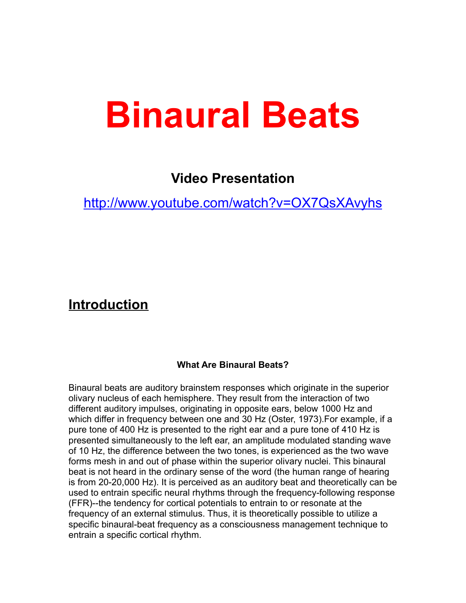# **Binaural Beats**

# **Video Presentation**

http://www.youtube.com/watch?v=OX7QsXAvyhs

# **Introduction**

# **What Are Binaural Beats?**

Binaural beats are auditory brainstem responses which originate in the superior olivary nucleus of each hemisphere. They result from the interaction of two different auditory impulses, originating in opposite ears, below 1000 Hz and which differ in frequency between one and 30 Hz (Oster, 1973).For example, if a pure tone of 400 Hz is presented to the right ear and a pure tone of 410 Hz is presented simultaneously to the left ear, an amplitude modulated standing wave of 10 Hz, the difference between the two tones, is experienced as the two wave forms mesh in and out of phase within the superior olivary nuclei. This binaural beat is not heard in the ordinary sense of the word (the human range of hearing is from 20-20,000 Hz). It is perceived as an auditory beat and theoretically can be used to entrain specific neural rhythms through the frequency-following response (FFR)--the tendency for cortical potentials to entrain to or resonate at the frequency of an external stimulus. Thus, it is theoretically possible to utilize a specific binaural-beat frequency as a consciousness management technique to entrain a specific cortical rhythm.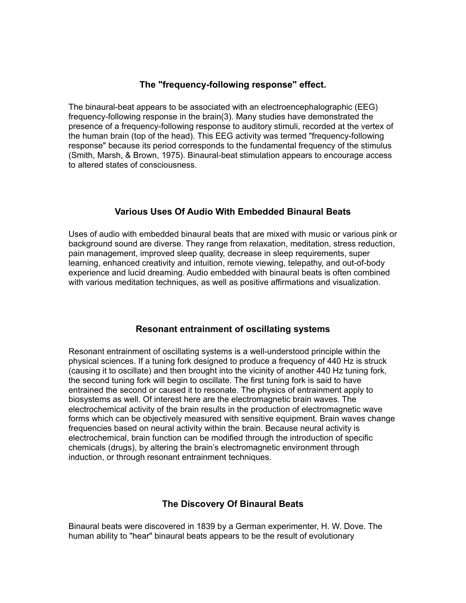## **The "frequency-following response" effect.**

The binaural-beat appears to be associated with an electroencephalographic (EEG) frequency-following response in the brain(3). Many studies have demonstrated the presence of a frequency-following response to auditory stimuli, recorded at the vertex of the human brain (top of the head). This EEG activity was termed "frequency-following response" because its period corresponds to the fundamental frequency of the stimulus (Smith, Marsh, & Brown, 1975). Binaural-beat stimulation appears to encourage access to altered states of consciousness.

### **Various Uses Of Audio With Embedded Binaural Beats**

Uses of audio with embedded binaural beats that are mixed with music or various pink or background sound are diverse. They range from relaxation, meditation, stress reduction, pain management, improved sleep quality, decrease in sleep requirements, super learning, enhanced creativity and intuition, remote viewing, telepathy, and out-of-body experience and lucid dreaming. Audio embedded with binaural beats is often combined with various meditation techniques, as well as positive affirmations and visualization.

### **Resonant entrainment of oscillating systems**

Resonant entrainment of oscillating systems is a well-understood principle within the physical sciences. If a tuning fork designed to produce a frequency of 440 Hz is struck (causing it to oscillate) and then brought into the vicinity of another 440 Hz tuning fork, the second tuning fork will begin to oscillate. The first tuning fork is said to have entrained the second or caused it to resonate. The physics of entrainment apply to biosystems as well. Of interest here are the electromagnetic brain waves. The electrochemical activity of the brain results in the production of electromagnetic wave forms which can be objectively measured with sensitive equipment. Brain waves change frequencies based on neural activity within the brain. Because neural activity is electrochemical, brain function can be modified through the introduction of specific chemicals (drugs), by altering the brain's electromagnetic environment through induction, or through resonant entrainment techniques.

# **The Discovery Of Binaural Beats**

Binaural beats were discovered in 1839 by a German experimenter, H. W. Dove. The human ability to "hear" binaural beats appears to be the result of evolutionary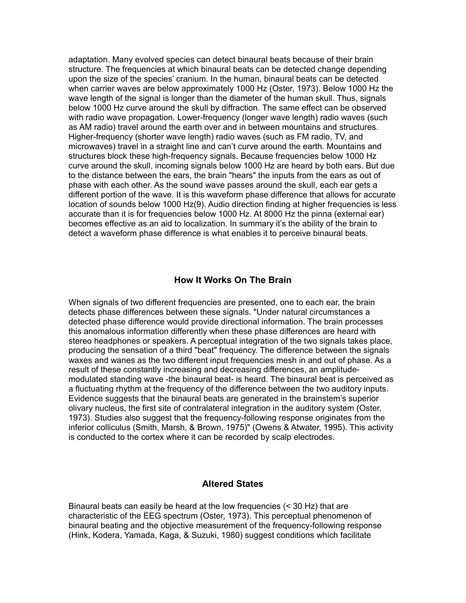adaptation. Many evolved species can detect binaural beats because of their brain structure. The frequencies at which binaural beats can be detected change depending upon the size of the species' cranium. In the human, binaural beats can be detected when carrier waves are below approximately 1000 Hz (Oster, 1973). Below 1000 Hz the wave length of the signal is longer than the diameter of the human skull. Thus, signals below 1000 Hz curve around the skull by diffraction. The same effect can be observed with radio wave propagation. Lower-frequency (longer wave length) radio waves (such as AM radio) travel around the earth over and in between mountains and structures. Higher-frequency (shorter wave length) radio waves (such as FM radio, TV, and microwaves) travel in a straight line and can't curve around the earth. Mountains and structures block these high-frequency signals. Because frequencies below 1000 Hz curve around the skull, incoming signals below 1000 Hz are heard by both ears. But due to the distance between the ears, the brain "hears" the inputs from the ears as out of phase with each other. As the sound wave passes around the skull, each ear gets a different portion of the wave. It is this waveform phase difference that allows for accurate location of sounds below 1000 Hz(9). Audio direction finding at higher frequencies is less accurate than it is for frequencies below 1000 Hz. At 8000 Hz the pinna (external ear) becomes effective as an aid to localization. In summary it's the ability of the brain to detect a waveform phase difference is what enables it to perceive binaural beats.

#### **How It Works On The Brain**

When signals of two different frequencies are presented, one to each ear, the brain detects phase differences between these signals. "Under natural circumstances a detected phase difference would provide directional information. The brain processes this anomalous information differently when these phase differences are heard with stereo headphones or speakers. A perceptual integration of the two signals takes place, producing the sensation of a third "beat" frequency. The difference between the signals waxes and wanes as the two different input frequencies mesh in and out of phase. As a result of these constantly increasing and decreasing differences, an amplitudemodulated standing wave -the binaural beat- is heard. The binaural beat is perceived as a fluctuating rhythm at the frequency of the difference between the two auditory inputs. Evidence suggests that the binaural beats are generated in the brainstem's superior olivary nucleus, the first site of contralateral integration in the auditory system (Oster, 1973). Studies also suggest that the frequency-following response originates from the inferior colliculus (Smith, Marsh, & Brown, 1975)" (Owens & Atwater, 1995). This activity is conducted to the cortex where it can be recorded by scalp electrodes.

#### **Altered States**

Binaural beats can easily be heard at the low frequencies (< 30 Hz) that are characteristic of the EEG spectrum (Oster, 1973). This perceptual phenomenon of binaural beating and the objective measurement of the frequency-following response (Hink, Kodera, Yamada, Kaga, & Suzuki, 1980) suggest conditions which facilitate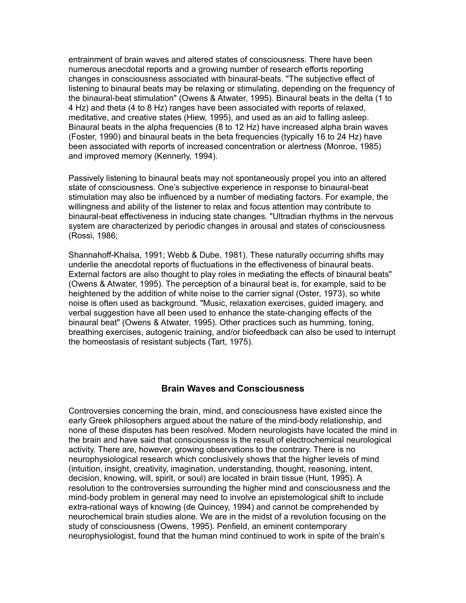entrainment of brain waves and altered states of consciousness. There have been numerous anecdotal reports and a growing number of research efforts reporting changes in consciousness associated with binaural-beats. "The subjective effect of listening to binaural beats may be relaxing or stimulating, depending on the frequency of the binaural-beat stimulation" (Owens & Atwater, 1995). Binaural beats in the delta (1 to 4 Hz) and theta (4 to 8 Hz) ranges have been associated with reports of relaxed, meditative, and creative states (Hiew, 1995), and used as an aid to falling asleep. Binaural beats in the alpha frequencies (8 to 12 Hz) have increased alpha brain waves (Foster, 1990) and binaural beats in the beta frequencies (typically 16 to 24 Hz) have been associated with reports of increased concentration or alertness (Monroe, 1985) and improved memory (Kennerly, 1994).

Passively listening to binaural beats may not spontaneously propel you into an altered state of consciousness. One's subjective experience in response to binaural-beat stimulation may also be influenced by a number of mediating factors. For example, the willingness and ability of the listener to relax and focus attention may contribute to binaural-beat effectiveness in inducing state changes. "Ultradian rhythms in the nervous system are characterized by periodic changes in arousal and states of consciousness (Rossi, 1986;

Shannahoff-Khalsa, 1991; Webb & Dube, 1981). These naturally occurring shifts may underlie the anecdotal reports of fluctuations in the effectiveness of binaural beats. External factors are also thought to play roles in mediating the effects of binaural beats" (Owens & Atwater, 1995). The perception of a binaural beat is, for example, said to be heightened by the addition of white noise to the carrier signal (Oster, 1973), so white noise is often used as background. "Music, relaxation exercises, guided imagery, and verbal suggestion have all been used to enhance the state-changing effects of the binaural beat" (Owens & Atwater, 1995). Other practices such as humming, toning, breathing exercises, autogenic training, and/or biofeedback can also be used to interrupt the homeostasis of resistant subjects (Tart, 1975).

#### **Brain Waves and Consciousness**

Controversies concerning the brain, mind, and consciousness have existed since the early Greek philosophers argued about the nature of the mind-body relationship, and none of these disputes has been resolved. Modern neurologists have located the mind in the brain and have said that consciousness is the result of electrochemical neurological activity. There are, however, growing observations to the contrary. There is no neurophysiological research which conclusively shows that the higher levels of mind (intuition, insight, creativity, imagination, understanding, thought, reasoning, intent, decision, knowing, will, spirit, or soul) are located in brain tissue (Hunt, 1995). A resolution to the controversies surrounding the higher mind and consciousness and the mind-body problem in general may need to involve an epistemological shift to include extra-rational ways of knowing (de Quincey, 1994) and cannot be comprehended by neurochemical brain studies alone. We are in the midst of a revolution focusing on the study of consciousness (Owens, 1995). Penfield, an eminent contemporary neurophysiologist, found that the human mind continued to work in spite of the brain's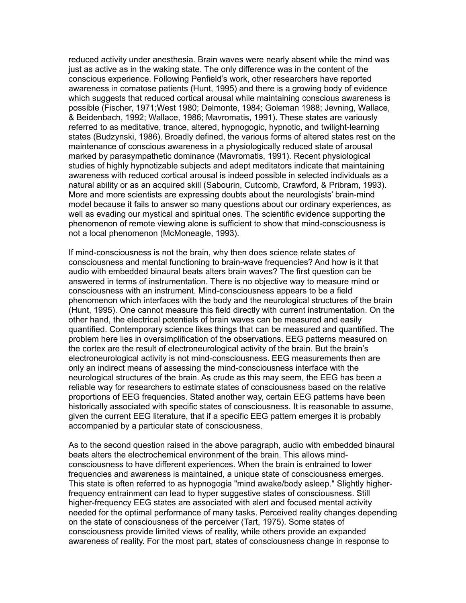reduced activity under anesthesia. Brain waves were nearly absent while the mind was just as active as in the waking state. The only difference was in the content of the conscious experience. Following Penfield's work, other researchers have reported awareness in comatose patients (Hunt, 1995) and there is a growing body of evidence which suggests that reduced cortical arousal while maintaining conscious awareness is possible (Fischer, 1971;West 1980; Delmonte, 1984; Goleman 1988; Jevning, Wallace, & Beidenbach, 1992; Wallace, 1986; Mavromatis, 1991). These states are variously referred to as meditative, trance, altered, hypnogogic, hypnotic, and twilight-learning states (Budzynski, 1986). Broadly defined, the various forms of altered states rest on the maintenance of conscious awareness in a physiologically reduced state of arousal marked by parasympathetic dominance (Mavromatis, 1991). Recent physiological studies of highly hypnotizable subjects and adept meditators indicate that maintaining awareness with reduced cortical arousal is indeed possible in selected individuals as a natural ability or as an acquired skill (Sabourin, Cutcomb, Crawford, & Pribram, 1993). More and more scientists are expressing doubts about the neurologists' brain-mind model because it fails to answer so many questions about our ordinary experiences, as well as evading our mystical and spiritual ones. The scientific evidence supporting the phenomenon of remote viewing alone is sufficient to show that mind-consciousness is not a local phenomenon (McMoneagle, 1993).

If mind-consciousness is not the brain, why then does science relate states of consciousness and mental functioning to brain-wave frequencies? And how is it that audio with embedded binaural beats alters brain waves? The first question can be answered in terms of instrumentation. There is no objective way to measure mind or consciousness with an instrument. Mind-consciousness appears to be a field phenomenon which interfaces with the body and the neurological structures of the brain (Hunt, 1995). One cannot measure this field directly with current instrumentation. On the other hand, the electrical potentials of brain waves can be measured and easily quantified. Contemporary science likes things that can be measured and quantified. The problem here lies in oversimplification of the observations. EEG patterns measured on the cortex are the result of electroneurological activity of the brain. But the brain's electroneurological activity is not mind-consciousness. EEG measurements then are only an indirect means of assessing the mind-consciousness interface with the neurological structures of the brain. As crude as this may seem, the EEG has been a reliable way for researchers to estimate states of consciousness based on the relative proportions of EEG frequencies. Stated another way, certain EEG patterns have been historically associated with specific states of consciousness. It is reasonable to assume, given the current EEG literature, that if a specific EEG pattern emerges it is probably accompanied by a particular state of consciousness.

As to the second question raised in the above paragraph, audio with embedded binaural beats alters the electrochemical environment of the brain. This allows mindconsciousness to have different experiences. When the brain is entrained to lower frequencies and awareness is maintained, a unique state of consciousness emerges. This state is often referred to as hypnogogia "mind awake/body asleep." Slightly higherfrequency entrainment can lead to hyper suggestive states of consciousness. Still higher-frequency EEG states are associated with alert and focused mental activity needed for the optimal performance of many tasks. Perceived reality changes depending on the state of consciousness of the perceiver (Tart, 1975). Some states of consciousness provide limited views of reality, while others provide an expanded awareness of reality. For the most part, states of consciousness change in response to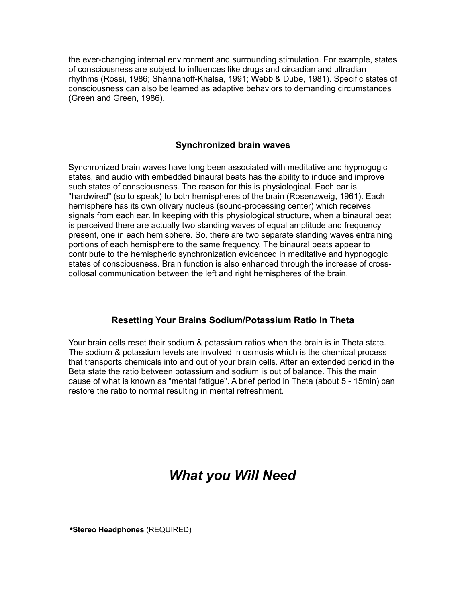the ever-changing internal environment and surrounding stimulation. For example, states of consciousness are subject to influences like drugs and circadian and ultradian rhythms (Rossi, 1986; Shannahoff-Khalsa, 1991; Webb & Dube, 1981). Specific states of consciousness can also be learned as adaptive behaviors to demanding circumstances (Green and Green, 1986).

## **Synchronized brain waves**

Synchronized brain waves have long been associated with meditative and hypnogogic states, and audio with embedded binaural beats has the ability to induce and improve such states of consciousness. The reason for this is physiological. Each ear is "hardwired" (so to speak) to both hemispheres of the brain (Rosenzweig, 1961). Each hemisphere has its own olivary nucleus (sound-processing center) which receives signals from each ear. In keeping with this physiological structure, when a binaural beat is perceived there are actually two standing waves of equal amplitude and frequency present, one in each hemisphere. So, there are two separate standing waves entraining portions of each hemisphere to the same frequency. The binaural beats appear to contribute to the hemispheric synchronization evidenced in meditative and hypnogogic states of consciousness. Brain function is also enhanced through the increase of crosscollosal communication between the left and right hemispheres of the brain.

# **Resetting Your Brains Sodium/Potassium Ratio In Theta**

Your brain cells reset their sodium & potassium ratios when the brain is in Theta state. The sodium & potassium levels are involved in osmosis which is the chemical process that transports chemicals into and out of your brain cells. After an extended period in the Beta state the ratio between potassium and sodium is out of balance. This the main cause of what is known as "mental fatigue". A brief period in Theta (about 5 - 15min) can restore the ratio to normal resulting in mental refreshment.

# *What you Will Need*

•**Stereo Headphones** (REQUIRED)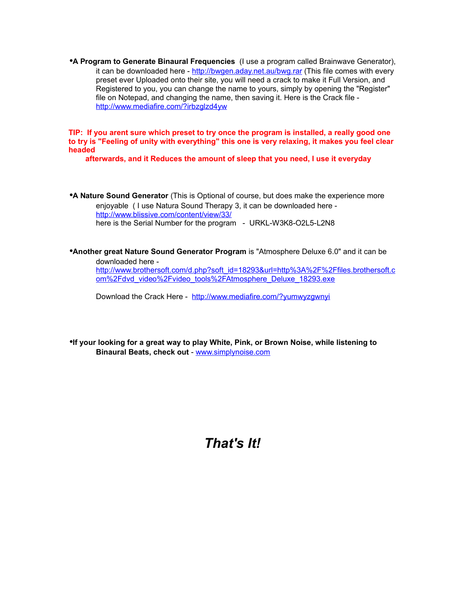•**A Program to Generate Binaural Frequencies** (I use a program called Brainwave Generator), it can be downloaded here - http://bwgen.aday.net.au/bwg.rar (This file comes with every preset ever Uploaded onto their site, you will need a crack to make it Full Version, and Registered to you, you can change the name to yours, simply by opening the "Register" file on Notepad, and changing the name, then saving it. Here is the Crack file http://www.mediafire.com/?irbzglzd4yw

**TIP: If you arent sure which preset to try once the program is installed, a really good one to try is "Feeling of unity with everything" this one is very relaxing, it makes you feel clear headed** 

 **afterwards, and it Reduces the amount of sleep that you need, I use it everyday**

•**A Nature Sound Generator** (This is Optional of course, but does make the experience more enjoyable ( I use Natura Sound Therapy 3, it can be downloaded here http://www.blissive.com/content/view/33/ here is the Serial Number for the program - URKL-W3K8-O2L5-L2N8

•**Another great Nature Sound Generator Program** is "Atmosphere Deluxe 6.0" and it can be downloaded here http://www.brothersoft.com/d.php?soft\_id=18293&url=http%3A%2F%2Ffiles.brothersoft.c

om%2Fdvd\_video%2Fvideo\_tools%2FAtmosphere\_Deluxe\_18293.exe

Download the Crack Here - http://www.mediafire.com/?yumwyzgwnyi

•**If your looking for a great way to play White, Pink, or Brown Noise, while listening to Binaural Beats, check out** - www.simplynoise.com

*That's It!*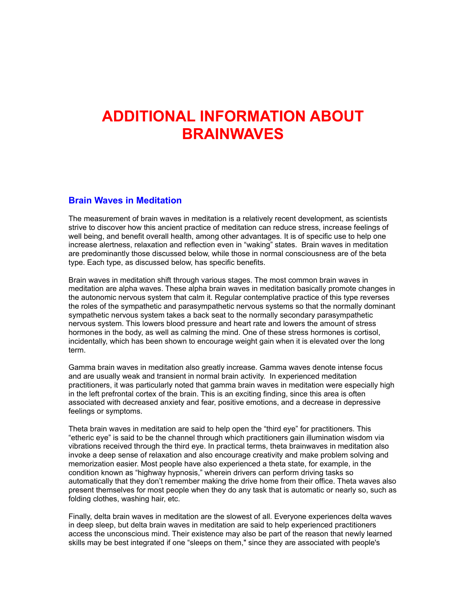# **ADDITIONAL INFORMATION ABOUT BRAINWAVES**

#### **Brain Waves in Meditation**

The measurement of brain waves in meditation is a relatively recent development, as scientists strive to discover how this ancient practice of meditation can reduce stress, increase feelings of well being, and benefit overall health, among other advantages. It is of specific use to help one increase alertness, relaxation and reflection even in "waking" states. Brain waves in meditation are predominantly those discussed below, while those in normal consciousness are of the beta type. Each type, as discussed below, has specific benefits.

Brain waves in meditation shift through various stages. The most common brain waves in meditation are alpha waves. These alpha brain waves in meditation basically promote changes in the autonomic nervous system that calm it. Regular contemplative practice of this type reverses the roles of the sympathetic and parasympathetic nervous systems so that the normally dominant sympathetic nervous system takes a back seat to the normally secondary parasympathetic nervous system. This lowers blood pressure and heart rate and lowers the amount of stress hormones in the body, as well as calming the mind. One of these stress hormones is cortisol, incidentally, which has been shown to encourage weight gain when it is elevated over the long term.

Gamma brain waves in meditation also greatly increase. Gamma waves denote intense focus and are usually weak and transient in normal brain activity. In experienced meditation practitioners, it was particularly noted that gamma brain waves in meditation were especially high in the left prefrontal cortex of the brain. This is an exciting finding, since this area is often associated with decreased anxiety and fear, positive emotions, and a decrease in depressive feelings or symptoms.

Theta brain waves in meditation are said to help open the "third eye" for practitioners. This "etheric eye" is said to be the channel through which practitioners gain illumination wisdom via vibrations received through the third eye. In practical terms, theta brainwaves in meditation also invoke a deep sense of relaxation and also encourage creativity and make problem solving and memorization easier. Most people have also experienced a theta state, for example, in the condition known as "highway hypnosis," wherein drivers can perform driving tasks so automatically that they don't remember making the drive home from their office. Theta waves also present themselves for most people when they do any task that is automatic or nearly so, such as folding clothes, washing hair, etc.

Finally, delta brain waves in meditation are the slowest of all. Everyone experiences delta waves in deep sleep, but delta brain waves in meditation are said to help experienced practitioners access the unconscious mind. Their existence may also be part of the reason that newly learned skills may be best integrated if one "sleeps on them," since they are associated with people's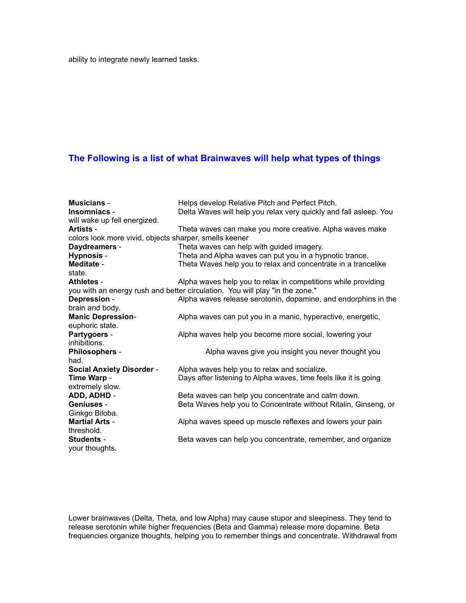ability to integrate newly learned tasks.

## **The Following is a list of what Brainwaves will help what types of things**

| <b>Musicians -</b>                                                           | Helps develop Relative Pitch and Perfect Pitch.                   |  |  |  |  |
|------------------------------------------------------------------------------|-------------------------------------------------------------------|--|--|--|--|
| Insomniacs -                                                                 | Delta Waves will help you relax very quickly and fall asleep. You |  |  |  |  |
| will wake up fell energized.                                                 |                                                                   |  |  |  |  |
| <b>Artists -</b>                                                             | Theta waves can make you more creative. Alpha waves make          |  |  |  |  |
| colors look more vivid, objects sharper, smells keener                       |                                                                   |  |  |  |  |
| Daydreamers -                                                                | Theta waves can help with guided imagery.                         |  |  |  |  |
| Hypnosis -                                                                   | Theta and Alpha waves can put you in a hypnotic trance.           |  |  |  |  |
| Meditate -                                                                   | Theta Waves help you to relax and concentrate in a trancelike     |  |  |  |  |
| state.                                                                       |                                                                   |  |  |  |  |
| <b>Athletes -</b>                                                            | Alpha waves help you to relax in competitions while providing     |  |  |  |  |
| you with an energy rush and better circulation. You will play "in the zone." |                                                                   |  |  |  |  |
| Depression -                                                                 | Alpha waves release serotonin, dopamine, and endorphins in the    |  |  |  |  |
| brain and body.                                                              |                                                                   |  |  |  |  |
| <b>Manic Depression-</b>                                                     | Alpha waves can put you in a manic, hyperactive, energetic,       |  |  |  |  |
| euphoric state.                                                              |                                                                   |  |  |  |  |
| Partygoers -                                                                 | Alpha waves help you become more social, lowering your            |  |  |  |  |
| inhibitions.                                                                 |                                                                   |  |  |  |  |
| <b>Philosophers -</b>                                                        | Alpha waves give you insight you never thought you                |  |  |  |  |
| had.                                                                         |                                                                   |  |  |  |  |
| <b>Social Anxiety Disorder -</b>                                             | Alpha waves help you to relax and socialize.                      |  |  |  |  |
| Time Warp -                                                                  | Days after listening to Alpha waves, time feels like it is going  |  |  |  |  |
| extremely slow.                                                              |                                                                   |  |  |  |  |
| ADD, ADHD -                                                                  | Beta waves can help you concentrate and calm down.                |  |  |  |  |
| <b>Geniuses -</b>                                                            | Beta Waves help you to Concentrate without Ritalin, Ginseng, or   |  |  |  |  |
| Ginkgo Biloba.                                                               |                                                                   |  |  |  |  |
| <b>Martial Arts -</b>                                                        | Alpha waves speed up muscle reflexes and lowers your pain         |  |  |  |  |
| threshold.                                                                   |                                                                   |  |  |  |  |
| Students -                                                                   | Beta waves can help you concentrate, remember, and organize       |  |  |  |  |
| your thoughts.                                                               |                                                                   |  |  |  |  |

Lower brainwaves (Delta, Theta, and low Alpha) may cause stupor and sleepiness. They tend to release serotonin while higher frequencies (Beta and Gamma) release more dopamine. Beta frequencies organize thoughts, helping you to remember things and concentrate. Withdrawal from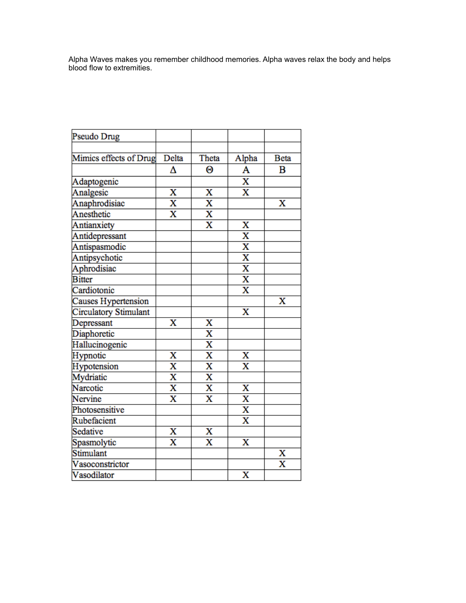Alpha Waves makes you remember childhood memories. Alpha waves relax the body and helps blood flow to extremities.

| Pseudo Drug                  |                         |                         |                         |                         |
|------------------------------|-------------------------|-------------------------|-------------------------|-------------------------|
|                              |                         |                         |                         |                         |
| Mimics effects of Drug       | Delta                   | Theta                   | Alpha                   | <b>B</b> eta            |
|                              | Δ                       | Θ                       | A                       | в                       |
| Adaptogenic                  |                         |                         | X                       |                         |
| Analgesic                    | x                       | X                       | X                       |                         |
| Anaphrodisiac                | $\overline{\textbf{X}}$ | $\overline{\mathbf{X}}$ |                         | $\overline{\mathbf{X}}$ |
| Anesthetic                   | X                       | X                       |                         |                         |
| Antianxiety                  |                         | X                       | X                       |                         |
| Antidepressant               |                         |                         | X                       |                         |
| Antispasmodic                |                         |                         | $\overline{\textbf{x}}$ |                         |
| Antipsychotic                |                         |                         | X                       |                         |
| Aphrodisiac                  |                         |                         | X                       |                         |
| <b>Bitter</b>                |                         |                         | $\overline{\textbf{X}}$ |                         |
| Cardiotonic                  |                         |                         | X                       |                         |
| Causes Hypertension          |                         |                         |                         | X                       |
| <b>Circulatory Stimulant</b> |                         |                         | X                       |                         |
| Depressant                   | X                       | X                       |                         |                         |
| Diaphoretic                  |                         | X                       |                         |                         |
| Hallucinogenic               |                         | $\overline{\mathbf{X}}$ |                         |                         |
| Hypnotic                     | x                       | $\overline{\mathbf{X}}$ | x                       |                         |
| Hypotension                  | X                       | x                       | x                       |                         |
| Mydriatic                    | $\overline{\mathbf{X}}$ | X                       |                         |                         |
| Narcotic                     | $\overline{\textbf{x}}$ | $\overline{\textbf{x}}$ | $\overline{\textbf{X}}$ |                         |
| Nervine                      | X                       | X                       | x                       |                         |
| Photosensitive               |                         |                         | X                       |                         |
| Rubefacient                  |                         |                         | $\overline{\textbf{x}}$ |                         |
| <b>Sedative</b>              | X                       | X                       |                         |                         |
| Spasmolytic                  | $\overline{\mathbf{x}}$ | $\overline{\textbf{x}}$ | $\overline{\textbf{X}}$ |                         |
| Stimulant                    |                         |                         |                         | X                       |
| Vasoconstrictor              |                         |                         |                         | X                       |
| Vasodilator                  |                         |                         | $\overline{\textbf{x}}$ |                         |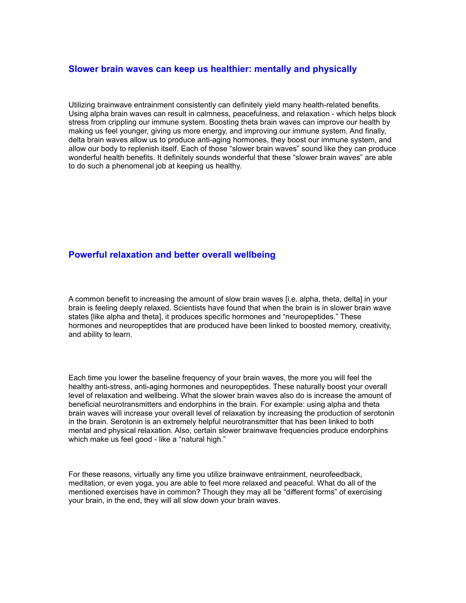#### **Slower brain waves can keep us healthier: mentally and physically**

Utilizing brainwave entrainment consistently can definitely yield many health-related benefits. Using alpha brain waves can result in calmness, peacefulness, and relaxation - which helps block stress from crippling our immune system. Boosting theta brain waves can improve our health by making us feel younger, giving us more energy, and improving our immune system. And finally, delta brain waves allow us to produce anti-aging hormones, they boost our immune system, and allow our body to replenish itself. Each of those "slower brain waves" sound like they can produce wonderful health benefits. It definitely sounds wonderful that these "slower brain waves" are able to do such a phenomenal job at keeping us healthy.

#### **Powerful relaxation and better overall wellbeing**

A common benefit to increasing the amount of slow brain waves [i.e. alpha, theta, delta] in your brain is feeling deeply relaxed. Scientists have found that when the brain is in slower brain wave states [like alpha and theta], it produces specific hormones and "neuropeptides." These hormones and neuropeptides that are produced have been linked to boosted memory, creativity, and ability to learn.

Each time you lower the baseline frequency of your brain waves, the more you will feel the healthy anti-stress, anti-aging hormones and neuropeptides. These naturally boost your overall level of relaxation and wellbeing. What the slower brain waves also do is increase the amount of beneficial neurotransmitters and endorphins in the brain. For example: using alpha and theta brain waves will increase your overall level of relaxation by increasing the production of serotonin in the brain. Serotonin is an extremely helpful neurotransmitter that has been linked to both mental and physical relaxation. Also, certain slower brainwave frequencies produce endorphins which make us feel good - like a "natural high."

For these reasons, virtually any time you utilize brainwave entrainment, neurofeedback, meditation, or even yoga, you are able to feel more relaxed and peaceful. What do all of the mentioned exercises have in common? Though they may all be "different forms" of exercising your brain, in the end, they will all slow down your brain waves.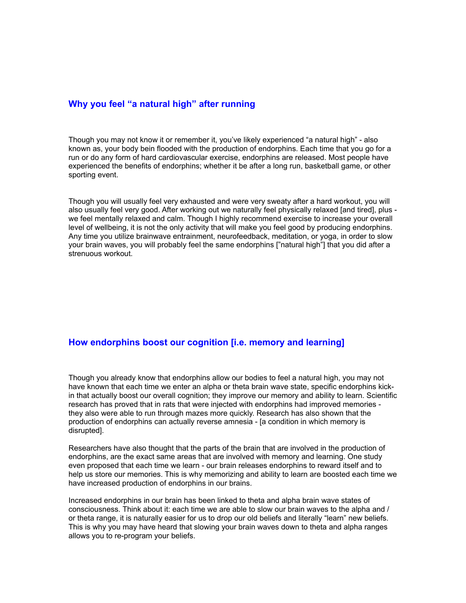#### **Why you feel "a natural high" after running**

Though you may not know it or remember it, you've likely experienced "a natural high" - also known as, your body bein flooded with the production of endorphins. Each time that you go for a run or do any form of hard cardiovascular exercise, endorphins are released. Most people have experienced the benefits of endorphins; whether it be after a long run, basketball game, or other sporting event.

Though you will usually feel very exhausted and were very sweaty after a hard workout, you will also usually feel very good. After working out we naturally feel physically relaxed [and tired], plus we feel mentally relaxed and calm. Though I highly recommend exercise to increase your overall level of wellbeing, it is not the only activity that will make you feel good by producing endorphins. Any time you utilize brainwave entrainment, neurofeedback, meditation, or yoga, in order to slow your brain waves, you will probably feel the same endorphins ["natural high"] that you did after a strenuous workout.

#### **How endorphins boost our cognition [i.e. memory and learning]**

Though you already know that endorphins allow our bodies to feel a natural high, you may not have known that each time we enter an alpha or theta brain wave state, specific endorphins kickin that actually boost our overall cognition; they improve our memory and ability to learn. Scientific research has proved that in rats that were injected with endorphins had improved memories they also were able to run through mazes more quickly. Research has also shown that the production of endorphins can actually reverse amnesia - [a condition in which memory is disrupted].

Researchers have also thought that the parts of the brain that are involved in the production of endorphins, are the exact same areas that are involved with memory and learning. One study even proposed that each time we learn - our brain releases endorphins to reward itself and to help us store our memories. This is why memorizing and ability to learn are boosted each time we have increased production of endorphins in our brains.

Increased endorphins in our brain has been linked to theta and alpha brain wave states of consciousness. Think about it: each time we are able to slow our brain waves to the alpha and / or theta range, it is naturally easier for us to drop our old beliefs and literally "learn" new beliefs. This is why you may have heard that slowing your brain waves down to theta and alpha ranges allows you to re-program your beliefs.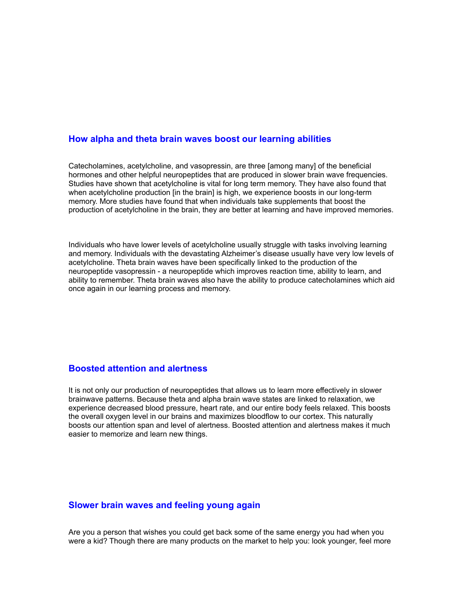#### **How alpha and theta brain waves boost our learning abilities**

Catecholamines, acetylcholine, and vasopressin, are three [among many] of the beneficial hormones and other helpful neuropeptides that are produced in slower brain wave frequencies. Studies have shown that acetylcholine is vital for long term memory. They have also found that when acetylcholine production [in the brain] is high, we experience boosts in our long-term memory. More studies have found that when individuals take supplements that boost the production of acetylcholine in the brain, they are better at learning and have improved memories.

Individuals who have lower levels of acetylcholine usually struggle with tasks involving learning and memory. Individuals with the devastating Alzheimer's disease usually have very low levels of acetylcholine. Theta brain waves have been specifically linked to the production of the neuropeptide vasopressin - a neuropeptide which improves reaction time, ability to learn, and ability to remember. Theta brain waves also have the ability to produce catecholamines which aid once again in our learning process and memory.

#### **Boosted attention and alertness**

It is not only our production of neuropeptides that allows us to learn more effectively in slower brainwave patterns. Because theta and alpha brain wave states are linked to relaxation, we experience decreased blood pressure, heart rate, and our entire body feels relaxed. This boosts the overall oxygen level in our brains and maximizes bloodflow to our cortex. This naturally boosts our attention span and level of alertness. Boosted attention and alertness makes it much easier to memorize and learn new things.

#### **Slower brain waves and feeling young again**

Are you a person that wishes you could get back some of the same energy you had when you were a kid? Though there are many products on the market to help you: look younger, feel more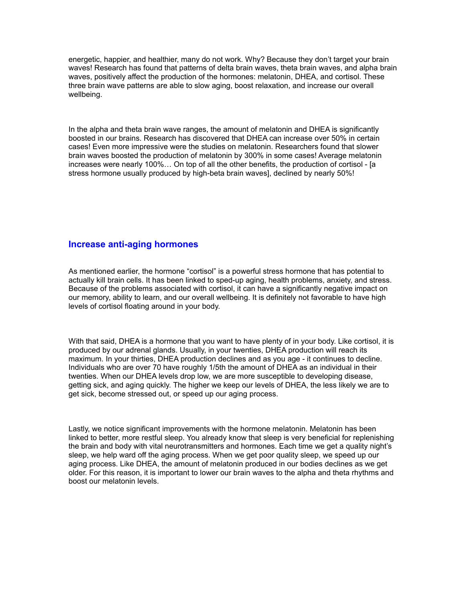energetic, happier, and healthier, many do not work. Why? Because they don't target your brain waves! Research has found that patterns of delta brain waves, theta brain waves, and alpha brain waves, positively affect the production of the hormones: melatonin, DHEA, and cortisol. These three brain wave patterns are able to slow aging, boost relaxation, and increase our overall wellbeing.

In the alpha and theta brain wave ranges, the amount of melatonin and DHEA is significantly boosted in our brains. Research has discovered that DHEA can increase over 50% in certain cases! Even more impressive were the studies on melatonin. Researchers found that slower brain waves boosted the production of melatonin by 300% in some cases! Average melatonin increases were nearly 100%… On top of all the other benefits, the production of cortisol - [a stress hormone usually produced by high-beta brain waves], declined by nearly 50%!

#### **Increase anti-aging hormones**

As mentioned earlier, the hormone "cortisol" is a powerful stress hormone that has potential to actually kill brain cells. It has been linked to sped-up aging, health problems, anxiety, and stress. Because of the problems associated with cortisol, it can have a significantly negative impact on our memory, ability to learn, and our overall wellbeing. It is definitely not favorable to have high levels of cortisol floating around in your body.

With that said, DHEA is a hormone that you want to have plenty of in your body. Like cortisol, it is produced by our adrenal glands. Usually, in your twenties, DHEA production will reach its maximum. In your thirties, DHEA production declines and as you age - it continues to decline. Individuals who are over 70 have roughly 1/5th the amount of DHEA as an individual in their twenties. When our DHEA levels drop low, we are more susceptible to developing disease, getting sick, and aging quickly. The higher we keep our levels of DHEA, the less likely we are to get sick, become stressed out, or speed up our aging process.

Lastly, we notice significant improvements with the hormone melatonin. Melatonin has been linked to better, more restful sleep. You already know that sleep is very beneficial for replenishing the brain and body with vital neurotransmitters and hormones. Each time we get a quality night's sleep, we help ward off the aging process. When we get poor quality sleep, we speed up our aging process. Like DHEA, the amount of melatonin produced in our bodies declines as we get older. For this reason, it is important to lower our brain waves to the alpha and theta rhythms and boost our melatonin levels.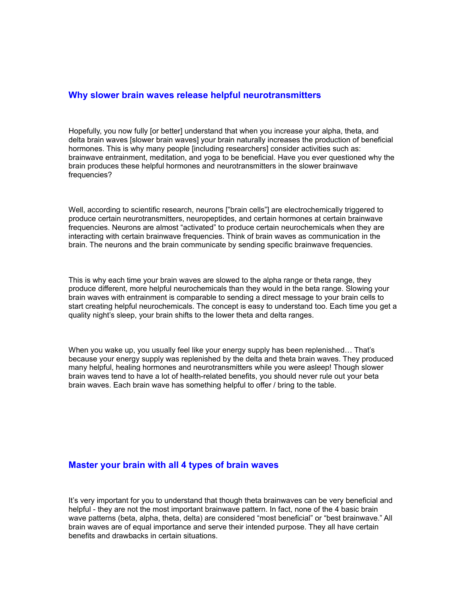#### **Why slower brain waves release helpful neurotransmitters**

Hopefully, you now fully [or better] understand that when you increase your alpha, theta, and delta brain waves [slower brain waves] your brain naturally increases the production of beneficial hormones. This is why many people [including researchers] consider activities such as: brainwave entrainment, meditation, and yoga to be beneficial. Have you ever questioned why the brain produces these helpful hormones and neurotransmitters in the slower brainwave frequencies?

Well, according to scientific research, neurons ["brain cells"] are electrochemically triggered to produce certain neurotransmitters, neuropeptides, and certain hormones at certain brainwave frequencies. Neurons are almost "activated" to produce certain neurochemicals when they are interacting with certain brainwave frequencies. Think of brain waves as communication in the brain. The neurons and the brain communicate by sending specific brainwave frequencies.

This is why each time your brain waves are slowed to the alpha range or theta range, they produce different, more helpful neurochemicals than they would in the beta range. Slowing your brain waves with entrainment is comparable to sending a direct message to your brain cells to start creating helpful neurochemicals. The concept is easy to understand too. Each time you get a quality night's sleep, your brain shifts to the lower theta and delta ranges.

When you wake up, you usually feel like your energy supply has been replenished… That's because your energy supply was replenished by the delta and theta brain waves. They produced many helpful, healing hormones and neurotransmitters while you were asleep! Though slower brain waves tend to have a lot of health-related benefits, you should never rule out your beta brain waves. Each brain wave has something helpful to offer / bring to the table.

#### **Master your brain with all 4 types of brain waves**

It's very important for you to understand that though theta brainwaves can be very beneficial and helpful - they are not the most important brainwave pattern. In fact, none of the 4 basic brain wave patterns (beta, alpha, theta, delta) are considered "most beneficial" or "best brainwave." All brain waves are of equal importance and serve their intended purpose. They all have certain benefits and drawbacks in certain situations.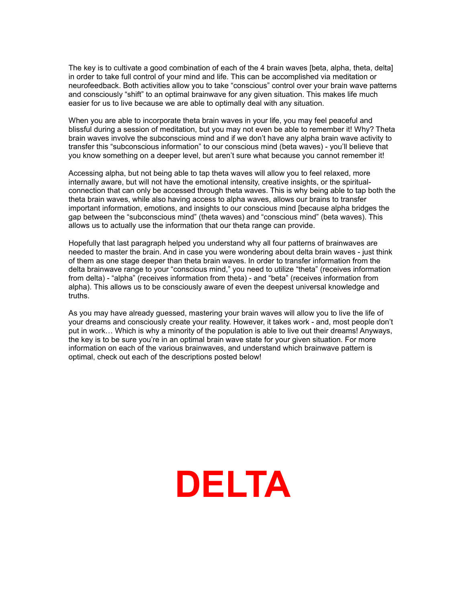The key is to cultivate a good combination of each of the 4 brain waves [beta, alpha, theta, delta] in order to take full control of your mind and life. This can be accomplished via meditation or neurofeedback. Both activities allow you to take "conscious" control over your brain wave patterns and consciously "shift" to an optimal brainwave for any given situation. This makes life much easier for us to live because we are able to optimally deal with any situation.

When you are able to incorporate theta brain waves in your life, you may feel peaceful and blissful during a session of meditation, but you may not even be able to remember it! Why? Theta brain waves involve the subconscious mind and if we don't have any alpha brain wave activity to transfer this "subconscious information" to our conscious mind (beta waves) - you'll believe that you know something on a deeper level, but aren't sure what because you cannot remember it!

Accessing alpha, but not being able to tap theta waves will allow you to feel relaxed, more internally aware, but will not have the emotional intensity, creative insights, or the spiritualconnection that can only be accessed through theta waves. This is why being able to tap both the theta brain waves, while also having access to alpha waves, allows our brains to transfer important information, emotions, and insights to our conscious mind [because alpha bridges the gap between the "subconscious mind" (theta waves) and "conscious mind" (beta waves). This allows us to actually use the information that our theta range can provide.

Hopefully that last paragraph helped you understand why all four patterns of brainwaves are needed to master the brain. And in case you were wondering about delta brain waves - just think of them as one stage deeper than theta brain waves. In order to transfer information from the delta brainwave range to your "conscious mind," you need to utilize "theta" (receives information from delta) - "alpha" (receives information from theta) - and "beta" (receives information from alpha). This allows us to be consciously aware of even the deepest universal knowledge and truths.

As you may have already guessed, mastering your brain waves will allow you to live the life of your dreams and consciously create your reality. However, it takes work - and, most people don't put in work… Which is why a minority of the population is able to live out their dreams! Anyways, the key is to be sure you're in an optimal brain wave state for your given situation. For more information on each of the various brainwaves, and understand which brainwave pattern is optimal, check out each of the descriptions posted below!

# **DELTA**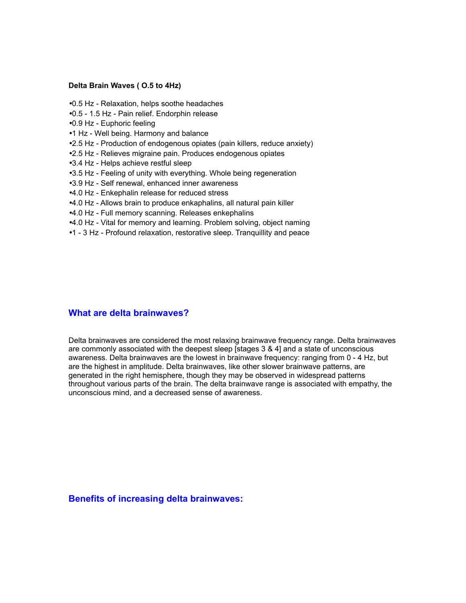#### **Delta Brain Waves ( O.5 to 4Hz)**

- •0.5 Hz Relaxation, helps soothe headaches
- •0.5 1.5 Hz Pain relief. Endorphin release
- •0.9 Hz Euphoric feeling
- •1 Hz Well being. Harmony and balance
- •2.5 Hz Production of endogenous opiates (pain killers, reduce anxiety)
- •2.5 Hz Relieves migraine pain. Produces endogenous opiates
- •3.4 Hz Helps achieve restful sleep
- •3.5 Hz Feeling of unity with everything. Whole being regeneration
- •3.9 Hz Self renewal, enhanced inner awareness
- •4.0 Hz Enkephalin release for reduced stress
- •4.0 Hz Allows brain to produce enkaphalins, all natural pain killer
- •4.0 Hz Full memory scanning. Releases enkephalins
- •4.0 Hz Vital for memory and learning. Problem solving, object naming
- •1 3 Hz Profound relaxation, restorative sleep. Tranquillity and peace

#### **What are delta brainwaves?**

Delta brainwaves are considered the most relaxing brainwave frequency range. Delta brainwaves are commonly associated with the deepest sleep [stages 3 & 4] and a state of unconscious awareness. Delta brainwaves are the lowest in brainwave frequency: ranging from 0 - 4 Hz, but are the highest in amplitude. Delta brainwaves, like other slower brainwave patterns, are generated in the right hemisphere, though they may be observed in widespread patterns throughout various parts of the brain. The delta brainwave range is associated with empathy, the unconscious mind, and a decreased sense of awareness.

**Benefits of increasing delta brainwaves:**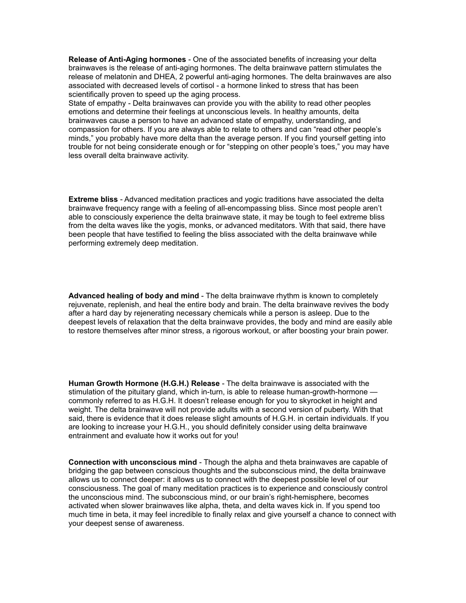**Release of Anti-Aging hormones** - One of the associated benefits of increasing your delta brainwaves is the release of anti-aging hormones. The delta brainwave pattern stimulates the release of melatonin and DHEA, 2 powerful anti-aging hormones. The delta brainwaves are also associated with decreased levels of cortisol - a hormone linked to stress that has been scientifically proven to speed up the aging process.

State of empathy - Delta brainwaves can provide you with the ability to read other peoples emotions and determine their feelings at unconscious levels. In healthy amounts, delta brainwaves cause a person to have an advanced state of empathy, understanding, and compassion for others. If you are always able to relate to others and can "read other people's minds," you probably have more delta than the average person. If you find yourself getting into trouble for not being considerate enough or for "stepping on other people's toes," you may have less overall delta brainwave activity.

**Extreme bliss** - Advanced meditation practices and yogic traditions have associated the delta brainwave frequency range with a feeling of all-encompassing bliss. Since most people aren't able to consciously experience the delta brainwave state, it may be tough to feel extreme bliss from the delta waves like the yogis, monks, or advanced meditators. With that said, there have been people that have testified to feeling the bliss associated with the delta brainwave while performing extremely deep meditation.

**Advanced healing of body and mind** - The delta brainwave rhythm is known to completely rejuvenate, replenish, and heal the entire body and brain. The delta brainwave revives the body after a hard day by rejenerating necessary chemicals while a person is asleep. Due to the deepest levels of relaxation that the delta brainwave provides, the body and mind are easily able to restore themselves after minor stress, a rigorous workout, or after boosting your brain power.

**Human Growth Hormone (H.G.H.) Release** - The delta brainwave is associated with the stimulation of the pituitary gland, which in-turn, is able to release human-growth-hormone commonly referred to as H.G.H. It doesn't release enough for you to skyrocket in height and weight. The delta brainwave will not provide adults with a second version of puberty. With that said, there is evidence that it does release slight amounts of H.G.H. in certain individuals. If you are looking to increase your H.G.H., you should definitely consider using delta brainwave entrainment and evaluate how it works out for you!

**Connection with unconscious mind** - Though the alpha and theta brainwaves are capable of bridging the gap between conscious thoughts and the subconscious mind, the delta brainwave allows us to connect deeper: it allows us to connect with the deepest possible level of our consciousness. The goal of many meditation practices is to experience and consciously control the unconscious mind. The subconscious mind, or our brain's right-hemisphere, becomes activated when slower brainwaves like alpha, theta, and delta waves kick in. If you spend too much time in beta, it may feel incredible to finally relax and give yourself a chance to connect with your deepest sense of awareness.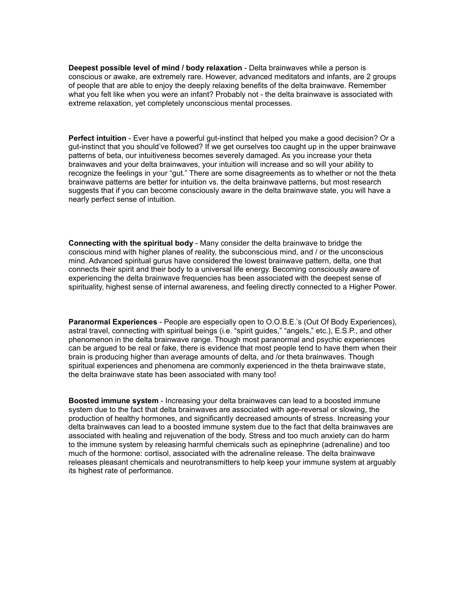**Deepest possible level of mind / body relaxation** - Delta brainwaves while a person is conscious or awake, are extremely rare. However, advanced meditators and infants, are 2 groups of people that are able to enjoy the deeply relaxing benefits of the delta brainwave. Remember what you felt like when you were an infant? Probably not - the delta brainwave is associated with extreme relaxation, yet completely unconscious mental processes.

**Perfect intuition** - Ever have a powerful gut-instinct that helped you make a good decision? Or a gut-instinct that you should've followed? If we get ourselves too caught up in the upper brainwave patterns of beta, our intuitiveness becomes severely damaged. As you increase your theta brainwaves and your delta brainwaves, your intuition will increase and so will your ability to recognize the feelings in your "gut." There are some disagreements as to whether or not the theta brainwave patterns are better for intuition vs. the delta brainwave patterns, but most research suggests that if you can become consciously aware in the delta brainwave state, you will have a nearly perfect sense of intuition.

**Connecting with the spiritual body** - Many consider the delta brainwave to bridge the conscious mind with higher planes of reality, the subconscious mind, and / or the unconscious mind. Advanced spiritual gurus have considered the lowest brainwave pattern, delta, one that connects their spirit and their body to a universal life energy. Becoming consciously aware of experiencing the delta brainwave frequencies has been associated with the deepest sense of spirituality, highest sense of internal awareness, and feeling directly connected to a Higher Power.

**Paranormal Experiences** - People are especially open to O.O.B.E.'s (Out Of Body Experiences), astral travel, connecting with spiritual beings (i.e. "spirit guides," "angels," etc.), E.S.P., and other phenomenon in the delta brainwave range. Though most paranormal and psychic experiences can be argued to be real or fake, there is evidence that most people tend to have them when their brain is producing higher than average amounts of delta, and /or theta brainwaves. Though spiritual experiences and phenomena are commonly experienced in the theta brainwave state, the delta brainwave state has been associated with many too!

**Boosted immune system** - Increasing your delta brainwaves can lead to a boosted immune system due to the fact that delta brainwaves are associated with age-reversal or slowing, the production of healthy hormones, and significantly decreased amounts of stress. Increasing your delta brainwaves can lead to a boosted immune system due to the fact that delta brainwaves are associated with healing and rejuvenation of the body. Stress and too much anxiety can do harm to the immune system by releasing harmful chemicals such as epinephrine (adrenaline) and too much of the hormone: cortisol, associated with the adrenaline release. The delta brainwave releases pleasant chemicals and neurotransmitters to help keep your immune system at arguably its highest rate of performance.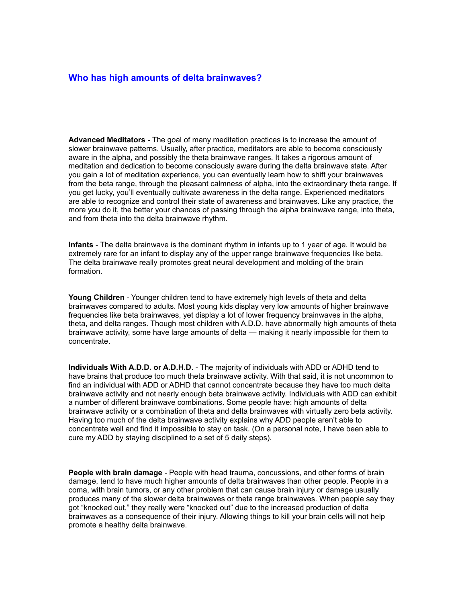#### **Who has high amounts of delta brainwaves?**

**Advanced Meditators** - The goal of many meditation practices is to increase the amount of slower brainwave patterns. Usually, after practice, meditators are able to become consciously aware in the alpha, and possibly the theta brainwave ranges. It takes a rigorous amount of meditation and dedication to become consciously aware during the delta brainwave state. After you gain a lot of meditation experience, you can eventually learn how to shift your brainwaves from the beta range, through the pleasant calmness of alpha, into the extraordinary theta range. If you get lucky, you'll eventually cultivate awareness in the delta range. Experienced meditators are able to recognize and control their state of awareness and brainwaves. Like any practice, the more you do it, the better your chances of passing through the alpha brainwave range, into theta, and from theta into the delta brainwave rhythm.

**Infants** - The delta brainwave is the dominant rhythm in infants up to 1 year of age. It would be extremely rare for an infant to display any of the upper range brainwave frequencies like beta. The delta brainwave really promotes great neural development and molding of the brain formation.

**Young Children** - Younger children tend to have extremely high levels of theta and delta brainwaves compared to adults. Most young kids display very low amounts of higher brainwave frequencies like beta brainwaves, yet display a lot of lower frequency brainwaves in the alpha, theta, and delta ranges. Though most children with A.D.D. have abnormally high amounts of theta brainwave activity, some have large amounts of delta — making it nearly impossible for them to concentrate.

**Individuals With A.D.D. or A.D.H.D**. - The majority of individuals with ADD or ADHD tend to have brains that produce too much theta brainwave activity. With that said, it is not uncommon to find an individual with ADD or ADHD that cannot concentrate because they have too much delta brainwave activity and not nearly enough beta brainwave activity. Individuals with ADD can exhibit a number of different brainwave combinations. Some people have: high amounts of delta brainwave activity or a combination of theta and delta brainwaves with virtually zero beta activity. Having too much of the delta brainwave activity explains why ADD people aren't able to concentrate well and find it impossible to stay on task. (On a personal note, I have been able to cure my ADD by staying disciplined to a set of 5 daily steps).

**People with brain damage** - People with head trauma, concussions, and other forms of brain damage, tend to have much higher amounts of delta brainwaves than other people. People in a coma, with brain tumors, or any other problem that can cause brain injury or damage usually produces many of the slower delta brainwaves or theta range brainwaves. When people say they got "knocked out," they really were "knocked out" due to the increased production of delta brainwaves as a consequence of their injury. Allowing things to kill your brain cells will not help promote a healthy delta brainwave.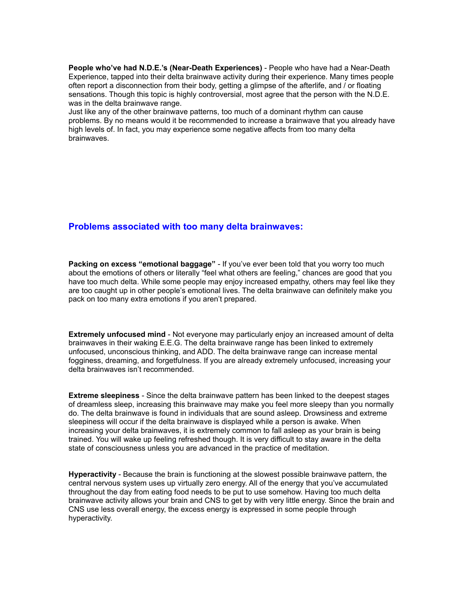**People who've had N.D.E.'s (Near-Death Experiences)** - People who have had a Near-Death Experience, tapped into their delta brainwave activity during their experience. Many times people often report a disconnection from their body, getting a glimpse of the afterlife, and / or floating sensations. Though this topic is highly controversial, most agree that the person with the N.D.E. was in the delta brainwave range.

Just like any of the other brainwave patterns, too much of a dominant rhythm can cause problems. By no means would it be recommended to increase a brainwave that you already have high levels of. In fact, you may experience some negative affects from too many delta brainwaves.

#### **Problems associated with too many delta brainwaves:**

**Packing on excess "emotional baggage"** - If you've ever been told that you worry too much about the emotions of others or literally "feel what others are feeling," chances are good that you have too much delta. While some people may enjoy increased empathy, others may feel like they are too caught up in other people's emotional lives. The delta brainwave can definitely make you pack on too many extra emotions if you aren't prepared.

**Extremely unfocused mind** - Not everyone may particularly enjoy an increased amount of delta brainwaves in their waking E.E.G. The delta brainwave range has been linked to extremely unfocused, unconscious thinking, and ADD. The delta brainwave range can increase mental fogginess, dreaming, and forgetfulness. If you are already extremely unfocused, increasing your delta brainwaves isn't recommended.

**Extreme sleepiness** - Since the delta brainwave pattern has been linked to the deepest stages of dreamless sleep, increasing this brainwave may make you feel more sleepy than you normally do. The delta brainwave is found in individuals that are sound asleep. Drowsiness and extreme sleepiness will occur if the delta brainwave is displayed while a person is awake. When increasing your delta brainwaves, it is extremely common to fall asleep as your brain is being trained. You will wake up feeling refreshed though. It is very difficult to stay aware in the delta state of consciousness unless you are advanced in the practice of meditation.

**Hyperactivity** - Because the brain is functioning at the slowest possible brainwave pattern, the central nervous system uses up virtually zero energy. All of the energy that you've accumulated throughout the day from eating food needs to be put to use somehow. Having too much delta brainwave activity allows your brain and CNS to get by with very little energy. Since the brain and CNS use less overall energy, the excess energy is expressed in some people through hyperactivity.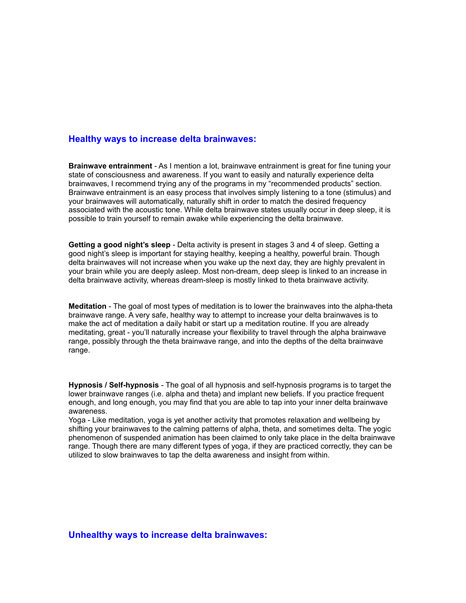#### **Healthy ways to increase delta brainwaves:**

**Brainwave entrainment** - As I mention a lot, brainwave entrainment is great for fine tuning your state of consciousness and awareness. If you want to easily and naturally experience delta brainwaves, I recommend trying any of the programs in my "recommended products" section. Brainwave entrainment is an easy process that involves simply listening to a tone (stimulus) and your brainwaves will automatically, naturally shift in order to match the desired frequency associated with the acoustic tone. While delta brainwave states usually occur in deep sleep, it is possible to train yourself to remain awake while experiencing the delta brainwave.

**Getting a good night's sleep** - Delta activity is present in stages 3 and 4 of sleep. Getting a good night's sleep is important for staying healthy, keeping a healthy, powerful brain. Though delta brainwaves will not increase when you wake up the next day, they are highly prevalent in your brain while you are deeply asleep. Most non-dream, deep sleep is linked to an increase in delta brainwave activity, whereas dream-sleep is mostly linked to theta brainwave activity.

**Meditation** - The goal of most types of meditation is to lower the brainwaves into the alpha-theta brainwave range. A very safe, healthy way to attempt to increase your delta brainwaves is to make the act of meditation a daily habit or start up a meditation routine. If you are already meditating, great - you'll naturally increase your flexibility to travel through the alpha brainwave range, possibly through the theta brainwave range, and into the depths of the delta brainwave range.

**Hypnosis / Self-hypnosis** - The goal of all hypnosis and self-hypnosis programs is to target the lower brainwave ranges (i.e. alpha and theta) and implant new beliefs. If you practice frequent enough, and long enough, you may find that you are able to tap into your inner delta brainwave awareness.

Yoga - Like meditation, yoga is yet another activity that promotes relaxation and wellbeing by shifting your brainwaves to the calming patterns of alpha, theta, and sometimes delta. The yogic phenomenon of suspended animation has been claimed to only take place in the delta brainwave range. Though there are many different types of yoga, if they are practiced correctly, they can be utilized to slow brainwaves to tap the delta awareness and insight from within.

**Unhealthy ways to increase delta brainwaves:**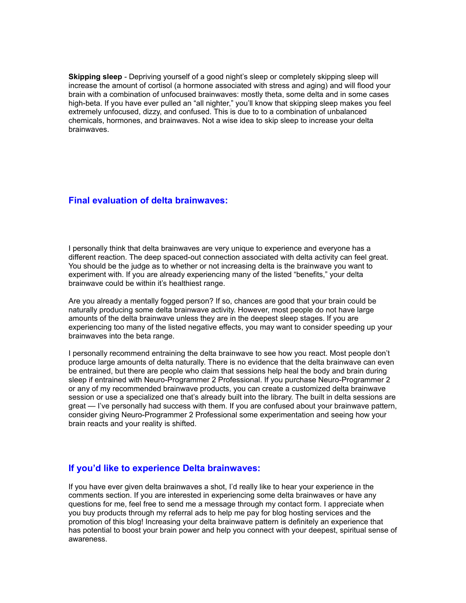**Skipping sleep** - Depriving yourself of a good night's sleep or completely skipping sleep will increase the amount of cortisol (a hormone associated with stress and aging) and will flood your brain with a combination of unfocused brainwaves: mostly theta, some delta and in some cases high-beta. If you have ever pulled an "all nighter," you'll know that skipping sleep makes you feel extremely unfocused, dizzy, and confused. This is due to to a combination of unbalanced chemicals, hormones, and brainwaves. Not a wise idea to skip sleep to increase your delta brainwaves.

#### **Final evaluation of delta brainwaves:**

I personally think that delta brainwaves are very unique to experience and everyone has a different reaction. The deep spaced-out connection associated with delta activity can feel great. You should be the judge as to whether or not increasing delta is the brainwave you want to experiment with. If you are already experiencing many of the listed "benefits," your delta brainwave could be within it's healthiest range.

Are you already a mentally fogged person? If so, chances are good that your brain could be naturally producing some delta brainwave activity. However, most people do not have large amounts of the delta brainwave unless they are in the deepest sleep stages. If you are experiencing too many of the listed negative effects, you may want to consider speeding up your brainwaves into the beta range.

I personally recommend entraining the delta brainwave to see how you react. Most people don't produce large amounts of delta naturally. There is no evidence that the delta brainwave can even be entrained, but there are people who claim that sessions help heal the body and brain during sleep if entrained with Neuro-Programmer 2 Professional. If you purchase Neuro-Programmer 2 or any of my recommended brainwave products, you can create a customized delta brainwave session or use a specialized one that's already built into the library. The built in delta sessions are great — I've personally had success with them. If you are confused about your brainwave pattern, consider giving Neuro-Programmer 2 Professional some experimentation and seeing how your brain reacts and your reality is shifted.

#### **If you'd like to experience Delta brainwaves:**

If you have ever given delta brainwaves a shot, I'd really like to hear your experience in the comments section. If you are interested in experiencing some delta brainwaves or have any questions for me, feel free to send me a message through my contact form. I appreciate when you buy products through my referral ads to help me pay for blog hosting services and the promotion of this blog! Increasing your delta brainwave pattern is definitely an experience that has potential to boost your brain power and help you connect with your deepest, spiritual sense of awareness.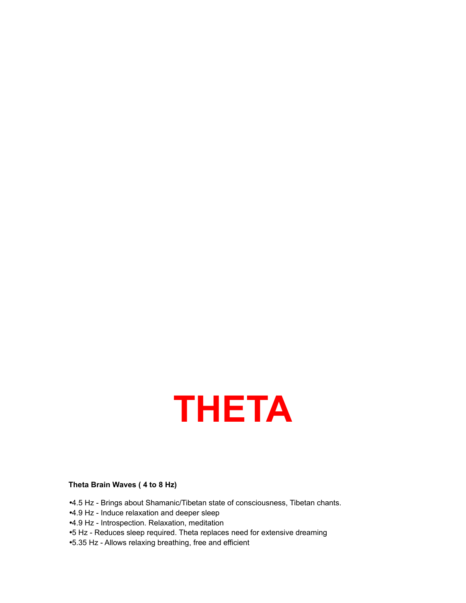

#### **Theta Brain Waves ( 4 to 8 Hz)**

- •4.5 Hz Brings about Shamanic/Tibetan state of consciousness, Tibetan chants.
- •4.9 Hz Induce relaxation and deeper sleep
- •4.9 Hz Introspection. Relaxation, meditation
- •5 Hz Reduces sleep required. Theta replaces need for extensive dreaming
- •5.35 Hz Allows relaxing breathing, free and efficient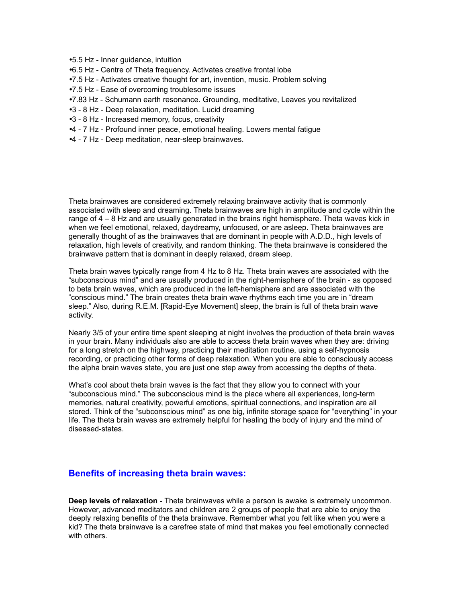- •5.5 Hz Inner guidance, intuition
- •6.5 Hz Centre of Theta frequency. Activates creative frontal lobe
- •7.5 Hz Activates creative thought for art, invention, music. Problem solving
- •7.5 Hz Ease of overcoming troublesome issues
- •7.83 Hz Schumann earth resonance. Grounding, meditative, Leaves you revitalized
- •3 8 Hz Deep relaxation, meditation. Lucid dreaming
- •3 8 Hz Increased memory, focus, creativity
- •4 7 Hz Profound inner peace, emotional healing. Lowers mental fatigue
- •4 7 Hz Deep meditation, near-sleep brainwaves.

Theta brainwaves are considered extremely relaxing brainwave activity that is commonly associated with sleep and dreaming. Theta brainwaves are high in amplitude and cycle within the range of 4 – 8 Hz and are usually generated in the brains right hemisphere. Theta waves kick in when we feel emotional, relaxed, daydreamy, unfocused, or are asleep. Theta brainwaves are generally thought of as the brainwaves that are dominant in people with A.D.D., high levels of relaxation, high levels of creativity, and random thinking. The theta brainwave is considered the brainwave pattern that is dominant in deeply relaxed, dream sleep.

Theta brain waves typically range from 4 Hz to 8 Hz. Theta brain waves are associated with the "subconscious mind" and are usually produced in the right-hemisphere of the brain - as opposed to beta brain waves, which are produced in the left-hemisphere and are associated with the "conscious mind." The brain creates theta brain wave rhythms each time you are in "dream sleep." Also, during R.E.M. [Rapid-Eye Movement] sleep, the brain is full of theta brain wave activity.

Nearly 3/5 of your entire time spent sleeping at night involves the production of theta brain waves in your brain. Many individuals also are able to access theta brain waves when they are: driving for a long stretch on the highway, practicing their meditation routine, using a self-hypnosis recording, or practicing other forms of deep relaxation. When you are able to consciously access the alpha brain waves state, you are just one step away from accessing the depths of theta.

What's cool about theta brain waves is the fact that they allow you to connect with your "subconscious mind." The subconscious mind is the place where all experiences, long-term memories, natural creativity, powerful emotions, spiritual connections, and inspiration are all stored. Think of the "subconscious mind" as one big, infinite storage space for "everything" in your life. The theta brain waves are extremely helpful for healing the body of injury and the mind of diseased-states.

#### **Benefits of increasing theta brain waves:**

**Deep levels of relaxation** - Theta brainwaves while a person is awake is extremely uncommon. However, advanced meditators and children are 2 groups of people that are able to enjoy the deeply relaxing benefits of the theta brainwave. Remember what you felt like when you were a kid? The theta brainwave is a carefree state of mind that makes you feel emotionally connected with others.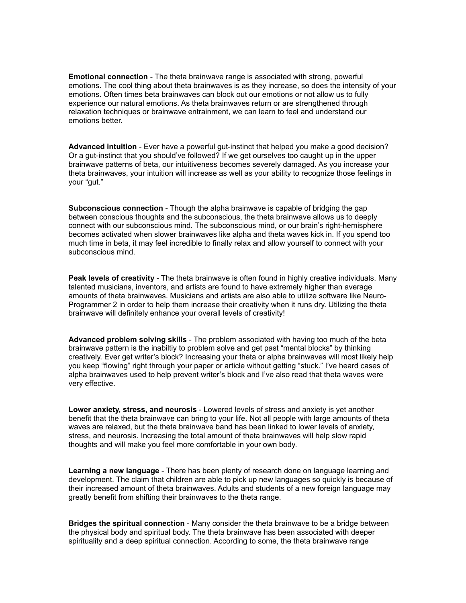**Emotional connection** - The theta brainwave range is associated with strong, powerful emotions. The cool thing about theta brainwaves is as they increase, so does the intensity of your emotions. Often times beta brainwaves can block out our emotions or not allow us to fully experience our natural emotions. As theta brainwaves return or are strengthened through relaxation techniques or brainwave entrainment, we can learn to feel and understand our emotions better.

**Advanced intuition** - Ever have a powerful gut-instinct that helped you make a good decision? Or a gut-instinct that you should've followed? If we get ourselves too caught up in the upper brainwave patterns of beta, our intuitiveness becomes severely damaged. As you increase your theta brainwaves, your intuition will increase as well as your ability to recognize those feelings in your "gut."

**Subconscious connection** - Though the alpha brainwave is capable of bridging the gap between conscious thoughts and the subconscious, the theta brainwave allows us to deeply connect with our subconscious mind. The subconscious mind, or our brain's right-hemisphere becomes activated when slower brainwaves like alpha and theta waves kick in. If you spend too much time in beta, it may feel incredible to finally relax and allow yourself to connect with your subconscious mind.

**Peak levels of creativity** - The theta brainwave is often found in highly creative individuals. Many talented musicians, inventors, and artists are found to have extremely higher than average amounts of theta brainwaves. Musicians and artists are also able to utilize software like Neuro-Programmer 2 in order to help them increase their creativity when it runs dry. Utilizing the theta brainwave will definitely enhance your overall levels of creativity!

**Advanced problem solving skills** - The problem associated with having too much of the beta brainwave pattern is the inabiltiy to problem solve and get past "mental blocks" by thinking creatively. Ever get writer's block? Increasing your theta or alpha brainwaves will most likely help you keep "flowing" right through your paper or article without getting "stuck." I've heard cases of alpha brainwaves used to help prevent writer's block and I've also read that theta waves were very effective.

**Lower anxiety, stress, and neurosis** - Lowered levels of stress and anxiety is yet another benefit that the theta brainwave can bring to your life. Not all people with large amounts of theta waves are relaxed, but the theta brainwave band has been linked to lower levels of anxiety, stress, and neurosis. Increasing the total amount of theta brainwaves will help slow rapid thoughts and will make you feel more comfortable in your own body.

**Learning a new language** - There has been plenty of research done on language learning and development. The claim that children are able to pick up new languages so quickly is because of their increased amount of theta brainwaves. Adults and students of a new foreign language may greatly benefit from shifting their brainwaves to the theta range.

**Bridges the spiritual connection** - Many consider the theta brainwave to be a bridge between the physical body and spiritual body. The theta brainwave has been associated with deeper spirituality and a deep spiritual connection. According to some, the theta brainwave range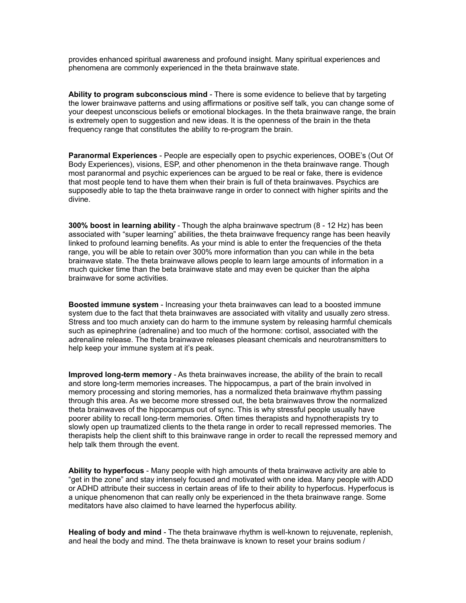provides enhanced spiritual awareness and profound insight. Many spiritual experiences and phenomena are commonly experienced in the theta brainwave state.

**Ability to program subconscious mind** - There is some evidence to believe that by targeting the lower brainwave patterns and using affirmations or positive self talk, you can change some of your deepest unconscious beliefs or emotional blockages. In the theta brainwave range, the brain is extremely open to suggestion and new ideas. It is the openness of the brain in the theta frequency range that constitutes the ability to re-program the brain.

**Paranormal Experiences** - People are especially open to psychic experiences, OOBE's (Out Of Body Experiences), visions, ESP, and other phenomenon in the theta brainwave range. Though most paranormal and psychic experiences can be argued to be real or fake, there is evidence that most people tend to have them when their brain is full of theta brainwaves. Psychics are supposedly able to tap the theta brainwave range in order to connect with higher spirits and the divine.

**300% boost in learning ability** - Though the alpha brainwave spectrum (8 - 12 Hz) has been associated with "super learning" abilities, the theta brainwave frequency range has been heavily linked to profound learning benefits. As your mind is able to enter the frequencies of the theta range, you will be able to retain over 300% more information than you can while in the beta brainwave state. The theta brainwave allows people to learn large amounts of information in a much quicker time than the beta brainwave state and may even be quicker than the alpha brainwave for some activities.

**Boosted immune system** - Increasing your theta brainwaves can lead to a boosted immune system due to the fact that theta brainwaves are associated with vitality and usually zero stress. Stress and too much anxiety can do harm to the immune system by releasing harmful chemicals such as epinephrine (adrenaline) and too much of the hormone: cortisol, associated with the adrenaline release. The theta brainwave releases pleasant chemicals and neurotransmitters to help keep your immune system at it's peak.

**Improved long-term memory** - As theta brainwaves increase, the ability of the brain to recall and store long-term memories increases. The hippocampus, a part of the brain involved in memory processing and storing memories, has a normalized theta brainwave rhythm passing through this area. As we become more stressed out, the beta brainwaves throw the normalized theta brainwaves of the hippocampus out of sync. This is why stressful people usually have poorer ability to recall long-term memories. Often times therapists and hypnotherapists try to slowly open up traumatized clients to the theta range in order to recall repressed memories. The therapists help the client shift to this brainwave range in order to recall the repressed memory and help talk them through the event.

**Ability to hyperfocus** - Many people with high amounts of theta brainwave activity are able to "get in the zone" and stay intensely focused and motivated with one idea. Many people with ADD or ADHD attribute their success in certain areas of life to their ability to hyperfocus. Hyperfocus is a unique phenomenon that can really only be experienced in the theta brainwave range. Some meditators have also claimed to have learned the hyperfocus ability.

**Healing of body and mind** - The theta brainwave rhythm is well-known to rejuvenate, replenish, and heal the body and mind. The theta brainwave is known to reset your brains sodium /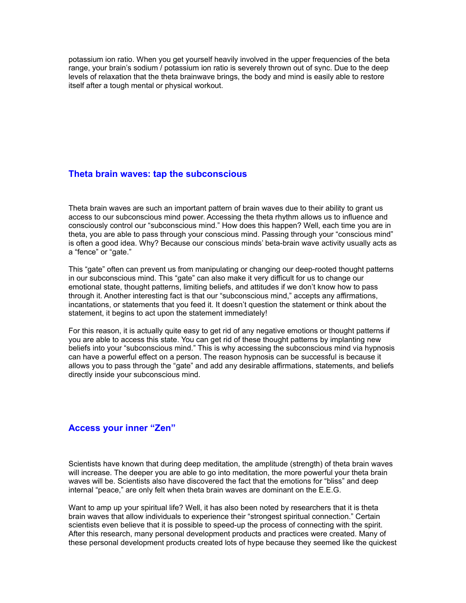potassium ion ratio. When you get yourself heavily involved in the upper frequencies of the beta range, your brain's sodium / potassium ion ratio is severely thrown out of sync. Due to the deep levels of relaxation that the theta brainwave brings, the body and mind is easily able to restore itself after a tough mental or physical workout.

#### **Theta brain waves: tap the subconscious**

Theta brain waves are such an important pattern of brain waves due to their ability to grant us access to our subconscious mind power. Accessing the theta rhythm allows us to influence and consciously control our "subconscious mind." How does this happen? Well, each time you are in theta, you are able to pass through your conscious mind. Passing through your "conscious mind" is often a good idea. Why? Because our conscious minds' beta-brain wave activity usually acts as a "fence" or "gate."

This "gate" often can prevent us from manipulating or changing our deep-rooted thought patterns in our subconscious mind. This "gate" can also make it very difficult for us to change our emotional state, thought patterns, limiting beliefs, and attitudes if we don't know how to pass through it. Another interesting fact is that our "subconscious mind," accepts any affirmations, incantations, or statements that you feed it. It doesn't question the statement or think about the statement, it begins to act upon the statement immediately!

For this reason, it is actually quite easy to get rid of any negative emotions or thought patterns if you are able to access this state. You can get rid of these thought patterns by implanting new beliefs into your "subconscious mind." This is why accessing the subconscious mind via hypnosis can have a powerful effect on a person. The reason hypnosis can be successful is because it allows you to pass through the "gate" and add any desirable affirmations, statements, and beliefs directly inside your subconscious mind.

#### **Access your inner "Zen"**

Scientists have known that during deep meditation, the amplitude (strength) of theta brain waves will increase. The deeper you are able to go into meditation, the more powerful your theta brain waves will be. Scientists also have discovered the fact that the emotions for "bliss" and deep internal "peace," are only felt when theta brain waves are dominant on the E.E.G.

Want to amp up your spiritual life? Well, it has also been noted by researchers that it is theta brain waves that allow individuals to experience their "strongest spiritual connection." Certain scientists even believe that it is possible to speed-up the process of connecting with the spirit. After this research, many personal development products and practices were created. Many of these personal development products created lots of hype because they seemed like the quickest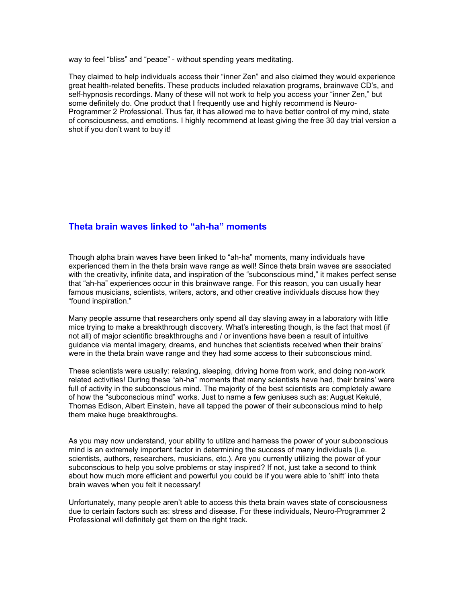way to feel "bliss" and "peace" - without spending years meditating.

They claimed to help individuals access their "inner Zen" and also claimed they would experience great health-related benefits. These products included relaxation programs, brainwave CD's, and self-hypnosis recordings. Many of these will not work to help you access your "inner Zen," but some definitely do. One product that I frequently use and highly recommend is Neuro-Programmer 2 Professional. Thus far, it has allowed me to have better control of my mind, state of consciousness, and emotions. I highly recommend at least giving the free 30 day trial version a shot if you don't want to buy it!

#### **Theta brain waves linked to "ah-ha" moments**

Though alpha brain waves have been linked to "ah-ha" moments, many individuals have experienced them in the theta brain wave range as well! Since theta brain waves are associated with the creativity, infinite data, and inspiration of the "subconscious mind," it makes perfect sense that "ah-ha" experiences occur in this brainwave range. For this reason, you can usually hear famous musicians, scientists, writers, actors, and other creative individuals discuss how they "found inspiration."

Many people assume that researchers only spend all day slaving away in a laboratory with little mice trying to make a breakthrough discovery. What's interesting though, is the fact that most (if not all) of major scientific breakthroughs and / or inventions have been a result of intuitive guidance via mental imagery, dreams, and hunches that scientists received when their brains' were in the theta brain wave range and they had some access to their subconscious mind.

These scientists were usually: relaxing, sleeping, driving home from work, and doing non-work related activities! During these "ah-ha" moments that many scientists have had, their brains' were full of activity in the subconscious mind. The majority of the best scientists are completely aware of how the "subconscious mind" works. Just to name a few geniuses such as: August Kekulé, Thomas Edison, Albert Einstein, have all tapped the power of their subconscious mind to help them make huge breakthroughs.

As you may now understand, your ability to utilize and harness the power of your subconscious mind is an extremely important factor in determining the success of many individuals (i.e. scientists, authors, researchers, musicians, etc.). Are you currently utilizing the power of your subconscious to help you solve problems or stay inspired? If not, just take a second to think about how much more efficient and powerful you could be if you were able to 'shift' into theta brain waves when you felt it necessary!

Unfortunately, many people aren't able to access this theta brain waves state of consciousness due to certain factors such as: stress and disease. For these individuals, Neuro-Programmer 2 Professional will definitely get them on the right track.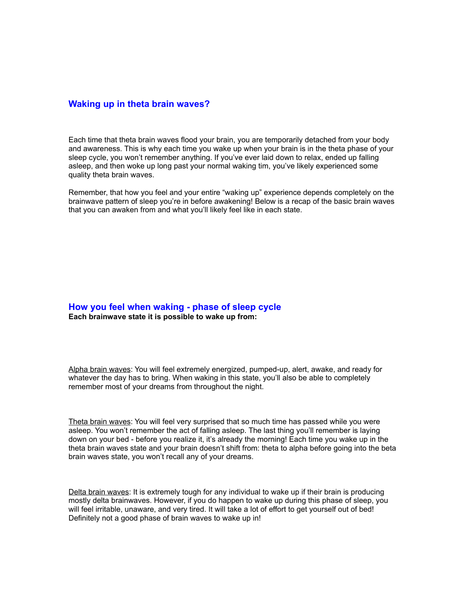#### **Waking up in theta brain waves?**

Each time that theta brain waves flood your brain, you are temporarily detached from your body and awareness. This is why each time you wake up when your brain is in the theta phase of your sleep cycle, you won't remember anything. If you've ever laid down to relax, ended up falling asleep, and then woke up long past your normal waking tim, you've likely experienced some quality theta brain waves.

Remember, that how you feel and your entire "waking up" experience depends completely on the brainwave pattern of sleep you're in before awakening! Below is a recap of the basic brain waves that you can awaken from and what you'll likely feel like in each state.

#### **How you feel when waking - phase of sleep cycle Each brainwave state it is possible to wake up from:**

Alpha brain waves: You will feel extremely energized, pumped-up, alert, awake, and ready for whatever the day has to bring. When waking in this state, you'll also be able to completely remember most of your dreams from throughout the night.

Theta brain waves: You will feel very surprised that so much time has passed while you were asleep. You won't remember the act of falling asleep. The last thing you'll remember is laying down on your bed - before you realize it, it's already the morning! Each time you wake up in the theta brain waves state and your brain doesn't shift from: theta to alpha before going into the beta brain waves state, you won't recall any of your dreams.

Delta brain waves: It is extremely tough for any individual to wake up if their brain is producing mostly delta brainwaves. However, if you do happen to wake up during this phase of sleep, you will feel irritable, unaware, and very tired. It will take a lot of effort to get yourself out of bed! Definitely not a good phase of brain waves to wake up in!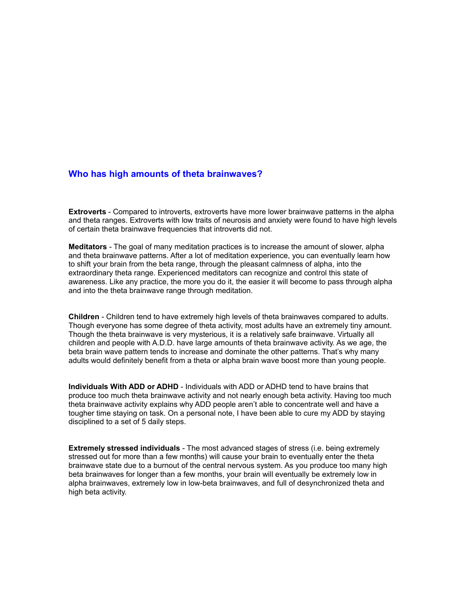#### **Who has high amounts of theta brainwaves?**

**Extroverts** - Compared to introverts, extroverts have more lower brainwave patterns in the alpha and theta ranges. Extroverts with low traits of neurosis and anxiety were found to have high levels of certain theta brainwave frequencies that introverts did not.

**Meditators** - The goal of many meditation practices is to increase the amount of slower, alpha and theta brainwave patterns. After a lot of meditation experience, you can eventually learn how to shift your brain from the beta range, through the pleasant calmness of alpha, into the extraordinary theta range. Experienced meditators can recognize and control this state of awareness. Like any practice, the more you do it, the easier it will become to pass through alpha and into the theta brainwave range through meditation.

**Children** - Children tend to have extremely high levels of theta brainwaves compared to adults. Though everyone has some degree of theta activity, most adults have an extremely tiny amount. Though the theta brainwave is very mysterious, it is a relatively safe brainwave. Virtually all children and people with A.D.D. have large amounts of theta brainwave activity. As we age, the beta brain wave pattern tends to increase and dominate the other patterns. That's why many adults would definitely benefit from a theta or alpha brain wave boost more than young people.

**Individuals With ADD or ADHD** - Individuals with ADD or ADHD tend to have brains that produce too much theta brainwave activity and not nearly enough beta activity. Having too much theta brainwave activity explains why ADD people aren't able to concentrate well and have a tougher time staying on task. On a personal note, I have been able to cure my ADD by staying disciplined to a set of 5 daily steps.

**Extremely stressed individuals** - The most advanced stages of stress (i.e. being extremely stressed out for more than a few months) will cause your brain to eventually enter the theta brainwave state due to a burnout of the central nervous system. As you produce too many high beta brainwaves for longer than a few months, your brain will eventually be extremely low in alpha brainwaves, extremely low in low-beta brainwaves, and full of desynchronized theta and high beta activity.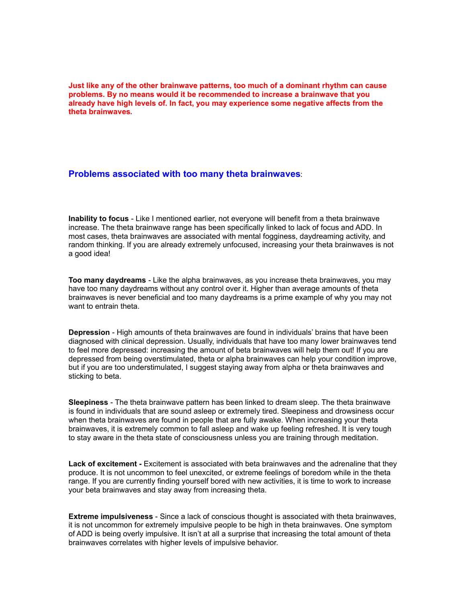**Just like any of the other brainwave patterns, too much of a dominant rhythm can cause problems. By no means would it be recommended to increase a brainwave that you already have high levels of. In fact, you may experience some negative affects from the theta brainwaves.**

#### **Problems associated with too many theta brainwaves**:

**Inability to focus** - Like I mentioned earlier, not everyone will benefit from a theta brainwave increase. The theta brainwave range has been specifically linked to lack of focus and ADD. In most cases, theta brainwaves are associated with mental fogginess, daydreaming activity, and random thinking. If you are already extremely unfocused, increasing your theta brainwaves is not a good idea!

**Too many daydreams** - Like the alpha brainwaves, as you increase theta brainwaves, you may have too many daydreams without any control over it. Higher than average amounts of theta brainwaves is never beneficial and too many daydreams is a prime example of why you may not want to entrain theta.

**Depression** - High amounts of theta brainwaves are found in individuals' brains that have been diagnosed with clinical depression. Usually, individuals that have too many lower brainwaves tend to feel more depressed: increasing the amount of beta brainwaves will help them out! If you are depressed from being overstimulated, theta or alpha brainwaves can help your condition improve, but if you are too understimulated, I suggest staying away from alpha or theta brainwaves and sticking to beta.

**Sleepiness** - The theta brainwave pattern has been linked to dream sleep. The theta brainwave is found in individuals that are sound asleep or extremely tired. Sleepiness and drowsiness occur when theta brainwaves are found in people that are fully awake. When increasing your theta brainwaves, it is extremely common to fall asleep and wake up feeling refreshed. It is very tough to stay aware in the theta state of consciousness unless you are training through meditation.

**Lack of excitement -** Excitement is associated with beta brainwaves and the adrenaline that they produce. It is not uncommon to feel unexcited, or extreme feelings of boredom while in the theta range. If you are currently finding yourself bored with new activities, it is time to work to increase your beta brainwaves and stay away from increasing theta.

**Extreme impulsiveness** - Since a lack of conscious thought is associated with theta brainwaves, it is not uncommon for extremely impulsive people to be high in theta brainwaves. One symptom of ADD is being overly impulsive. It isn't at all a surprise that increasing the total amount of theta brainwaves correlates with higher levels of impulsive behavior.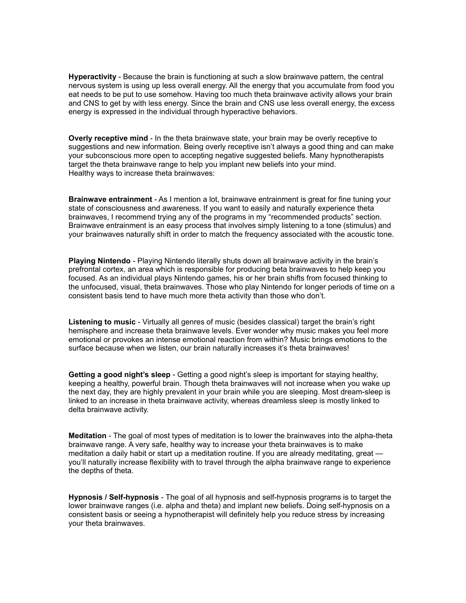**Hyperactivity** - Because the brain is functioning at such a slow brainwave pattern, the central nervous system is using up less overall energy. All the energy that you accumulate from food you eat needs to be put to use somehow. Having too much theta brainwave activity allows your brain and CNS to get by with less energy. Since the brain and CNS use less overall energy, the excess energy is expressed in the individual through hyperactive behaviors.

**Overly receptive mind** - In the theta brainwave state, your brain may be overly receptive to suggestions and new information. Being overly receptive isn't always a good thing and can make your subconscious more open to accepting negative suggested beliefs. Many hypnotherapists target the theta brainwave range to help you implant new beliefs into your mind. Healthy ways to increase theta brainwaves:

**Brainwave entrainment** - As I mention a lot, brainwave entrainment is great for fine tuning your state of consciousness and awareness. If you want to easily and naturally experience theta brainwaves, I recommend trying any of the programs in my "recommended products" section. Brainwave entrainment is an easy process that involves simply listening to a tone (stimulus) and your brainwaves naturally shift in order to match the frequency associated with the acoustic tone.

**Playing Nintendo** - Playing Nintendo literally shuts down all brainwave activity in the brain's prefrontal cortex, an area which is responsible for producing beta brainwaves to help keep you focused. As an individual plays Nintendo games, his or her brain shifts from focused thinking to the unfocused, visual, theta brainwaves. Those who play Nintendo for longer periods of time on a consistent basis tend to have much more theta activity than those who don't.

**Listening to music** - Virtually all genres of music (besides classical) target the brain's right hemisphere and increase theta brainwave levels. Ever wonder why music makes you feel more emotional or provokes an intense emotional reaction from within? Music brings emotions to the surface because when we listen, our brain naturally increases it's theta brainwaves!

**Getting a good night's sleep** - Getting a good night's sleep is important for staying healthy, keeping a healthy, powerful brain. Though theta brainwaves will not increase when you wake up the next day, they are highly prevalent in your brain while you are sleeping. Most dream-sleep is linked to an increase in theta brainwave activity, whereas dreamless sleep is mostly linked to delta brainwave activity.

**Meditation** - The goal of most types of meditation is to lower the brainwaves into the alpha-theta brainwave range. A very safe, healthy way to increase your theta brainwaves is to make meditation a daily habit or start up a meditation routine. If you are already meditating, great you'll naturally increase flexibility with to travel through the alpha brainwave range to experience the depths of theta.

**Hypnosis / Self-hypnosis** - The goal of all hypnosis and self-hypnosis programs is to target the lower brainwave ranges (i.e. alpha and theta) and implant new beliefs. Doing self-hypnosis on a consistent basis or seeing a hypnotherapist will definitely help you reduce stress by increasing your theta brainwaves.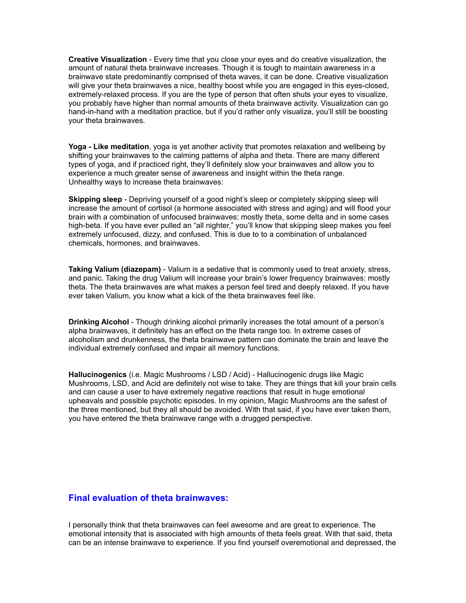**Creative Visualization** - Every time that you close your eyes and do creative visualization, the amount of natural theta brainwave increases. Though it is tough to maintain awareness in a brainwave state predominantly comprised of theta waves, it can be done. Creative visualization will give your theta brainwaves a nice, healthy boost while you are engaged in this eyes-closed, extremely-relaxed process. If you are the type of person that often shuts your eyes to visualize, you probably have higher than normal amounts of theta brainwave activity. Visualization can go hand-in-hand with a meditation practice, but if you'd rather only visualize, you'll still be boosting your theta brainwaves.

**Yoga - Like meditation**, yoga is yet another activity that promotes relaxation and wellbeing by shifting your brainwaves to the calming patterns of alpha and theta. There are many different types of yoga, and if practiced right, they'll definitely slow your brainwaves and allow you to experience a much greater sense of awareness and insight within the theta range. Unhealthy ways to increase theta brainwaves:

**Skipping sleep** - Depriving yourself of a good night's sleep or completely skipping sleep will increase the amount of cortisol (a hormone associated with stress and aging) and will flood your brain with a combination of unfocused brainwaves: mostly theta, some delta and in some cases high-beta. If you have ever pulled an "all nighter," you'll know that skipping sleep makes you feel extremely unfocused, dizzy, and confused. This is due to to a combination of unbalanced chemicals, hormones, and brainwaves.

**Taking Valium (diazepam)** - Valium is a sedative that is commonly used to treat anxiety, stress, and panic. Taking the drug Valium will increase your brain's lower frequency brainwaves: mostly theta. The theta brainwaves are what makes a person feel tired and deeply relaxed. If you have ever taken Valium, you know what a kick of the theta brainwaves feel like.

**Drinking Alcohol** - Though drinking alcohol primarily increases the total amount of a person's alpha brainwaves, it definitely has an effect on the theta range too. In extreme cases of alcoholism and drunkenness, the theta brainwave pattern can dominate the brain and leave the individual extremely confused and impair all memory functions.

**Hallucinogenics** (i.e. Magic Mushrooms / LSD / Acid) - Hallucinogenic drugs like Magic Mushrooms, LSD, and Acid are definitely not wise to take. They are things that kill your brain cells and can cause a user to have extremely negative reactions that result in huge emotional upheavals and possible psychotic episodes. In my opinion, Magic Mushrooms are the safest of the three mentioned, but they all should be avoided. With that said, if you have ever taken them, you have entered the theta brainwave range with a drugged perspective.

#### **Final evaluation of theta brainwaves:**

I personally think that theta brainwaves can feel awesome and are great to experience. The emotional intensity that is associated with high amounts of theta feels great. With that said, theta can be an intense brainwave to experience. If you find yourself overemotional and depressed, the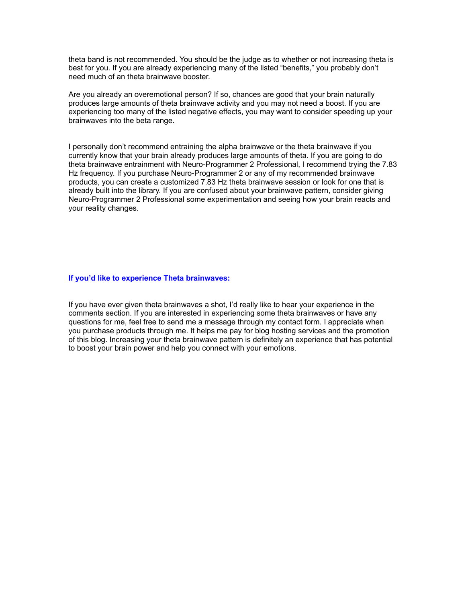theta band is not recommended. You should be the judge as to whether or not increasing theta is best for you. If you are already experiencing many of the listed "benefits," you probably don't need much of an theta brainwave booster.

Are you already an overemotional person? If so, chances are good that your brain naturally produces large amounts of theta brainwave activity and you may not need a boost. If you are experiencing too many of the listed negative effects, you may want to consider speeding up your brainwaves into the beta range.

I personally don't recommend entraining the alpha brainwave or the theta brainwave if you currently know that your brain already produces large amounts of theta. If you are going to do theta brainwave entrainment with Neuro-Programmer 2 Professional, I recommend trying the 7.83 Hz frequency. If you purchase Neuro-Programmer 2 or any of my recommended brainwave products, you can create a customized 7.83 Hz theta brainwave session or look for one that is already built into the library. If you are confused about your brainwave pattern, consider giving Neuro-Programmer 2 Professional some experimentation and seeing how your brain reacts and your reality changes.

#### **If you'd like to experience Theta brainwaves:**

If you have ever given theta brainwaves a shot, I'd really like to hear your experience in the comments section. If you are interested in experiencing some theta brainwaves or have any questions for me, feel free to send me a message through my contact form. I appreciate when you purchase products through me. It helps me pay for blog hosting services and the promotion of this blog. Increasing your theta brainwave pattern is definitely an experience that has potential to boost your brain power and help you connect with your emotions.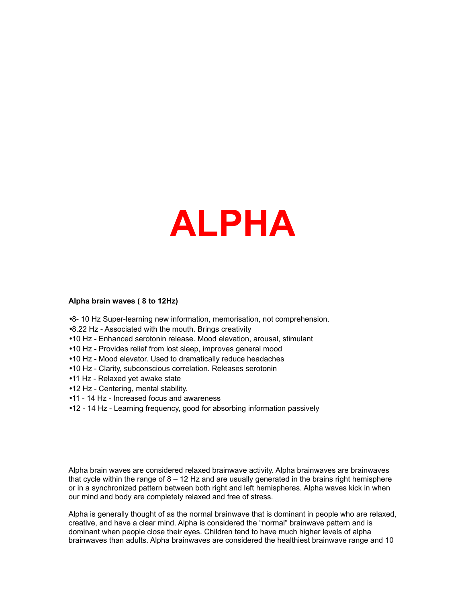# **ALPHA**

#### **Alpha brain waves ( 8 to 12Hz)**

- •8- 10 Hz Super-learning new information, memorisation, not comprehension.
- •8.22 Hz Associated with the mouth. Brings creativity
- •10 Hz Enhanced serotonin release. Mood elevation, arousal, stimulant
- •10 Hz Provides relief from lost sleep, improves general mood
- •10 Hz Mood elevator. Used to dramatically reduce headaches
- •10 Hz Clarity, subconscious correlation. Releases serotonin
- •11 Hz Relaxed yet awake state
- •12 Hz Centering, mental stability.
- •11 14 Hz Increased focus and awareness
- •12 14 Hz Learning frequency, good for absorbing information passively

Alpha brain waves are considered relaxed brainwave activity. Alpha brainwaves are brainwaves that cycle within the range of 8 – 12 Hz and are usually generated in the brains right hemisphere or in a synchronized pattern between both right and left hemispheres. Alpha waves kick in when our mind and body are completely relaxed and free of stress.

Alpha is generally thought of as the normal brainwave that is dominant in people who are relaxed, creative, and have a clear mind. Alpha is considered the "normal" brainwave pattern and is dominant when people close their eyes. Children tend to have much higher levels of alpha brainwaves than adults. Alpha brainwaves are considered the healthiest brainwave range and 10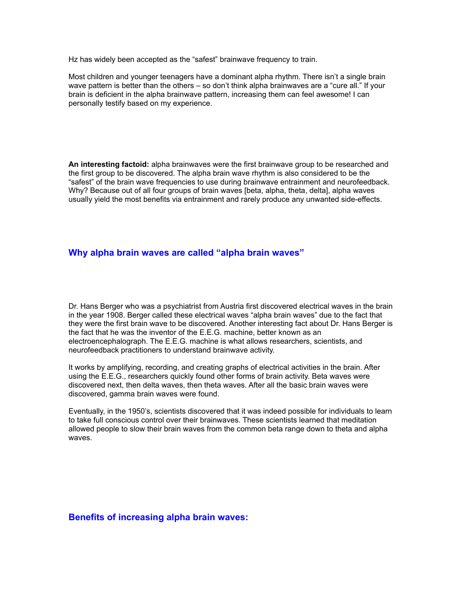Hz has widely been accepted as the "safest" brainwave frequency to train.

Most children and younger teenagers have a dominant alpha rhythm. There isn't a single brain wave pattern is better than the others – so don't think alpha brainwaves are a "cure all." If your brain is deficient in the alpha brainwave pattern, increasing them can feel awesome! I can personally testify based on my experience.

**An interesting factoid:** alpha brainwaves were the first brainwave group to be researched and the first group to be discovered. The alpha brain wave rhythm is also considered to be the "safest" of the brain wave frequencies to use during brainwave entrainment and neurofeedback. Why? Because out of all four groups of brain waves [beta, alpha, theta, delta], alpha waves usually yield the most benefits via entrainment and rarely produce any unwanted side-effects.

# **Why alpha brain waves are called "alpha brain waves"**

Dr. Hans Berger who was a psychiatrist from Austria first discovered electrical waves in the brain in the year 1908. Berger called these electrical waves "alpha brain waves" due to the fact that they were the first brain wave to be discovered. Another interesting fact about Dr. Hans Berger is the fact that he was the inventor of the E.E.G. machine, better known as an electroencephalograph. The E.E.G. machine is what allows researchers, scientists, and neurofeedback practitioners to understand brainwave activity.

It works by amplifying, recording, and creating graphs of electrical activities in the brain. After using the E.E.G., researchers quickly found other forms of brain activity. Beta waves were discovered next, then delta waves, then theta waves. After all the basic brain waves were discovered, gamma brain waves were found.

Eventually, in the 1950's, scientists discovered that it was indeed possible for individuals to learn to take full conscious control over their brainwaves. These scientists learned that meditation allowed people to slow their brain waves from the common beta range down to theta and alpha waves.

### **Benefits of increasing alpha brain waves:**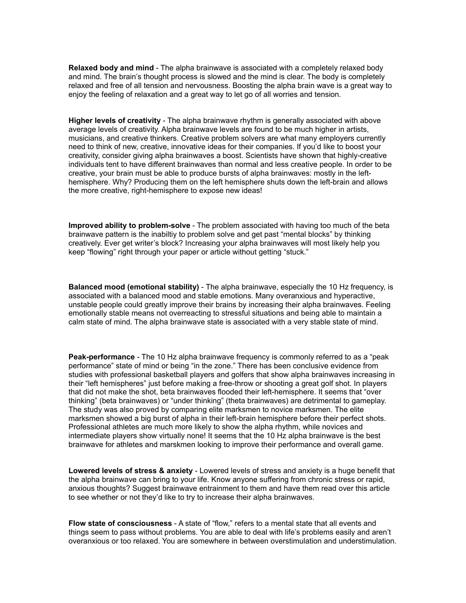**Relaxed body and mind** - The alpha brainwave is associated with a completely relaxed body and mind. The brain's thought process is slowed and the mind is clear. The body is completely relaxed and free of all tension and nervousness. Boosting the alpha brain wave is a great way to enjoy the feeling of relaxation and a great way to let go of all worries and tension.

**Higher levels of creativity** - The alpha brainwave rhythm is generally associated with above average levels of creativity. Alpha brainwave levels are found to be much higher in artists, musicians, and creative thinkers. Creative problem solvers are what many employers currently need to think of new, creative, innovative ideas for their companies. If you'd like to boost your creativity, consider giving alpha brainwaves a boost. Scientists have shown that highly-creative individuals tent to have different brainwaves than normal and less creative people. In order to be creative, your brain must be able to produce bursts of alpha brainwaves: mostly in the lefthemisphere. Why? Producing them on the left hemisphere shuts down the left-brain and allows the more creative, right-hemisphere to expose new ideas!

**Improved ability to problem-solve** - The problem associated with having too much of the beta brainwave pattern is the inabiltiy to problem solve and get past "mental blocks" by thinking creatively. Ever get writer's block? Increasing your alpha brainwaves will most likely help you keep "flowing" right through your paper or article without getting "stuck."

**Balanced mood (emotional stability)** - The alpha brainwave, especially the 10 Hz frequency, is associated with a balanced mood and stable emotions. Many overanxious and hyperactive, unstable people could greatly improve their brains by increasing their alpha brainwaves. Feeling emotionally stable means not overreacting to stressful situations and being able to maintain a calm state of mind. The alpha brainwave state is associated with a very stable state of mind.

**Peak-performance** - The 10 Hz alpha brainwave frequency is commonly referred to as a "peak performance" state of mind or being "in the zone." There has been conclusive evidence from studies with professional basketball players and golfers that show alpha brainwaves increasing in their "left hemispheres" just before making a free-throw or shooting a great golf shot. In players that did not make the shot, beta brainwaves flooded their left-hemisphere. It seems that "over thinking" (beta brainwaves) or "under thinking" (theta brainwaves) are detrimental to gameplay. The study was also proved by comparing elite marksmen to novice marksmen. The elite marksmen showed a big burst of alpha in their left-brain hemisphere before their perfect shots. Professional athletes are much more likely to show the alpha rhythm, while novices and intermediate players show virtually none! It seems that the 10 Hz alpha brainwave is the best brainwave for athletes and marskmen looking to improve their performance and overall game.

**Lowered levels of stress & anxiety** - Lowered levels of stress and anxiety is a huge benefit that the alpha brainwave can bring to your life. Know anyone suffering from chronic stress or rapid, anxious thoughts? Suggest brainwave entrainment to them and have them read over this article to see whether or not they'd like to try to increase their alpha brainwaves.

**Flow state of consciousness** - A state of "flow," refers to a mental state that all events and things seem to pass without problems. You are able to deal with life's problems easily and aren't overanxious or too relaxed. You are somewhere in between overstimulation and understimulation.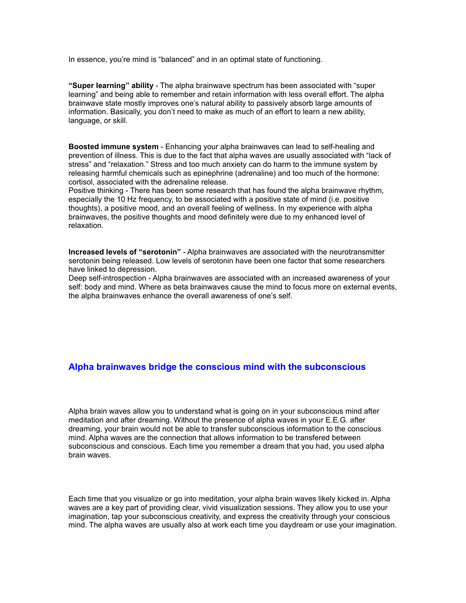In essence, you're mind is "balanced" and in an optimal state of functioning.

**"Super learning" ability** - The alpha brainwave spectrum has been associated with "super learning" and being able to remember and retain information with less overall effort. The alpha brainwave state mostly improves one's natural ability to passively absorb large amounts of information. Basically, you don't need to make as much of an effort to learn a new ability, language, or skill.

**Boosted immune system** - Enhancing your alpha brainwaves can lead to self-healing and prevention of illness. This is due to the fact that alpha waves are usually associated with "lack of stress" and "relaxation." Stress and too much anxiety can do harm to the immune system by releasing harmful chemicals such as epinephrine (adrenaline) and too much of the hormone: cortisol, associated with the adrenaline release.

Positive thinking - There has been some research that has found the alpha brainwave rhythm, especially the 10 Hz frequency, to be associated with a positive state of mind (i.e. positive thoughts), a positive mood, and an overall feeling of wellness. In my experience with alpha brainwaves, the positive thoughts and mood definitely were due to my enhanced level of relaxation.

**Increased levels of "serotonin"** - Alpha brainwaves are associated with the neurotransmitter serotonin being released. Low levels of serotonin have been one factor that some researchers have linked to depression.

Deep self-introspection - Alpha brainwaves are associated with an increased awareness of your self: body and mind. Where as beta brainwaves cause the mind to focus more on external events, the alpha brainwaves enhance the overall awareness of one's self.

# **Alpha brainwaves bridge the conscious mind with the subconscious**

Alpha brain waves allow you to understand what is going on in your subconscious mind after meditation and after dreaming. Without the presence of alpha waves in your E.E.G. after dreaming, your brain would not be able to transfer subconscious information to the conscious mind. Alpha waves are the connection that allows information to be transfered between subconscious and conscious. Each time you remember a dream that you had, you used alpha brain waves.

Each time that you visualize or go into meditation, your alpha brain waves likely kicked in. Alpha waves are a key part of providing clear, vivid visualization sessions. They allow you to use your imagination, tap your subconscious creativity, and express the creativity through your conscious mind. The alpha waves are usually also at work each time you daydream or use your imagination.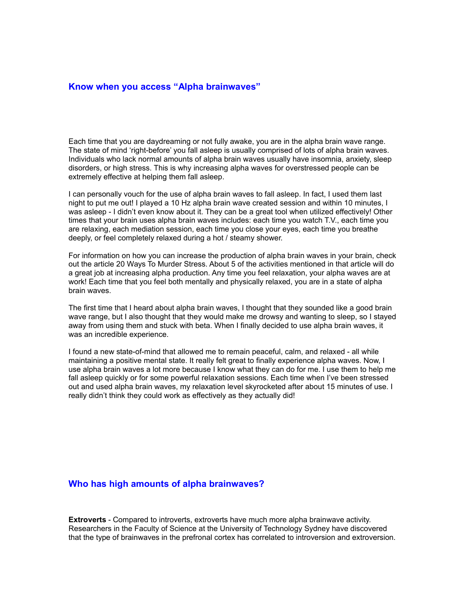### **Know when you access "Alpha brainwaves"**

Each time that you are daydreaming or not fully awake, you are in the alpha brain wave range. The state of mind 'right-before' you fall asleep is usually comprised of lots of alpha brain waves. Individuals who lack normal amounts of alpha brain waves usually have insomnia, anxiety, sleep disorders, or high stress. This is why increasing alpha waves for overstressed people can be extremely effective at helping them fall asleep.

I can personally vouch for the use of alpha brain waves to fall asleep. In fact, I used them last night to put me out! I played a 10 Hz alpha brain wave created session and within 10 minutes, I was asleep - I didn't even know about it. They can be a great tool when utilized effectively! Other times that your brain uses alpha brain waves includes: each time you watch T.V., each time you are relaxing, each mediation session, each time you close your eyes, each time you breathe deeply, or feel completely relaxed during a hot / steamy shower.

For information on how you can increase the production of alpha brain waves in your brain, check out the article 20 Ways To Murder Stress. About 5 of the activities mentioned in that article will do a great job at increasing alpha production. Any time you feel relaxation, your alpha waves are at work! Each time that you feel both mentally and physically relaxed, you are in a state of alpha brain waves.

The first time that I heard about alpha brain waves, I thought that they sounded like a good brain wave range, but I also thought that they would make me drowsy and wanting to sleep, so I stayed away from using them and stuck with beta. When I finally decided to use alpha brain waves, it was an incredible experience.

I found a new state-of-mind that allowed me to remain peaceful, calm, and relaxed - all while maintaining a positive mental state. It really felt great to finally experience alpha waves. Now, I use alpha brain waves a lot more because I know what they can do for me. I use them to help me fall asleep quickly or for some powerful relaxation sessions. Each time when I've been stressed out and used alpha brain waves, my relaxation level skyrocketed after about 15 minutes of use. I really didn't think they could work as effectively as they actually did!

### **Who has high amounts of alpha brainwaves?**

**Extroverts** - Compared to introverts, extroverts have much more alpha brainwave activity. Researchers in the Faculty of Science at the University of Technology Sydney have discovered that the type of brainwaves in the prefronal cortex has correlated to introversion and extroversion.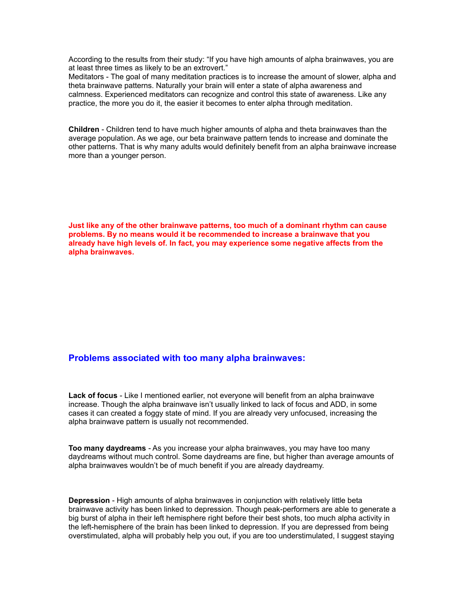According to the results from their study: "If you have high amounts of alpha brainwaves, you are at least three times as likely to be an extrovert."

Meditators - The goal of many meditation practices is to increase the amount of slower, alpha and theta brainwave patterns. Naturally your brain will enter a state of alpha awareness and calmness. Experienced meditators can recognize and control this state of awareness. Like any practice, the more you do it, the easier it becomes to enter alpha through meditation.

**Children** - Children tend to have much higher amounts of alpha and theta brainwaves than the average population. As we age, our beta brainwave pattern tends to increase and dominate the other patterns. That is why many adults would definitely benefit from an alpha brainwave increase more than a younger person.

**Just like any of the other brainwave patterns, too much of a dominant rhythm can cause problems. By no means would it be recommended to increase a brainwave that you already have high levels of. In fact, you may experience some negative affects from the alpha brainwaves.**

### **Problems associated with too many alpha brainwaves:**

**Lack of focus** - Like I mentioned earlier, not everyone will benefit from an alpha brainwave increase. Though the alpha brainwave isn't usually linked to lack of focus and ADD, in some cases it can created a foggy state of mind. If you are already very unfocused, increasing the alpha brainwave pattern is usually not recommended.

**Too many daydreams** - As you increase your alpha brainwaves, you may have too many daydreams without much control. Some daydreams are fine, but higher than average amounts of alpha brainwaves wouldn't be of much benefit if you are already daydreamy.

**Depression** - High amounts of alpha brainwaves in conjunction with relatively little beta brainwave activity has been linked to depression. Though peak-performers are able to generate a big burst of alpha in their left hemisphere right before their best shots, too much alpha activity in the left-hemisphere of the brain has been linked to depression. If you are depressed from being overstimulated, alpha will probably help you out, if you are too understimulated, I suggest staying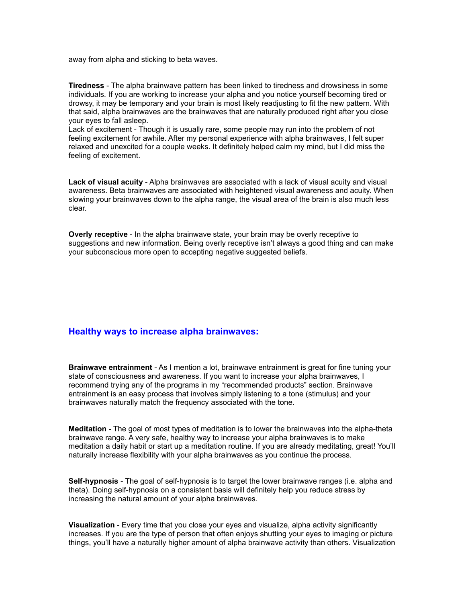away from alpha and sticking to beta waves.

**Tiredness** - The alpha brainwave pattern has been linked to tiredness and drowsiness in some individuals. If you are working to increase your alpha and you notice yourself becoming tired or drowsy, it may be temporary and your brain is most likely readjusting to fit the new pattern. With that said, alpha brainwaves are the brainwaves that are naturally produced right after you close your eyes to fall asleep.

Lack of excitement - Though it is usually rare, some people may run into the problem of not feeling excitement for awhile. After my personal experience with alpha brainwaves, I felt super relaxed and unexcited for a couple weeks. It definitely helped calm my mind, but I did miss the feeling of excitement.

**Lack of visual acuity** - Alpha brainwaves are associated with a lack of visual acuity and visual awareness. Beta brainwaves are associated with heightened visual awareness and acuity. When slowing your brainwaves down to the alpha range, the visual area of the brain is also much less clear.

**Overly receptive** - In the alpha brainwave state, your brain may be overly receptive to suggestions and new information. Being overly receptive isn't always a good thing and can make your subconscious more open to accepting negative suggested beliefs.

### **Healthy ways to increase alpha brainwaves:**

**Brainwave entrainment** - As I mention a lot, brainwave entrainment is great for fine tuning your state of consciousness and awareness. If you want to increase your alpha brainwaves, I recommend trying any of the programs in my "recommended products" section. Brainwave entrainment is an easy process that involves simply listening to a tone (stimulus) and your brainwaves naturally match the frequency associated with the tone.

**Meditation** - The goal of most types of meditation is to lower the brainwaves into the alpha-theta brainwave range. A very safe, healthy way to increase your alpha brainwaves is to make meditation a daily habit or start up a meditation routine. If you are already meditating, great! You'll naturally increase flexibility with your alpha brainwaves as you continue the process.

**Self-hypnosis** - The goal of self-hypnosis is to target the lower brainwave ranges (i.e. alpha and theta). Doing self-hypnosis on a consistent basis will definitely help you reduce stress by increasing the natural amount of your alpha brainwaves.

**Visualization** - Every time that you close your eyes and visualize, alpha activity significantly increases. If you are the type of person that often enjoys shutting your eyes to imaging or picture things, you'll have a naturally higher amount of alpha brainwave activity than others. Visualization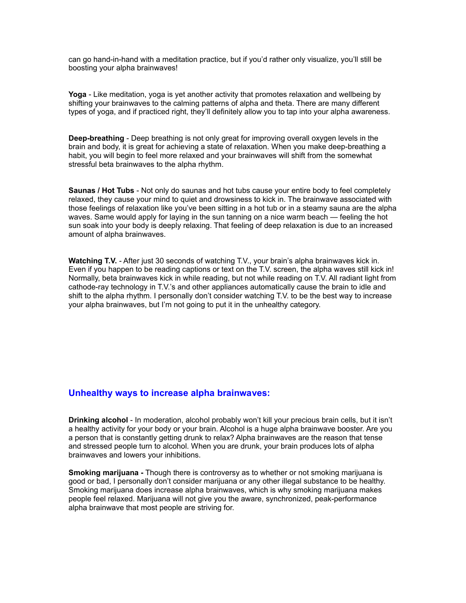can go hand-in-hand with a meditation practice, but if you'd rather only visualize, you'll still be boosting your alpha brainwaves!

**Yoga** - Like meditation, yoga is yet another activity that promotes relaxation and wellbeing by shifting your brainwaves to the calming patterns of alpha and theta. There are many different types of yoga, and if practiced right, they'll definitely allow you to tap into your alpha awareness.

**Deep-breathing** - Deep breathing is not only great for improving overall oxygen levels in the brain and body, it is great for achieving a state of relaxation. When you make deep-breathing a habit, you will begin to feel more relaxed and your brainwaves will shift from the somewhat stressful beta brainwaves to the alpha rhythm.

**Saunas / Hot Tubs** - Not only do saunas and hot tubs cause your entire body to feel completely relaxed, they cause your mind to quiet and drowsiness to kick in. The brainwave associated with those feelings of relaxation like you've been sitting in a hot tub or in a steamy sauna are the alpha waves. Same would apply for laying in the sun tanning on a nice warm beach — feeling the hot sun soak into your body is deeply relaxing. That feeling of deep relaxation is due to an increased amount of alpha brainwaves.

**Watching T.V.** - After just 30 seconds of watching T.V., your brain's alpha brainwaves kick in. Even if you happen to be reading captions or text on the T.V. screen, the alpha waves still kick in! Normally, beta brainwaves kick in while reading, but not while reading on T.V. All radiant light from cathode-ray technology in T.V.'s and other appliances automatically cause the brain to idle and shift to the alpha rhythm. I personally don't consider watching T.V. to be the best way to increase your alpha brainwaves, but I'm not going to put it in the unhealthy category.

### **Unhealthy ways to increase alpha brainwaves:**

**Drinking alcohol** - In moderation, alcohol probably won't kill your precious brain cells, but it isn't a healthy activity for your body or your brain. Alcohol is a huge alpha brainwave booster. Are you a person that is constantly getting drunk to relax? Alpha brainwaves are the reason that tense and stressed people turn to alcohol. When you are drunk, your brain produces lots of alpha brainwaves and lowers your inhibitions.

**Smoking marijuana -** Though there is controversy as to whether or not smoking marijuana is good or bad, I personally don't consider marijuana or any other illegal substance to be healthy. Smoking marijuana does increase alpha brainwaves, which is why smoking marijuana makes people feel relaxed. Marijuana will not give you the aware, synchronized, peak-performance alpha brainwave that most people are striving for.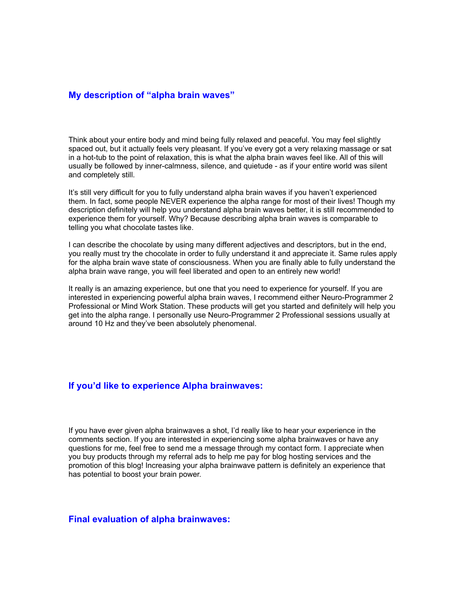### **My description of "alpha brain waves"**

Think about your entire body and mind being fully relaxed and peaceful. You may feel slightly spaced out, but it actually feels very pleasant. If you've every got a very relaxing massage or sat in a hot-tub to the point of relaxation, this is what the alpha brain waves feel like. All of this will usually be followed by inner-calmness, silence, and quietude - as if your entire world was silent and completely still.

It's still very difficult for you to fully understand alpha brain waves if you haven't experienced them. In fact, some people NEVER experience the alpha range for most of their lives! Though my description definitely will help you understand alpha brain waves better, it is still recommended to experience them for yourself. Why? Because describing alpha brain waves is comparable to telling you what chocolate tastes like.

I can describe the chocolate by using many different adjectives and descriptors, but in the end, you really must try the chocolate in order to fully understand it and appreciate it. Same rules apply for the alpha brain wave state of consciousness. When you are finally able to fully understand the alpha brain wave range, you will feel liberated and open to an entirely new world!

It really is an amazing experience, but one that you need to experience for yourself. If you are interested in experiencing powerful alpha brain waves, I recommend either Neuro-Programmer 2 Professional or Mind Work Station. These products will get you started and definitely will help you get into the alpha range. I personally use Neuro-Programmer 2 Professional sessions usually at around 10 Hz and they've been absolutely phenomenal.

### **If you'd like to experience Alpha brainwaves:**

If you have ever given alpha brainwaves a shot, I'd really like to hear your experience in the comments section. If you are interested in experiencing some alpha brainwaves or have any questions for me, feel free to send me a message through my contact form. I appreciate when you buy products through my referral ads to help me pay for blog hosting services and the promotion of this blog! Increasing your alpha brainwave pattern is definitely an experience that has potential to boost your brain power.

# **Final evaluation of alpha brainwaves:**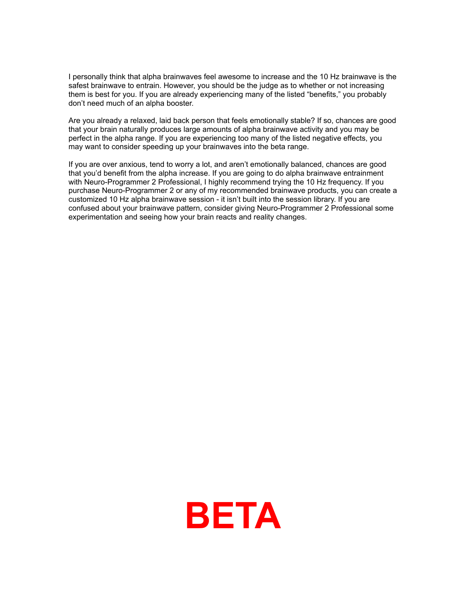I personally think that alpha brainwaves feel awesome to increase and the 10 Hz brainwave is the safest brainwave to entrain. However, you should be the judge as to whether or not increasing them is best for you. If you are already experiencing many of the listed "benefits," you probably don't need much of an alpha booster.

Are you already a relaxed, laid back person that feels emotionally stable? If so, chances are good that your brain naturally produces large amounts of alpha brainwave activity and you may be perfect in the alpha range. If you are experiencing too many of the listed negative effects, you may want to consider speeding up your brainwaves into the beta range.

If you are over anxious, tend to worry a lot, and aren't emotionally balanced, chances are good that you'd benefit from the alpha increase. If you are going to do alpha brainwave entrainment with Neuro-Programmer 2 Professional, I highly recommend trying the 10 Hz frequency. If you purchase Neuro-Programmer 2 or any of my recommended brainwave products, you can create a customized 10 Hz alpha brainwave session - it isn't built into the session library. If you are confused about your brainwave pattern, consider giving Neuro-Programmer 2 Professional some experimentation and seeing how your brain reacts and reality changes.

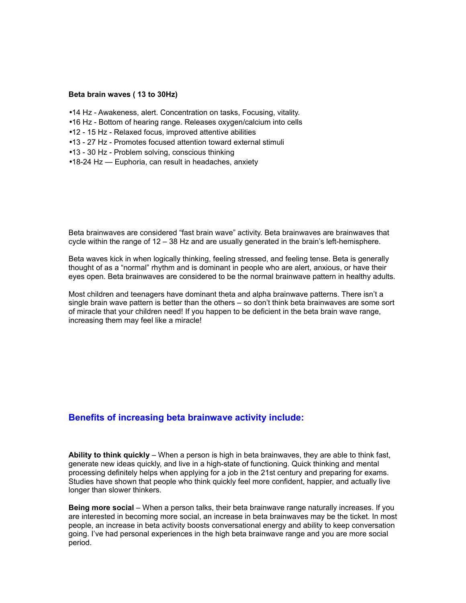#### **Beta brain waves ( 13 to 30Hz)**

- •14 Hz Awakeness, alert. Concentration on tasks, Focusing, vitality.
- •16 Hz Bottom of hearing range. Releases oxygen/calcium into cells
- •12 15 Hz Relaxed focus, improved attentive abilities
- •13 27 Hz Promotes focused attention toward external stimuli
- •13 30 Hz Problem solving, conscious thinking
- •18-24 Hz Euphoria, can result in headaches, anxiety

Beta brainwaves are considered "fast brain wave" activity. Beta brainwaves are brainwaves that cycle within the range of 12 – 38 Hz and are usually generated in the brain's left-hemisphere.

Beta waves kick in when logically thinking, feeling stressed, and feeling tense. Beta is generally thought of as a "normal" rhythm and is dominant in people who are alert, anxious, or have their eyes open. Beta brainwaves are considered to be the normal brainwave pattern in healthy adults.

Most children and teenagers have dominant theta and alpha brainwave patterns. There isn't a single brain wave pattern is better than the others – so don't think beta brainwaves are some sort of miracle that your children need! If you happen to be deficient in the beta brain wave range, increasing them may feel like a miracle!

### **Benefits of increasing beta brainwave activity include:**

**Ability to think quickly** – When a person is high in beta brainwaves, they are able to think fast, generate new ideas quickly, and live in a high-state of functioning. Quick thinking and mental processing definitely helps when applying for a job in the 21st century and preparing for exams. Studies have shown that people who think quickly feel more confident, happier, and actually live longer than slower thinkers.

**Being more social** – When a person talks, their beta brainwave range naturally increases. If you are interested in becoming more social, an increase in beta brainwaves may be the ticket. In most people, an increase in beta activity boosts conversational energy and ability to keep conversation going. I've had personal experiences in the high beta brainwave range and you are more social period.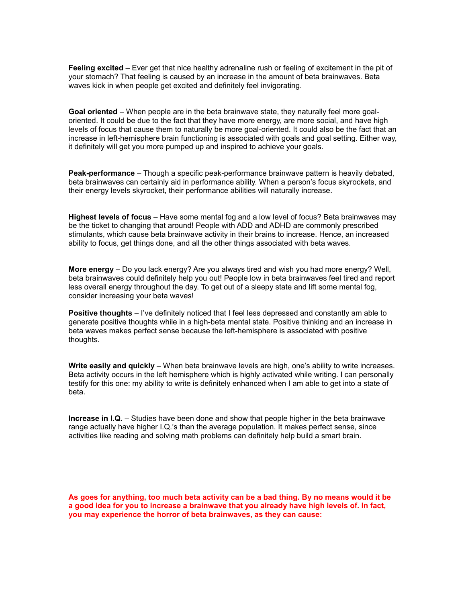**Feeling excited** – Ever get that nice healthy adrenaline rush or feeling of excitement in the pit of your stomach? That feeling is caused by an increase in the amount of beta brainwaves. Beta waves kick in when people get excited and definitely feel invigorating.

**Goal oriented** – When people are in the beta brainwave state, they naturally feel more goaloriented. It could be due to the fact that they have more energy, are more social, and have high levels of focus that cause them to naturally be more goal-oriented. It could also be the fact that an increase in left-hemisphere brain functioning is associated with goals and goal setting. Either way, it definitely will get you more pumped up and inspired to achieve your goals.

**Peak-performance** – Though a specific peak-performance brainwave pattern is heavily debated, beta brainwaves can certainly aid in performance ability. When a person's focus skyrockets, and their energy levels skyrocket, their performance abilities will naturally increase.

**Highest levels of focus** – Have some mental fog and a low level of focus? Beta brainwaves may be the ticket to changing that around! People with ADD and ADHD are commonly prescribed stimulants, which cause beta brainwave activity in their brains to increase. Hence, an increased ability to focus, get things done, and all the other things associated with beta waves.

**More energy** – Do you lack energy? Are you always tired and wish you had more energy? Well, beta brainwaves could definitely help you out! People low in beta brainwaves feel tired and report less overall energy throughout the day. To get out of a sleepy state and lift some mental fog, consider increasing your beta waves!

**Positive thoughts** – I've definitely noticed that I feel less depressed and constantly am able to generate positive thoughts while in a high-beta mental state. Positive thinking and an increase in beta waves makes perfect sense because the left-hemisphere is associated with positive thoughts.

**Write easily and quickly** – When beta brainwave levels are high, one's ability to write increases. Beta activity occurs in the left hemisphere which is highly activated while writing. I can personally testify for this one: my ability to write is definitely enhanced when I am able to get into a state of beta.

**Increase in I.Q.** – Studies have been done and show that people higher in the beta brainwave range actually have higher I.Q.'s than the average population. It makes perfect sense, since activities like reading and solving math problems can definitely help build a smart brain.

**As goes for anything, too much beta activity can be a bad thing. By no means would it be a good idea for you to increase a brainwave that you already have high levels of. In fact, you may experience the horror of beta brainwaves, as they can cause:**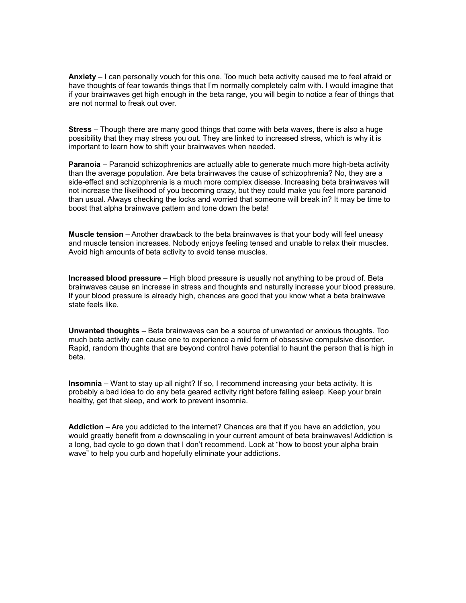**Anxiety** – I can personally vouch for this one. Too much beta activity caused me to feel afraid or have thoughts of fear towards things that I'm normally completely calm with. I would imagine that if your brainwaves get high enough in the beta range, you will begin to notice a fear of things that are not normal to freak out over.

**Stress** – Though there are many good things that come with beta waves, there is also a huge possibility that they may stress you out. They are linked to increased stress, which is why it is important to learn how to shift your brainwaves when needed.

**Paranoia** – Paranoid schizophrenics are actually able to generate much more high-beta activity than the average population. Are beta brainwaves the cause of schizophrenia? No, they are a side-effect and schizophrenia is a much more complex disease. Increasing beta brainwaves will not increase the likelihood of you becoming crazy, but they could make you feel more paranoid than usual. Always checking the locks and worried that someone will break in? It may be time to boost that alpha brainwave pattern and tone down the beta!

**Muscle tension** – Another drawback to the beta brainwaves is that your body will feel uneasy and muscle tension increases. Nobody enjoys feeling tensed and unable to relax their muscles. Avoid high amounts of beta activity to avoid tense muscles.

**Increased blood pressure** – High blood pressure is usually not anything to be proud of. Beta brainwaves cause an increase in stress and thoughts and naturally increase your blood pressure. If your blood pressure is already high, chances are good that you know what a beta brainwave state feels like.

**Unwanted thoughts** – Beta brainwaves can be a source of unwanted or anxious thoughts. Too much beta activity can cause one to experience a mild form of obsessive compulsive disorder. Rapid, random thoughts that are beyond control have potential to haunt the person that is high in beta.

**Insomnia** – Want to stay up all night? If so, I recommend increasing your beta activity. It is probably a bad idea to do any beta geared activity right before falling asleep. Keep your brain healthy, get that sleep, and work to prevent insomnia.

**Addiction** – Are you addicted to the internet? Chances are that if you have an addiction, you would greatly benefit from a downscaling in your current amount of beta brainwaves! Addiction is a long, bad cycle to go down that I don't recommend. Look at "how to boost your alpha brain wave" to help you curb and hopefully eliminate your addictions.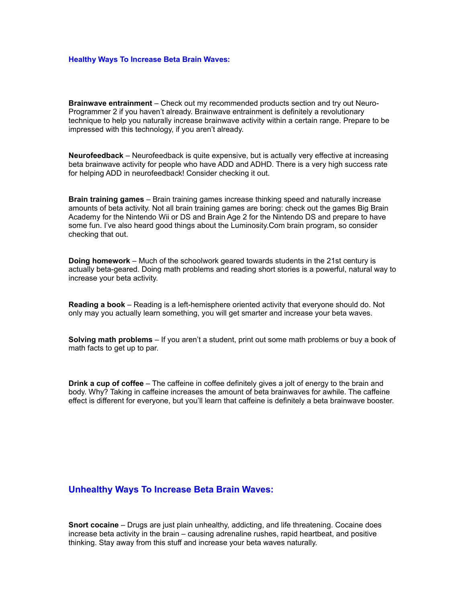#### **Healthy Ways To Increase Beta Brain Waves:**

**Brainwave entrainment** – Check out my recommended products section and try out Neuro-Programmer 2 if you haven't already. Brainwave entrainment is definitely a revolutionary technique to help you naturally increase brainwave activity within a certain range. Prepare to be impressed with this technology, if you aren't already.

**Neurofeedback** – Neurofeedback is quite expensive, but is actually very effective at increasing beta brainwave activity for people who have ADD and ADHD. There is a very high success rate for helping ADD in neurofeedback! Consider checking it out.

**Brain training games** – Brain training games increase thinking speed and naturally increase amounts of beta activity. Not all brain training games are boring: check out the games Big Brain Academy for the Nintendo Wii or DS and Brain Age 2 for the Nintendo DS and prepare to have some fun. I've also heard good things about the Luminosity.Com brain program, so consider checking that out.

**Doing homework** – Much of the schoolwork geared towards students in the 21st century is actually beta-geared. Doing math problems and reading short stories is a powerful, natural way to increase your beta activity.

**Reading a book** – Reading is a left-hemisphere oriented activity that everyone should do. Not only may you actually learn something, you will get smarter and increase your beta waves.

**Solving math problems** – If you aren't a student, print out some math problems or buy a book of math facts to get up to par.

**Drink a cup of coffee** – The caffeine in coffee definitely gives a jolt of energy to the brain and body. Why? Taking in caffeine increases the amount of beta brainwaves for awhile. The caffeine effect is different for everyone, but you'll learn that caffeine is definitely a beta brainwave booster.

### **Unhealthy Ways To Increase Beta Brain Waves:**

**Snort cocaine** – Drugs are just plain unhealthy, addicting, and life threatening. Cocaine does increase beta activity in the brain – causing adrenaline rushes, rapid heartbeat, and positive thinking. Stay away from this stuff and increase your beta waves naturally.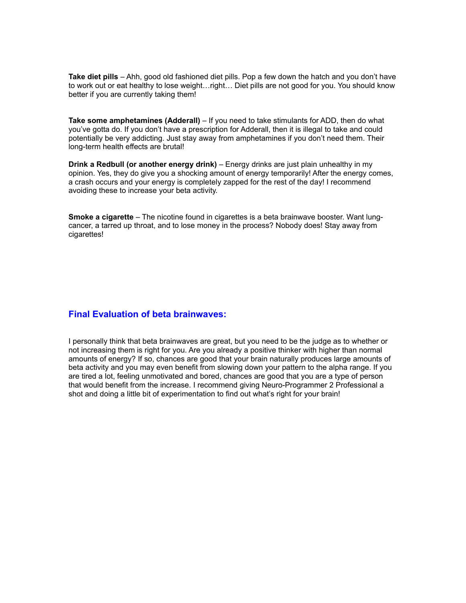**Take diet pills** – Ahh, good old fashioned diet pills. Pop a few down the hatch and you don't have to work out or eat healthy to lose weight…right… Diet pills are not good for you. You should know better if you are currently taking them!

**Take some amphetamines (Adderall)** – If you need to take stimulants for ADD, then do what you've gotta do. If you don't have a prescription for Adderall, then it is illegal to take and could potentially be very addicting. Just stay away from amphetamines if you don't need them. Their long-term health effects are brutal!

**Drink a Redbull (or another energy drink)** – Energy drinks are just plain unhealthy in my opinion. Yes, they do give you a shocking amount of energy temporarily! After the energy comes, a crash occurs and your energy is completely zapped for the rest of the day! I recommend avoiding these to increase your beta activity.

**Smoke a cigarette** – The nicotine found in cigarettes is a beta brainwave booster. Want lungcancer, a tarred up throat, and to lose money in the process? Nobody does! Stay away from cigarettes!

# **Final Evaluation of beta brainwaves:**

I personally think that beta brainwaves are great, but you need to be the judge as to whether or not increasing them is right for you. Are you already a positive thinker with higher than normal amounts of energy? If so, chances are good that your brain naturally produces large amounts of beta activity and you may even benefit from slowing down your pattern to the alpha range. If you are tired a lot, feeling unmotivated and bored, chances are good that you are a type of person that would benefit from the increase. I recommend giving Neuro-Programmer 2 Professional a shot and doing a little bit of experimentation to find out what's right for your brain!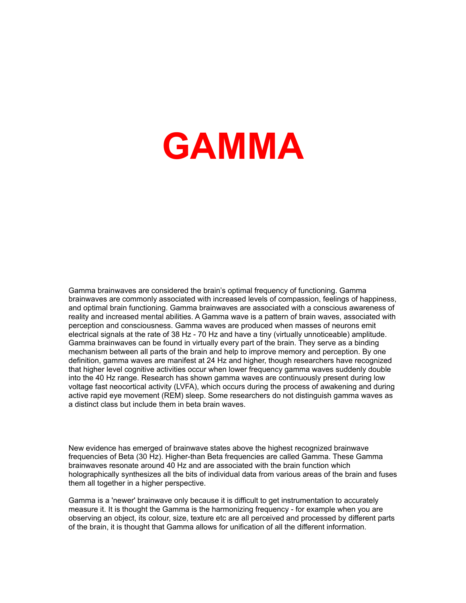

Gamma brainwaves are considered the brain's optimal frequency of functioning. Gamma brainwaves are commonly associated with increased levels of compassion, feelings of happiness, and optimal brain functioning. Gamma brainwaves are associated with a conscious awareness of reality and increased mental abilities. A Gamma wave is a pattern of brain waves, associated with perception and consciousness. Gamma waves are produced when masses of neurons emit electrical signals at the rate of 38 Hz - 70 Hz and have a tiny (virtually unnoticeable) amplitude. Gamma brainwaves can be found in virtually every part of the brain. They serve as a binding mechanism between all parts of the brain and help to improve memory and perception. By one definition, gamma waves are manifest at 24 Hz and higher, though researchers have recognized that higher level cognitive activities occur when lower frequency gamma waves suddenly double into the 40 Hz range. Research has shown gamma waves are continuously present during low voltage fast neocortical activity (LVFA), which occurs during the process of awakening and during active rapid eye movement (REM) sleep. Some researchers do not distinguish gamma waves as a distinct class but include them in beta brain waves.

New evidence has emerged of brainwave states above the highest recognized brainwave frequencies of Beta (30 Hz). Higher-than Beta frequencies are called Gamma. These Gamma brainwaves resonate around 40 Hz and are associated with the brain function which holographically synthesizes all the bits of individual data from various areas of the brain and fuses them all together in a higher perspective.

Gamma is a 'newer' brainwave only because it is difficult to get instrumentation to accurately measure it. It is thought the Gamma is the harmonizing frequency - for example when you are observing an object, its colour, size, texture etc are all perceived and processed by different parts of the brain, it is thought that Gamma allows for unification of all the different information.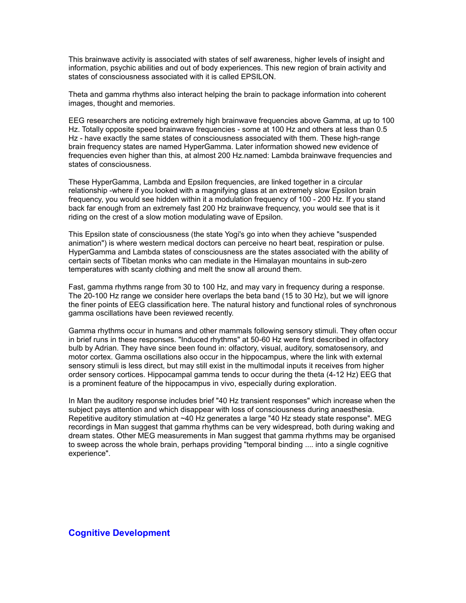This brainwave activity is associated with states of self awareness, higher levels of insight and information, psychic abilities and out of body experiences. This new region of brain activity and states of consciousness associated with it is called EPSILON.

Theta and gamma rhythms also interact helping the brain to package information into coherent images, thought and memories.

EEG researchers are noticing extremely high brainwave frequencies above Gamma, at up to 100 Hz. Totally opposite speed brainwave frequencies - some at 100 Hz and others at less than 0.5 Hz - have exactly the same states of consciousness associated with them. These high-range brain frequency states are named HyperGamma. Later information showed new evidence of frequencies even higher than this, at almost 200 Hz.named: Lambda brainwave frequencies and states of consciousness.

These HyperGamma, Lambda and Epsilon frequencies, are linked together in a circular relationship -where if you looked with a magnifying glass at an extremely slow Epsilon brain frequency, you would see hidden within it a modulation frequency of 100 - 200 Hz. If you stand back far enough from an extremely fast 200 Hz brainwave frequency, you would see that is it riding on the crest of a slow motion modulating wave of Epsilon.

This Epsilon state of consciousness (the state Yogi's go into when they achieve "suspended animation") is where western medical doctors can perceive no heart beat, respiration or pulse. HyperGamma and Lambda states of consciousness are the states associated with the ability of certain sects of Tibetan monks who can mediate in the Himalayan mountains in sub-zero temperatures with scanty clothing and melt the snow all around them.

Fast, gamma rhythms range from 30 to 100 Hz, and may vary in frequency during a response. The 20-100 Hz range we consider here overlaps the beta band (15 to 30 Hz), but we will ignore the finer points of EEG classification here. The natural history and functional roles of synchronous gamma oscillations have been reviewed recently.

Gamma rhythms occur in humans and other mammals following sensory stimuli. They often occur in brief runs in these responses. "Induced rhythms" at 50-60 Hz were first described in olfactory bulb by Adrian. They have since been found in: olfactory, visual, auditory, somatosensory, and motor cortex. Gamma oscillations also occur in the hippocampus, where the link with external sensory stimuli is less direct, but may still exist in the multimodal inputs it receives from higher order sensory cortices. Hippocampal gamma tends to occur during the theta (4-12 Hz) EEG that is a prominent feature of the hippocampus in vivo, especially during exploration.

In Man the auditory response includes brief "40 Hz transient responses" which increase when the subject pays attention and which disappear with loss of consciousness during anaesthesia. Repetitive auditory stimulation at ~40 Hz generates a large "40 Hz steady state response". MEG recordings in Man suggest that gamma rhythms can be very widespread, both during waking and dream states. Other MEG measurements in Man suggest that gamma rhythms may be organised to sweep across the whole brain, perhaps providing "temporal binding .... into a single cognitive experience".

### **Cognitive Development**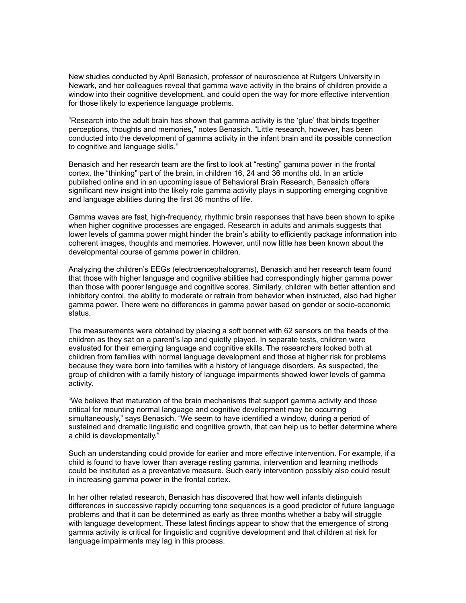New studies conducted by April Benasich, professor of neuroscience at Rutgers University in Newark, and her colleagues reveal that gamma wave activity in the brains of children provide a window into their cognitive development, and could open the way for more effective intervention for those likely to experience language problems.

"Research into the adult brain has shown that gamma activity is the 'glue' that binds together perceptions, thoughts and memories," notes Benasich. "Little research, however, has been conducted into the development of gamma activity in the infant brain and its possible connection to cognitive and language skills."

Benasich and her research team are the first to look at "resting" gamma power in the frontal cortex, the "thinking" part of the brain, in children 16, 24 and 36 months old. In an article published online and in an upcoming issue of Behavioral Brain Research, Benasich offers significant new insight into the likely role gamma activity plays in supporting emerging cognitive and language abilities during the first 36 months of life.

Gamma waves are fast, high-frequency, rhythmic brain responses that have been shown to spike when higher cognitive processes are engaged. Research in adults and animals suggests that lower levels of gamma power might hinder the brain's ability to efficiently package information into coherent images, thoughts and memories. However, until now little has been known about the developmental course of gamma power in children.

Analyzing the children's EEGs (electroencephalograms), Benasich and her research team found that those with higher language and cognitive abilities had correspondingly higher gamma power than those with poorer language and cognitive scores. Similarly, children with better attention and inhibitory control, the ability to moderate or refrain from behavior when instructed, also had higher gamma power. There were no differences in gamma power based on gender or socio-economic status.

The measurements were obtained by placing a soft bonnet with 62 sensors on the heads of the children as they sat on a parent's lap and quietly played. In separate tests, children were evaluated for their emerging language and cognitive skills. The researchers looked both at children from families with normal language development and those at higher risk for problems because they were born into families with a history of language disorders. As suspected, the group of children with a family history of language impairments showed lower levels of gamma activity.

"We believe that maturation of the brain mechanisms that support gamma activity and those critical for mounting normal language and cognitive development may be occurring simultaneously," says Benasich. "We seem to have identified a window, during a period of sustained and dramatic linguistic and cognitive growth, that can help us to better determine where a child is developmentally."

Such an understanding could provide for earlier and more effective intervention. For example, if a child is found to have lower than average resting gamma, intervention and learning methods could be instituted as a preventative measure. Such early intervention possibly also could result in increasing gamma power in the frontal cortex.

In her other related research, Benasich has discovered that how well infants distinguish differences in successive rapidly occurring tone sequences is a good predictor of future language problems and that it can be determined as early as three months whether a baby will struggle with language development. These latest findings appear to show that the emergence of strong gamma activity is critical for linguistic and cognitive development and that children at risk for language impairments may lag in this process.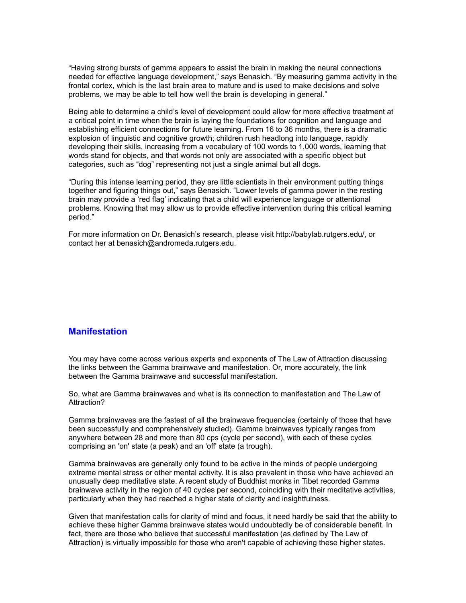"Having strong bursts of gamma appears to assist the brain in making the neural connections needed for effective language development," says Benasich. "By measuring gamma activity in the frontal cortex, which is the last brain area to mature and is used to make decisions and solve problems, we may be able to tell how well the brain is developing in general."

Being able to determine a child's level of development could allow for more effective treatment at a critical point in time when the brain is laying the foundations for cognition and language and establishing efficient connections for future learning. From 16 to 36 months, there is a dramatic explosion of linguistic and cognitive growth; children rush headlong into language, rapidly developing their skills, increasing from a vocabulary of 100 words to 1,000 words, learning that words stand for objects, and that words not only are associated with a specific object but categories, such as "dog" representing not just a single animal but all dogs.

"During this intense learning period, they are little scientists in their environment putting things together and figuring things out," says Benasich. "Lower levels of gamma power in the resting brain may provide a 'red flag' indicating that a child will experience language or attentional problems. Knowing that may allow us to provide effective intervention during this critical learning period."

For more information on Dr. Benasich's research, please visit http://babylab.rutgers.edu/, or contact her at benasich@andromeda.rutgers.edu.

# **Manifestation**

You may have come across various experts and exponents of The Law of Attraction discussing the links between the Gamma brainwave and manifestation. Or, more accurately, the link between the Gamma brainwave and successful manifestation.

So, what are Gamma brainwaves and what is its connection to manifestation and The Law of Attraction?

Gamma brainwaves are the fastest of all the brainwave frequencies (certainly of those that have been successfully and comprehensively studied). Gamma brainwaves typically ranges from anywhere between 28 and more than 80 cps (cycle per second), with each of these cycles comprising an 'on' state (a peak) and an 'off' state (a trough).

Gamma brainwaves are generally only found to be active in the minds of people undergoing extreme mental stress or other mental activity. It is also prevalent in those who have achieved an unusually deep meditative state. A recent study of Buddhist monks in Tibet recorded Gamma brainwave activity in the region of 40 cycles per second, coinciding with their meditative activities, particularly when they had reached a higher state of clarity and insightfulness.

Given that manifestation calls for clarity of mind and focus, it need hardly be said that the ability to achieve these higher Gamma brainwave states would undoubtedly be of considerable benefit. In fact, there are those who believe that successful manifestation (as defined by The Law of Attraction) is virtually impossible for those who aren't capable of achieving these higher states.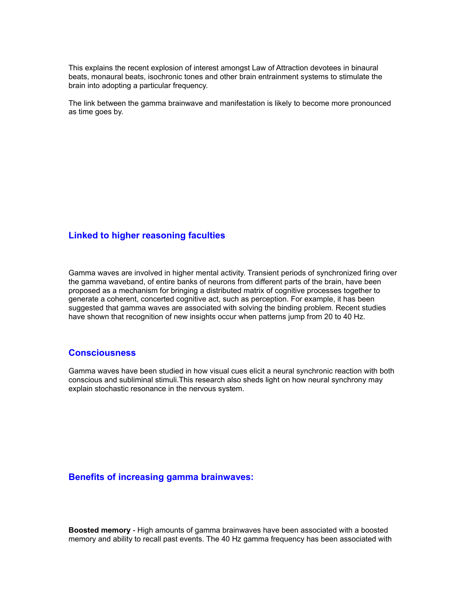This explains the recent explosion of interest amongst Law of Attraction devotees in binaural beats, monaural beats, isochronic tones and other brain entrainment systems to stimulate the brain into adopting a particular frequency.

The link between the gamma brainwave and manifestation is likely to become more pronounced as time goes by.

# **Linked to higher reasoning faculties**

Gamma waves are involved in higher mental activity. Transient periods of synchronized firing over the gamma waveband, of entire banks of neurons from different parts of the brain, have been proposed as a mechanism for bringing a distributed matrix of cognitive processes together to generate a coherent, concerted cognitive act, such as perception. For example, it has been suggested that gamma waves are associated with solving the binding problem. Recent studies have shown that recognition of new insights occur when patterns jump from 20 to 40 Hz.

# **Consciousness**

Gamma waves have been studied in how visual cues elicit a neural synchronic reaction with both conscious and subliminal stimuli.This research also sheds light on how neural synchrony may explain stochastic resonance in the nervous system.

# **Benefits of increasing gamma brainwaves:**

**Boosted memory** - High amounts of gamma brainwaves have been associated with a boosted memory and ability to recall past events. The 40 Hz gamma frequency has been associated with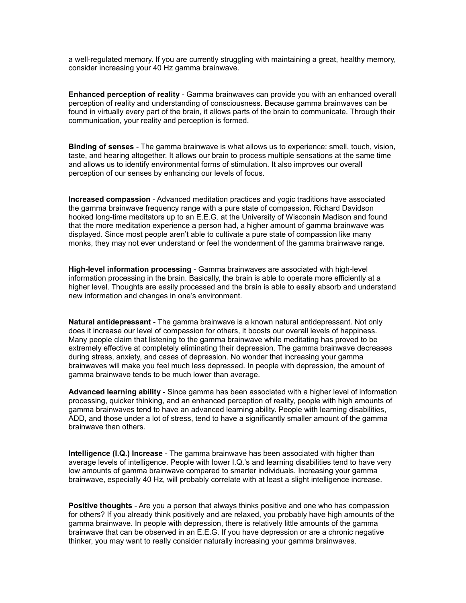a well-regulated memory. If you are currently struggling with maintaining a great, healthy memory, consider increasing your 40 Hz gamma brainwave.

**Enhanced perception of reality** - Gamma brainwaves can provide you with an enhanced overall perception of reality and understanding of consciousness. Because gamma brainwaves can be found in virtually every part of the brain, it allows parts of the brain to communicate. Through their communication, your reality and perception is formed.

**Binding of senses** - The gamma brainwave is what allows us to experience: smell, touch, vision, taste, and hearing altogether. It allows our brain to process multiple sensations at the same time and allows us to identify environmental forms of stimulation. It also improves our overall perception of our senses by enhancing our levels of focus.

**Increased compassion** - Advanced meditation practices and yogic traditions have associated the gamma brainwave frequency range with a pure state of compassion. Richard Davidson hooked long-time meditators up to an E.E.G. at the University of Wisconsin Madison and found that the more meditation experience a person had, a higher amount of gamma brainwave was displayed. Since most people aren't able to cultivate a pure state of compassion like many monks, they may not ever understand or feel the wonderment of the gamma brainwave range.

**High-level information processing** - Gamma brainwaves are associated with high-level information processing in the brain. Basically, the brain is able to operate more efficiently at a higher level. Thoughts are easily processed and the brain is able to easily absorb and understand new information and changes in one's environment.

**Natural antidepressant** - The gamma brainwave is a known natural antidepressant. Not only does it increase our level of compassion for others, it boosts our overall levels of happiness. Many people claim that listening to the gamma brainwave while meditating has proved to be extremely effective at completely eliminating their depression. The gamma brainwave decreases during stress, anxiety, and cases of depression. No wonder that increasing your gamma brainwaves will make you feel much less depressed. In people with depression, the amount of gamma brainwave tends to be much lower than average.

**Advanced learning ability** - Since gamma has been associated with a higher level of information processing, quicker thinking, and an enhanced perception of reality, people with high amounts of gamma brainwaves tend to have an advanced learning ability. People with learning disabilities, ADD, and those under a lot of stress, tend to have a significantly smaller amount of the gamma brainwave than others.

**Intelligence (I.Q.) Increase** - The gamma brainwave has been associated with higher than average levels of intelligence. People with lower I.Q.'s and learning disabilities tend to have very low amounts of gamma brainwave compared to smarter individuals. Increasing your gamma brainwave, especially 40 Hz, will probably correlate with at least a slight intelligence increase.

**Positive thoughts** - Are you a person that always thinks positive and one who has compassion for others? If you already think positively and are relaxed, you probably have high amounts of the gamma brainwave. In people with depression, there is relatively little amounts of the gamma brainwave that can be observed in an E.E.G. If you have depression or are a chronic negative thinker, you may want to really consider naturally increasing your gamma brainwaves.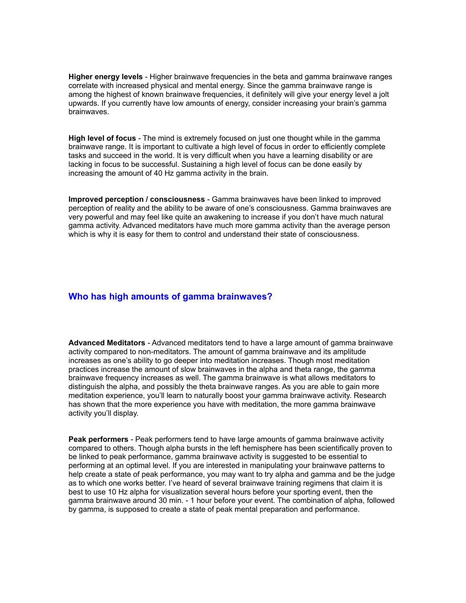**Higher energy levels** - Higher brainwave frequencies in the beta and gamma brainwave ranges correlate with increased physical and mental energy. Since the gamma brainwave range is among the highest of known brainwave frequencies, it definitely will give your energy level a jolt upwards. If you currently have low amounts of energy, consider increasing your brain's gamma brainwaves.

**High level of focus** - The mind is extremely focused on just one thought while in the gamma brainwave range. It is important to cultivate a high level of focus in order to efficiently complete tasks and succeed in the world. It is very difficult when you have a learning disability or are lacking in focus to be successful. Sustaining a high level of focus can be done easily by increasing the amount of 40 Hz gamma activity in the brain.

**Improved perception / consciousness** - Gamma brainwaves have been linked to improved perception of reality and the ability to be aware of one's consciousness. Gamma brainwaves are very powerful and may feel like quite an awakening to increase if you don't have much natural gamma activity. Advanced meditators have much more gamma activity than the average person which is why it is easy for them to control and understand their state of consciousness.

# **Who has high amounts of gamma brainwaves?**

**Advanced Meditators** - Advanced meditators tend to have a large amount of gamma brainwave activity compared to non-meditators. The amount of gamma brainwave and its amplitude increases as one's ability to go deeper into meditation increases. Though most meditation practices increase the amount of slow brainwaves in the alpha and theta range, the gamma brainwave frequency increases as well. The gamma brainwave is what allows meditators to distinguish the alpha, and possibly the theta brainwave ranges. As you are able to gain more meditation experience, you'll learn to naturally boost your gamma brainwave activity. Research has shown that the more experience you have with meditation, the more gamma brainwave activity you'll display.

**Peak performers** - Peak performers tend to have large amounts of gamma brainwave activity compared to others. Though alpha bursts in the left hemisphere has been scientifically proven to be linked to peak performance, gamma brainwave activity is suggested to be essential to performing at an optimal level. If you are interested in manipulating your brainwave patterns to help create a state of peak performance, you may want to try alpha and gamma and be the judge as to which one works better. I've heard of several brainwave training regimens that claim it is best to use 10 Hz alpha for visualization several hours before your sporting event, then the gamma brainwave around 30 min. - 1 hour before your event. The combination of alpha, followed by gamma, is supposed to create a state of peak mental preparation and performance.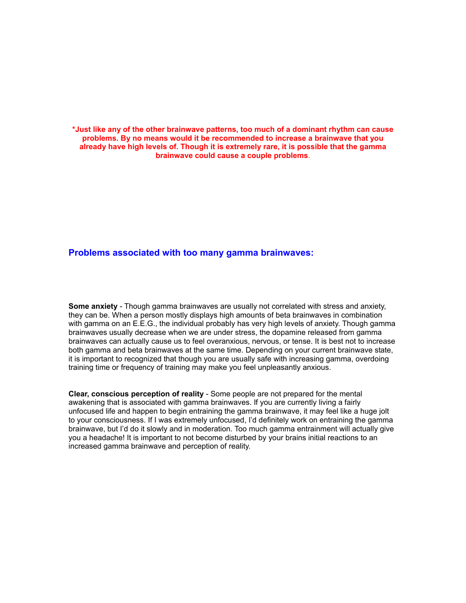**\*Just like any of the other brainwave patterns, too much of a dominant rhythm can cause problems. By no means would it be recommended to increase a brainwave that you already have high levels of. Though it is extremely rare, it is possible that the gamma brainwave could cause a couple problems**.

**Problems associated with too many gamma brainwaves:**

**Some anxiety** - Though gamma brainwaves are usually not correlated with stress and anxiety, they can be. When a person mostly displays high amounts of beta brainwaves in combination with gamma on an E.E.G., the individual probably has very high levels of anxiety. Though gamma brainwaves usually decrease when we are under stress, the dopamine released from gamma brainwaves can actually cause us to feel overanxious, nervous, or tense. It is best not to increase both gamma and beta brainwaves at the same time. Depending on your current brainwave state, it is important to recognized that though you are usually safe with increasing gamma, overdoing training time or frequency of training may make you feel unpleasantly anxious.

**Clear, conscious perception of reality** - Some people are not prepared for the mental awakening that is associated with gamma brainwaves. If you are currently living a fairly unfocused life and happen to begin entraining the gamma brainwave, it may feel like a huge jolt to your consciousness. If I was extremely unfocused, I'd definitely work on entraining the gamma brainwave, but I'd do it slowly and in moderation. Too much gamma entrainment will actually give you a headache! It is important to not become disturbed by your brains initial reactions to an increased gamma brainwave and perception of reality.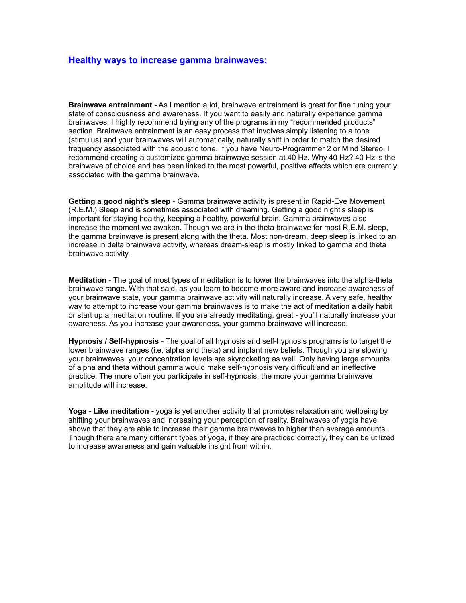### **Healthy ways to increase gamma brainwaves:**

**Brainwave entrainment** - As I mention a lot, brainwave entrainment is great for fine tuning your state of consciousness and awareness. If you want to easily and naturally experience gamma brainwaves, I highly recommend trying any of the programs in my "recommended products" section. Brainwave entrainment is an easy process that involves simply listening to a tone (stimulus) and your brainwaves will automatically, naturally shift in order to match the desired frequency associated with the acoustic tone. If you have Neuro-Programmer 2 or Mind Stereo, I recommend creating a customized gamma brainwave session at 40 Hz. Why 40 Hz? 40 Hz is the brainwave of choice and has been linked to the most powerful, positive effects which are currently associated with the gamma brainwave.

**Getting a good night's sleep** - Gamma brainwave activity is present in Rapid-Eye Movement (R.E.M.) Sleep and is sometimes associated with dreaming. Getting a good night's sleep is important for staying healthy, keeping a healthy, powerful brain. Gamma brainwaves also increase the moment we awaken. Though we are in the theta brainwave for most R.E.M. sleep, the gamma brainwave is present along with the theta. Most non-dream, deep sleep is linked to an increase in delta brainwave activity, whereas dream-sleep is mostly linked to gamma and theta brainwave activity.

**Meditation** - The goal of most types of meditation is to lower the brainwaves into the alpha-theta brainwave range. With that said, as you learn to become more aware and increase awareness of your brainwave state, your gamma brainwave activity will naturally increase. A very safe, healthy way to attempt to increase your gamma brainwaves is to make the act of meditation a daily habit or start up a meditation routine. If you are already meditating, great - you'll naturally increase your awareness. As you increase your awareness, your gamma brainwave will increase.

**Hypnosis / Self-hypnosis** - The goal of all hypnosis and self-hypnosis programs is to target the lower brainwave ranges (i.e. alpha and theta) and implant new beliefs. Though you are slowing your brainwaves, your concentration levels are skyrocketing as well. Only having large amounts of alpha and theta without gamma would make self-hypnosis very difficult and an ineffective practice. The more often you participate in self-hypnosis, the more your gamma brainwave amplitude will increase.

**Yoga - Like meditation -** yoga is yet another activity that promotes relaxation and wellbeing by shifting your brainwaves and increasing your perception of reality. Brainwaves of yogis have shown that they are able to increase their gamma brainwaves to higher than average amounts. Though there are many different types of yoga, if they are practiced correctly, they can be utilized to increase awareness and gain valuable insight from within.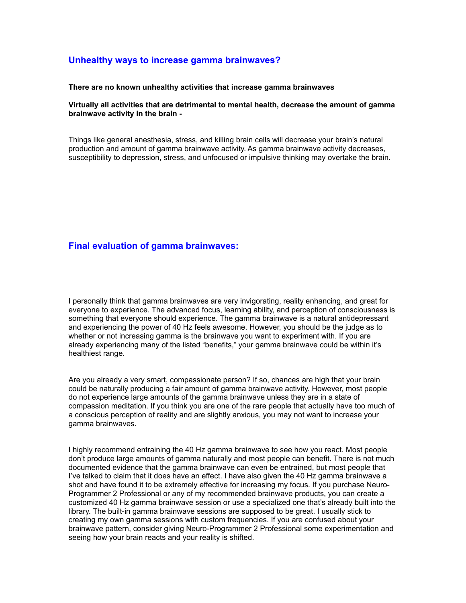# **Unhealthy ways to increase gamma brainwaves?**

### **There are no known unhealthy activities that increase gamma brainwaves**

### **Virtually all activities that are detrimental to mental health, decrease the amount of gamma brainwave activity in the brain -**

Things like general anesthesia, stress, and killing brain cells will decrease your brain's natural production and amount of gamma brainwave activity. As gamma brainwave activity decreases, susceptibility to depression, stress, and unfocused or impulsive thinking may overtake the brain.

### **Final evaluation of gamma brainwaves:**

I personally think that gamma brainwaves are very invigorating, reality enhancing, and great for everyone to experience. The advanced focus, learning ability, and perception of consciousness is something that everyone should experience. The gamma brainwave is a natural antidepressant and experiencing the power of 40 Hz feels awesome. However, you should be the judge as to whether or not increasing gamma is the brainwave you want to experiment with. If you are already experiencing many of the listed "benefits," your gamma brainwave could be within it's healthiest range.

Are you already a very smart, compassionate person? If so, chances are high that your brain could be naturally producing a fair amount of gamma brainwave activity. However, most people do not experience large amounts of the gamma brainwave unless they are in a state of compassion meditation. If you think you are one of the rare people that actually have too much of a conscious perception of reality and are slightly anxious, you may not want to increase your gamma brainwaves.

I highly recommend entraining the 40 Hz gamma brainwave to see how you react. Most people don't produce large amounts of gamma naturally and most people can benefit. There is not much documented evidence that the gamma brainwave can even be entrained, but most people that I've talked to claim that it does have an effect. I have also given the 40 Hz gamma brainwave a shot and have found it to be extremely effective for increasing my focus. If you purchase Neuro-Programmer 2 Professional or any of my recommended brainwave products, you can create a customized 40 Hz gamma brainwave session or use a specialized one that's already built into the library. The built-in gamma brainwave sessions are supposed to be great. I usually stick to creating my own gamma sessions with custom frequencies. If you are confused about your brainwave pattern, consider giving Neuro-Programmer 2 Professional some experimentation and seeing how your brain reacts and your reality is shifted.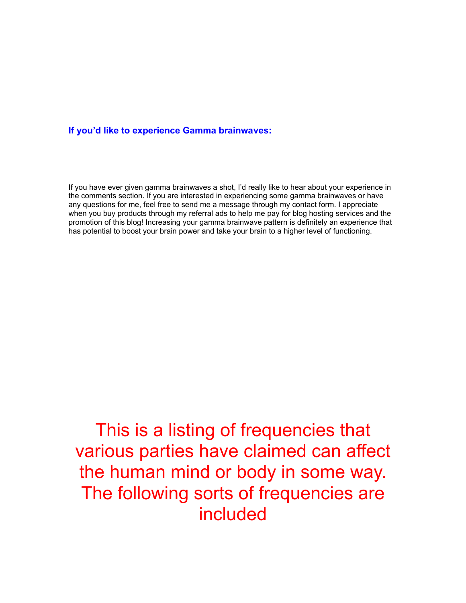# **If you'd like to experience Gamma brainwaves:**

If you have ever given gamma brainwaves a shot, I'd really like to hear about your experience in the comments section. If you are interested in experiencing some gamma brainwaves or have any questions for me, feel free to send me a message through my contact form. I appreciate when you buy products through my referral ads to help me pay for blog hosting services and the promotion of this blog! Increasing your gamma brainwave pattern is definitely an experience that has potential to boost your brain power and take your brain to a higher level of functioning.

This is a listing of frequencies that various parties have claimed can affect the human mind or body in some way. The following sorts of frequencies are included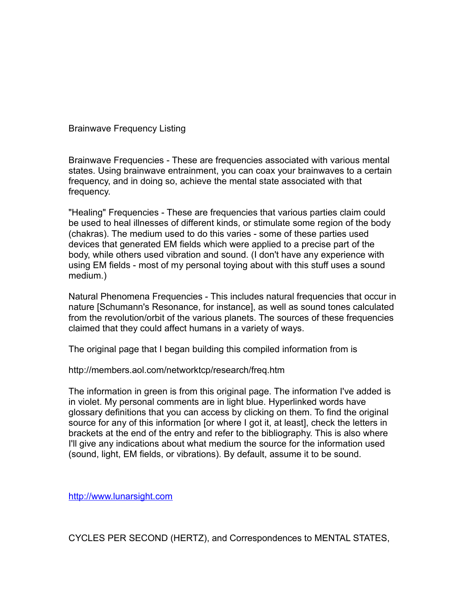Brainwave Frequency Listing

Brainwave Frequencies - These are frequencies associated with various mental states. Using brainwave entrainment, you can coax your brainwaves to a certain frequency, and in doing so, achieve the mental state associated with that frequency.

"Healing" Frequencies - These are frequencies that various parties claim could be used to heal illnesses of different kinds, or stimulate some region of the body (chakras). The medium used to do this varies - some of these parties used devices that generated EM fields which were applied to a precise part of the body, while others used vibration and sound. (I don't have any experience with using EM fields - most of my personal toying about with this stuff uses a sound medium.)

Natural Phenomena Frequencies - This includes natural frequencies that occur in nature [Schumann's Resonance, for instance], as well as sound tones calculated from the revolution/orbit of the various planets. The sources of these frequencies claimed that they could affect humans in a variety of ways.

The original page that I began building this compiled information from is

http://members.aol.com/networktcp/research/freq.htm

The information in green is from this original page. The information I've added is in violet. My personal comments are in light blue. Hyperlinked words have glossary definitions that you can access by clicking on them. To find the original source for any of this information [or where I got it, at least], check the letters in brackets at the end of the entry and refer to the bibliography. This is also where I'll give any indications about what medium the source for the information used (sound, light, EM fields, or vibrations). By default, assume it to be sound.

http://www.lunarsight.com

CYCLES PER SECOND (HERTZ), and Correspondences to MENTAL STATES,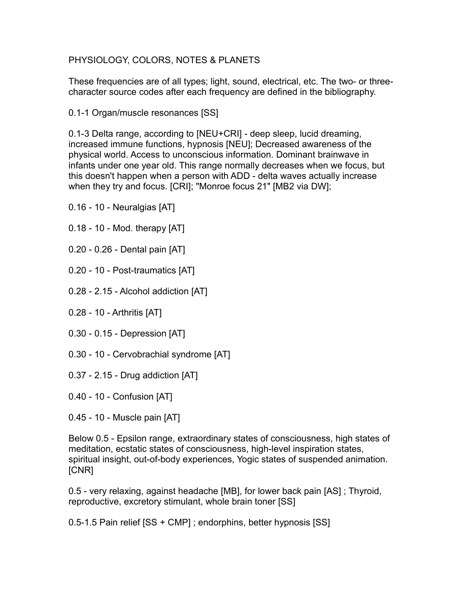PHYSIOLOGY, COLORS, NOTES & PLANETS

These frequencies are of all types; light, sound, electrical, etc. The two- or threecharacter source codes after each frequency are defined in the bibliography.

0.1-1 Organ/muscle resonances [SS]

0.1-3 Delta range, according to [NEU+CRI] - deep sleep, lucid dreaming, increased immune functions, hypnosis [NEU]; Decreased awareness of the physical world. Access to unconscious information. Dominant brainwave in infants under one year old. This range normally decreases when we focus, but this doesn't happen when a person with ADD - delta waves actually increase when they try and focus. [CRI]; "Monroe focus 21" [MB2 via DW];

- 0.16 10 Neuralgias [AT]
- 0.18 10 Mod. therapy [AT]
- 0.20 0.26 Dental pain [AT]
- 0.20 10 Post-traumatics [AT]
- 0.28 2.15 Alcohol addiction [AT]
- 0.28 10 Arthritis [AT]
- 0.30 0.15 Depression [AT]
- 0.30 10 Cervobrachial syndrome [AT]
- 0.37 2.15 Drug addiction [AT]

0.40 - 10 - Confusion [AT]

0.45 - 10 - Muscle pain [AT]

Below 0.5 - Epsilon range, extraordinary states of consciousness, high states of meditation, ecstatic states of consciousness, high-level inspiration states, spiritual insight, out-of-body experiences, Yogic states of suspended animation. [CNR]

0.5 - very relaxing, against headache [MB], for lower back pain [AS] ; Thyroid, reproductive, excretory stimulant, whole brain toner [SS]

0.5-1.5 Pain relief [SS + CMP] ; endorphins, better hypnosis [SS]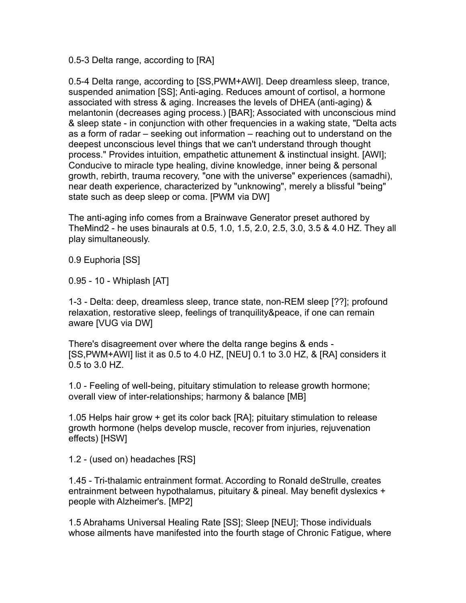0.5-3 Delta range, according to [RA]

0.5-4 Delta range, according to [SS,PWM+AWI]. Deep dreamless sleep, trance, suspended animation [SS]; Anti-aging. Reduces amount of cortisol, a hormone associated with stress & aging. Increases the levels of DHEA (anti-aging) & melantonin (decreases aging process.) [BAR]; Associated with unconscious mind & sleep state - in conjunction with other frequencies in a waking state, "Delta acts as a form of radar – seeking out information – reaching out to understand on the deepest unconscious level things that we can't understand through thought process." Provides intuition, empathetic attunement & instinctual insight. [AWI]; Conducive to miracle type healing, divine knowledge, inner being & personal growth, rebirth, trauma recovery, "one with the universe" experiences (samadhi), near death experience, characterized by "unknowing", merely a blissful "being" state such as deep sleep or coma. [PWM via DW]

The anti-aging info comes from a Brainwave Generator preset authored by TheMind2 - he uses binaurals at 0.5, 1.0, 1.5, 2.0, 2.5, 3.0, 3.5 & 4.0 HZ. They all play simultaneously.

0.9 Euphoria [SS]

0.95 - 10 - Whiplash [AT]

1-3 - Delta: deep, dreamless sleep, trance state, non-REM sleep [??]; profound relaxation, restorative sleep, feelings of tranquility&peace, if one can remain aware [VUG via DW]

There's disagreement over where the delta range begins & ends - [SS,PWM+AWI] list it as 0.5 to 4.0 HZ, [NEU] 0.1 to 3.0 HZ, & [RA] considers it 0.5 to 3.0 HZ.

1.0 - Feeling of well-being, pituitary stimulation to release growth hormone; overall view of inter-relationships; harmony & balance [MB]

1.05 Helps hair grow + get its color back [RA]; pituitary stimulation to release growth hormone (helps develop muscle, recover from injuries, rejuvenation effects) [HSW]

1.2 - (used on) headaches [RS]

1.45 - Tri-thalamic entrainment format. According to Ronald deStrulle, creates entrainment between hypothalamus, pituitary & pineal. May benefit dyslexics + people with Alzheimer's. [MP2]

1.5 Abrahams Universal Healing Rate [SS]; Sleep [NEU]; Those individuals whose ailments have manifested into the fourth stage of Chronic Fatigue, where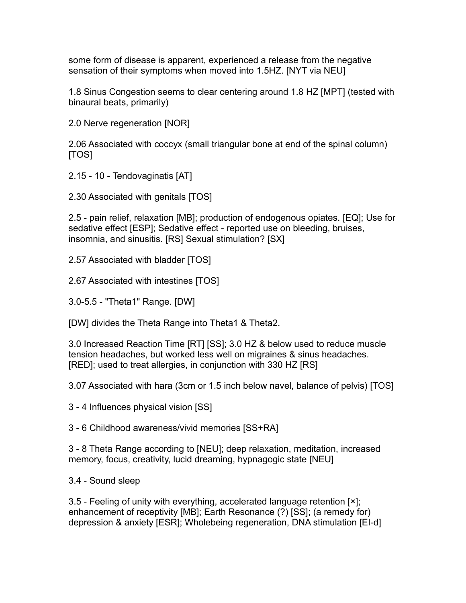some form of disease is apparent, experienced a release from the negative sensation of their symptoms when moved into 1.5HZ. [NYT via NEU]

1.8 Sinus Congestion seems to clear centering around 1.8 HZ [MPT] (tested with binaural beats, primarily)

2.0 Nerve regeneration [NOR]

2.06 Associated with coccyx (small triangular bone at end of the spinal column) [TOS]

- 2.15 10 Tendovaginatis [AT]
- 2.30 Associated with genitals [TOS]

2.5 - pain relief, relaxation [MB]; production of endogenous opiates. [EQ]; Use for sedative effect [ESP]; Sedative effect - reported use on bleeding, bruises, insomnia, and sinusitis. [RS] Sexual stimulation? [SX]

2.57 Associated with bladder [TOS]

2.67 Associated with intestines [TOS]

3.0-5.5 - "Theta1" Range. [DW]

[DW] divides the Theta Range into Theta1 & Theta2.

3.0 Increased Reaction Time [RT] [SS]; 3.0 HZ & below used to reduce muscle tension headaches, but worked less well on migraines & sinus headaches. [RED]; used to treat allergies, in conjunction with 330 HZ [RS]

3.07 Associated with hara (3cm or 1.5 inch below navel, balance of pelvis) [TOS]

3 - 4 Influences physical vision [SS]

3 - 6 Childhood awareness/vivid memories [SS+RA]

3 - 8 Theta Range according to [NEU]; deep relaxation, meditation, increased memory, focus, creativity, lucid dreaming, hypnagogic state [NEU]

3.4 - Sound sleep

3.5 - Feeling of unity with everything, accelerated language retention [×]; enhancement of receptivity [MB]; Earth Resonance (?) [SS]; (a remedy for) depression & anxiety [ESR]; Wholebeing regeneration, DNA stimulation [EI-d]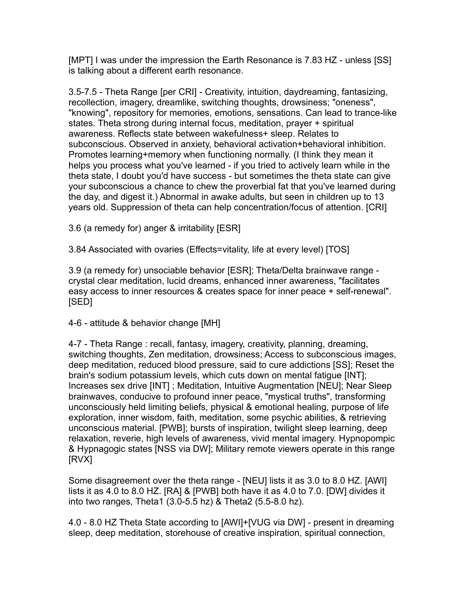[MPT] I was under the impression the Earth Resonance is 7.83 HZ - unless [SS] is talking about a different earth resonance.

3.5-7.5 - Theta Range [per CRI] - Creativity, intuition, daydreaming, fantasizing, recollection, imagery, dreamlike, switching thoughts, drowsiness; "oneness", "knowing", repository for memories, emotions, sensations. Can lead to trance-like states. Theta strong during internal focus, meditation, prayer + spiritual awareness. Reflects state between wakefulness+ sleep. Relates to subconscious. Observed in anxiety, behavioral activation+behavioral inhibition. Promotes learning+memory when functioning normally. (I think they mean it helps you process what you've learned - if you tried to actively learn while in the theta state, I doubt you'd have success - but sometimes the theta state can give your subconscious a chance to chew the proverbial fat that you've learned during the day, and digest it.) Abnormal in awake adults, but seen in children up to 13 years old. Suppression of theta can help concentration/focus of attention. [CRI]

3.6 (a remedy for) anger & irritability [ESR]

3.84 Associated with ovaries (Effects=vitality, life at every level) [TOS]

3.9 (a remedy for) unsociable behavior [ESR]; Theta/Delta brainwave range crystal clear meditation, lucid dreams, enhanced inner awareness, "facilitates easy access to inner resources & creates space for inner peace + self-renewal". [SED]

4-6 - attitude & behavior change [MH]

4-7 - Theta Range : recall, fantasy, imagery, creativity, planning, dreaming, switching thoughts, Zen meditation, drowsiness; Access to subconscious images, deep meditation, reduced blood pressure, said to cure addictions [SS]; Reset the brain's sodium potassium levels, which cuts down on mental fatigue [INT]; Increases sex drive [INT] ; Meditation, Intuitive Augmentation [NEU]; Near Sleep brainwaves, conducive to profound inner peace, "mystical truths", transforming unconsciously held limiting beliefs, physical & emotional healing, purpose of life exploration, inner wisdom, faith, meditation, some psychic abilities, & retrieving unconscious material. [PWB]; bursts of inspiration, twilight sleep learning, deep relaxation, reverie, high levels of awareness, vivid mental imagery. Hypnopompic & Hypnagogic states [NSS via DW]; Military remote viewers operate in this range [RVX]

Some disagreement over the theta range - [NEU] lists it as 3.0 to 8.0 HZ. [AWI] lists it as 4.0 to 8.0 HZ. [RA] & [PWB] both have it as 4.0 to 7.0. [DW] divides it into two ranges, Theta1 (3.0-5.5 hz) & Theta2 (5.5-8.0 hz).

4.0 - 8.0 HZ Theta State according to [AWI]+[VUG via DW] - present in dreaming sleep, deep meditation, storehouse of creative inspiration, spiritual connection,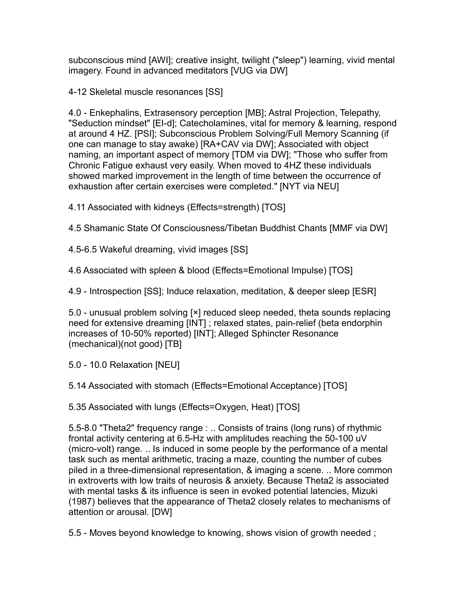subconscious mind [AWI]; creative insight, twilight ("sleep") learning, vivid mental imagery. Found in advanced meditators [VUG via DW]

4-12 Skeletal muscle resonances [SS]

4.0 - Enkephalins, Extrasensory perception [MB]; Astral Projection, Telepathy, "Seduction mindset" [EI-d]; Catecholamines, vital for memory & learning, respond at around 4 HZ. [PSI]; Subconscious Problem Solving/Full Memory Scanning (if one can manage to stay awake) [RA+CAV via DW]; Associated with object naming, an important aspect of memory [TDM via DW]; "Those who suffer from Chronic Fatigue exhaust very easily. When moved to 4HZ these individuals showed marked improvement in the length of time between the occurrence of exhaustion after certain exercises were completed." [NYT via NEU]

4.11 Associated with kidneys (Effects=strength) [TOS]

4.5 Shamanic State Of Consciousness/Tibetan Buddhist Chants [MMF via DW]

4.5-6.5 Wakeful dreaming, vivid images [SS]

4.6 Associated with spleen & blood (Effects=Emotional Impulse) [TOS]

4.9 - Introspection [SS]; Induce relaxation, meditation, & deeper sleep [ESR]

5.0 - unusual problem solving [×] reduced sleep needed, theta sounds replacing need for extensive dreaming [INT] ; relaxed states, pain-relief (beta endorphin increases of 10-50% reported) [INT]; Alleged Sphincter Resonance (mechanical)(not good) [TB]

5.0 - 10.0 Relaxation [NEU]

5.14 Associated with stomach (Effects=Emotional Acceptance) [TOS]

5.35 Associated with lungs (Effects=Oxygen, Heat) [TOS]

5.5-8.0 "Theta2" frequency range : .. Consists of trains (long runs) of rhythmic frontal activity centering at 6.5-Hz with amplitudes reaching the 50-100 uV (micro-volt) range. .. Is induced in some people by the performance of a mental task such as mental arithmetic, tracing a maze, counting the number of cubes piled in a three-dimensional representation, & imaging a scene. .. More common in extroverts with low traits of neurosis & anxiety. Because Theta2 is associated with mental tasks & its influence is seen in evoked potential latencies, Mizuki (1987) believes that the appearance of Theta2 closely relates to mechanisms of attention or arousal. [DW]

5.5 - Moves beyond knowledge to knowing, shows vision of growth needed ;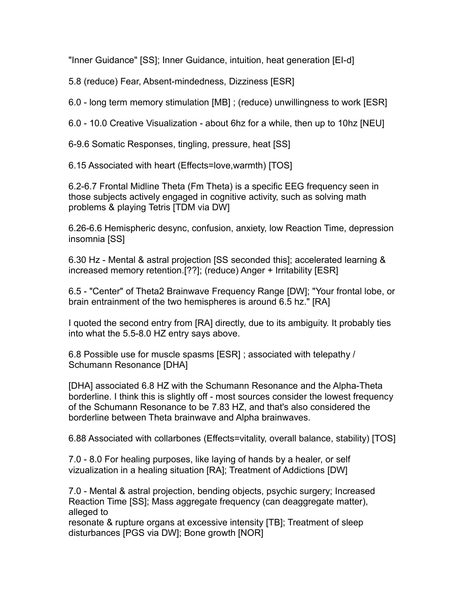"Inner Guidance" [SS]; Inner Guidance, intuition, heat generation [EI-d]

5.8 (reduce) Fear, Absent-mindedness, Dizziness [ESR]

6.0 - long term memory stimulation [MB] ; (reduce) unwillingness to work [ESR]

6.0 - 10.0 Creative Visualization - about 6hz for a while, then up to 10hz [NEU]

6-9.6 Somatic Responses, tingling, pressure, heat [SS]

6.15 Associated with heart (Effects=love,warmth) [TOS]

6.2-6.7 Frontal Midline Theta (Fm Theta) is a specific EEG frequency seen in those subjects actively engaged in cognitive activity, such as solving math problems & playing Tetris [TDM via DW]

6.26-6.6 Hemispheric desync, confusion, anxiety, low Reaction Time, depression insomnia [SS]

6.30 Hz - Mental & astral projection [SS seconded this]; accelerated learning & increased memory retention.[??]; (reduce) Anger + Irritability [ESR]

6.5 - "Center" of Theta2 Brainwave Frequency Range [DW]; "Your frontal lobe, or brain entrainment of the two hemispheres is around 6.5 hz." [RA]

I quoted the second entry from [RA] directly, due to its ambiguity. It probably ties into what the 5.5-8.0 HZ entry says above.

6.8 Possible use for muscle spasms [ESR] ; associated with telepathy / Schumann Resonance [DHA]

[DHA] associated 6.8 HZ with the Schumann Resonance and the Alpha-Theta borderline. I think this is slightly off - most sources consider the lowest frequency of the Schumann Resonance to be 7.83 HZ, and that's also considered the borderline between Theta brainwave and Alpha brainwaves.

6.88 Associated with collarbones (Effects=vitality, overall balance, stability) [TOS]

7.0 - 8.0 For healing purposes, like laying of hands by a healer, or self vizualization in a healing situation [RA]; Treatment of Addictions [DW]

7.0 - Mental & astral projection, bending objects, psychic surgery; Increased Reaction Time [SS]; Mass aggregate frequency (can deaggregate matter), alleged to

resonate & rupture organs at excessive intensity [TB]; Treatment of sleep disturbances [PGS via DW]; Bone growth [NOR]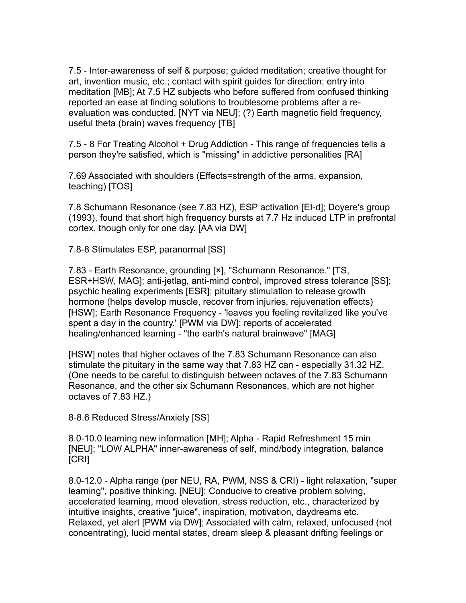7.5 - Inter-awareness of self & purpose; guided meditation; creative thought for art, invention music, etc.; contact with spirit guides for direction; entry into meditation [MB]; At 7.5 HZ subjects who before suffered from confused thinking reported an ease at finding solutions to troublesome problems after a reevaluation was conducted. [NYT via NEU]; (?) Earth magnetic field frequency, useful theta (brain) waves frequency [TB]

7.5 - 8 For Treating Alcohol + Drug Addiction - This range of frequencies tells a person they're satisfied, which is "missing" in addictive personalities [RA]

7.69 Associated with shoulders (Effects=strength of the arms, expansion, teaching) [TOS]

7.8 Schumann Resonance (see 7.83 HZ), ESP activation [EI-d]; Doyere's group (1993), found that short high frequency bursts at 7.7 Hz induced LTP in prefrontal cortex, though only for one day. [AA via DW]

7.8-8 Stimulates ESP, paranormal [SS]

7.83 - Earth Resonance, grounding [×], "Schumann Resonance." [TS, ESR+HSW, MAG]; anti-jetlag, anti-mind control, improved stress tolerance [SS]; psychic healing experiments [ESR]; pituitary stimulation to release growth hormone (helps develop muscle, recover from injuries, rejuvenation effects) [HSW]; Earth Resonance Frequency - 'leaves you feeling revitalized like you've spent a day in the country.' [PWM via DW]; reports of accelerated healing/enhanced learning - "the earth's natural brainwave" [MAG]

[HSW] notes that higher octaves of the 7.83 Schumann Resonance can also stimulate the pituitary in the same way that 7.83 HZ can - especially 31.32 HZ. (One needs to be careful to distinguish between octaves of the 7.83 Schumann Resonance, and the other six Schumann Resonances, which are not higher octaves of 7.83 HZ.)

8-8.6 Reduced Stress/Anxiety [SS]

8.0-10.0 learning new information [MH]; Alpha - Rapid Refreshment 15 min [NEU]; "LOW ALPHA" inner-awareness of self, mind/body integration, balance [CRI]

8.0-12.0 - Alpha range (per NEU, RA, PWM, NSS & CRI) - light relaxation, "super learning", positive thinking. [NEU]; Conducive to creative problem solving, accelerated learning, mood elevation, stress reduction, etc., characterized by intuitive insights, creative "juice", inspiration, motivation, daydreams etc. Relaxed, yet alert [PWM via DW]; Associated with calm, relaxed, unfocused (not concentrating), lucid mental states, dream sleep & pleasant drifting feelings or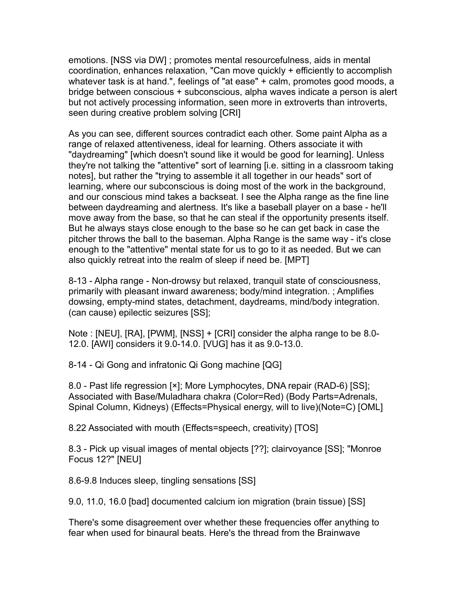emotions. [NSS via DW] ; promotes mental resourcefulness, aids in mental coordination, enhances relaxation, "Can move quickly + efficiently to accomplish whatever task is at hand.", feelings of "at ease" + calm, promotes good moods, a bridge between conscious + subconscious, alpha waves indicate a person is alert but not actively processing information, seen more in extroverts than introverts, seen during creative problem solving [CRI]

As you can see, different sources contradict each other. Some paint Alpha as a range of relaxed attentiveness, ideal for learning. Others associate it with "daydreaming" [which doesn't sound like it would be good for learning]. Unless they're not talking the "attentive" sort of learning [i.e. sitting in a classroom taking notes], but rather the "trying to assemble it all together in our heads" sort of learning, where our subconscious is doing most of the work in the background, and our conscious mind takes a backseat. I see the Alpha range as the fine line between daydreaming and alertness. It's like a baseball player on a base - he'll move away from the base, so that he can steal if the opportunity presents itself. But he always stays close enough to the base so he can get back in case the pitcher throws the ball to the baseman. Alpha Range is the same way - it's close enough to the "attentive" mental state for us to go to it as needed. But we can also quickly retreat into the realm of sleep if need be. [MPT]

8-13 - Alpha range - Non-drowsy but relaxed, tranquil state of consciousness, primarily with pleasant inward awareness; body/mind integration. ; Amplifies dowsing, empty-mind states, detachment, daydreams, mind/body integration. (can cause) epilectic seizures [SS];

Note : [NEU], [RA], [PWM], [NSS] + [CRI] consider the alpha range to be 8.0- 12.0. [AWI] considers it 9.0-14.0. [VUG] has it as 9.0-13.0.

8-14 - Qi Gong and infratonic Qi Gong machine [QG]

8.0 - Past life regression [×]; More Lymphocytes, DNA repair (RAD-6) [SS]; Associated with Base/Muladhara chakra (Color=Red) (Body Parts=Adrenals, Spinal Column, Kidneys) (Effects=Physical energy, will to live)(Note=C) [OML]

8.22 Associated with mouth (Effects=speech, creativity) [TOS]

8.3 - Pick up visual images of mental objects [??]; clairvoyance [SS]; "Monroe Focus 12?" [NEU]

8.6-9.8 Induces sleep, tingling sensations [SS]

9.0, 11.0, 16.0 [bad] documented calcium ion migration (brain tissue) [SS]

There's some disagreement over whether these frequencies offer anything to fear when used for binaural beats. Here's the thread from the Brainwave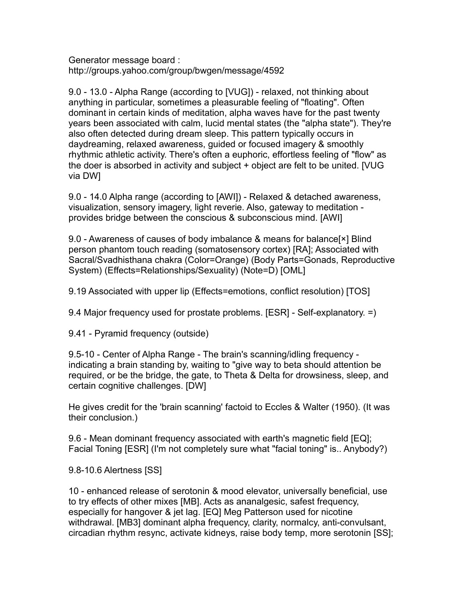Generator message board : http://groups.yahoo.com/group/bwgen/message/4592

9.0 - 13.0 - Alpha Range (according to [VUG]) - relaxed, not thinking about anything in particular, sometimes a pleasurable feeling of "floating". Often dominant in certain kinds of meditation, alpha waves have for the past twenty years been associated with calm, lucid mental states (the "alpha state"). They're also often detected during dream sleep. This pattern typically occurs in daydreaming, relaxed awareness, guided or focused imagery & smoothly rhythmic athletic activity. There's often a euphoric, effortless feeling of "flow" as the doer is absorbed in activity and subject + object are felt to be united. [VUG via DW]

9.0 - 14.0 Alpha range (according to [AWI]) - Relaxed & detached awareness, visualization, sensory imagery, light reverie. Also, gateway to meditation provides bridge between the conscious & subconscious mind. [AWI]

9.0 - Awareness of causes of body imbalance & means for balance[×] Blind person phantom touch reading (somatosensory cortex) [RA]; Associated with Sacral/Svadhisthana chakra (Color=Orange) (Body Parts=Gonads, Reproductive System) (Effects=Relationships/Sexuality) (Note=D) [OML]

9.19 Associated with upper lip (Effects=emotions, conflict resolution) [TOS]

9.4 Major frequency used for prostate problems. [ESR] - Self-explanatory. =)

9.41 - Pyramid frequency (outside)

9.5-10 - Center of Alpha Range - The brain's scanning/idling frequency indicating a brain standing by, waiting to "give way to beta should attention be required, or be the bridge, the gate, to Theta & Delta for drowsiness, sleep, and certain cognitive challenges. [DW]

He gives credit for the 'brain scanning' factoid to Eccles & Walter (1950). (It was their conclusion.)

9.6 - Mean dominant frequency associated with earth's magnetic field [EQ]; Facial Toning [ESR] (I'm not completely sure what "facial toning" is.. Anybody?)

9.8-10.6 Alertness [SS]

10 - enhanced release of serotonin & mood elevator, universally beneficial, use to try effects of other mixes [MB]. Acts as ananalgesic, safest frequency, especially for hangover & jet lag. [EQ] Meg Patterson used for nicotine withdrawal. [MB3] dominant alpha frequency, clarity, normalcy, anti-convulsant, circadian rhythm resync, activate kidneys, raise body temp, more serotonin [SS];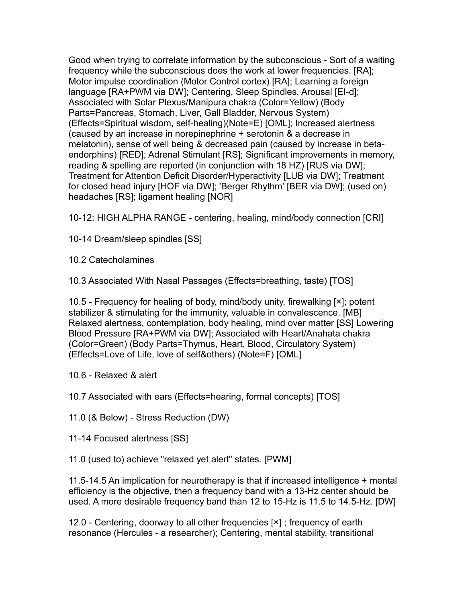Good when trying to correlate information by the subconscious - Sort of a waiting frequency while the subconscious does the work at lower frequencies. [RA]; Motor impulse coordination (Motor Control cortex) [RA]; Learning a foreign language [RA+PWM via DW]; Centering, Sleep Spindles, Arousal [EI-d]; Associated with Solar Plexus/Manipura chakra (Color=Yellow) (Body Parts=Pancreas, Stomach, Liver, Gall Bladder, Nervous System) (Effects=Spiritual wisdom, self-healing)(Note=E) [OML]; Increased alertness (caused by an increase in norepinephrine + serotonin & a decrease in melatonin), sense of well being & decreased pain (caused by increase in betaendorphins) [RED]; Adrenal Stimulant [RS]; Significant improvements in memory, reading & spelling are reported (in conjunction with 18 HZ) [RUS via DW]; Treatment for Attention Deficit Disorder/Hyperactivity [LUB via DW]; Treatment for closed head injury [HOF via DW]; 'Berger Rhythm' [BER via DW]; (used on) headaches [RS]; ligament healing [NOR]

10-12: HIGH ALPHA RANGE - centering, healing, mind/body connection [CRI]

10-14 Dream/sleep spindles [SS]

10.2 Catecholamines

10.3 Associated With Nasal Passages (Effects=breathing, taste) [TOS]

10.5 - Frequency for healing of body, mind/body unity, firewalking [×]; potent stabilizer & stimulating for the immunity, valuable in convalescence. [MB] Relaxed alertness, contemplation, body healing, mind over matter [SS] Lowering Blood Pressure [RA+PWM via DW]; Associated with Heart/Anahata chakra (Color=Green) (Body Parts=Thymus, Heart, Blood, Circulatory System) (Effects=Love of Life, love of self&others) (Note=F) [OML]

10.6 - Relaxed & alert

10.7 Associated with ears (Effects=hearing, formal concepts) [TOS]

11.0 (& Below) - Stress Reduction (DW)

11-14 Focused alertness [SS]

11.0 (used to) achieve "relaxed yet alert" states. [PWM]

11.5-14.5 An implication for neurotherapy is that if increased intelligence + mental efficiency is the objective, then a frequency band with a 13-Hz center should be used. A more desirable frequency band than 12 to 15-Hz is 11.5 to 14.5-Hz. [DW]

12.0 - Centering, doorway to all other frequencies [×] ; frequency of earth resonance (Hercules - a researcher); Centering, mental stability, transitional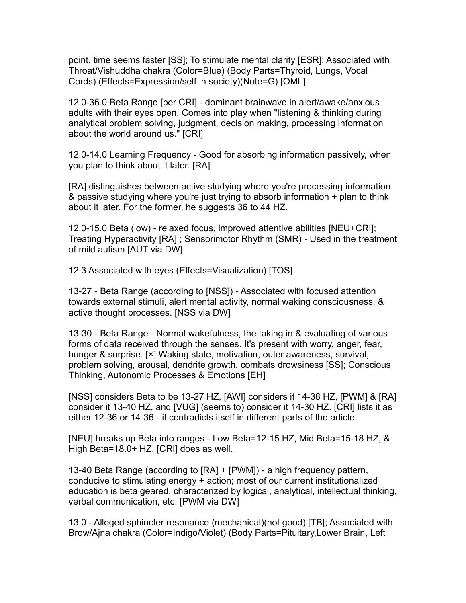point, time seems faster [SS]; To stimulate mental clarity [ESR]; Associated with Throat/Vishuddha chakra (Color=Blue) (Body Parts=Thyroid, Lungs, Vocal Cords) (Effects=Expression/self in society)(Note=G) [OML]

12.0-36.0 Beta Range [per CRI] - dominant brainwave in alert/awake/anxious adults with their eyes open. Comes into play when "listening & thinking during analytical problem solving, judgment, decision making, processing information about the world around us." [CRI]

12.0-14.0 Learning Frequency - Good for absorbing information passively, when you plan to think about it later. [RA]

[RA] distinguishes between active studying where you're processing information & passive studying where you're just trying to absorb information + plan to think about it later. For the former, he suggests 36 to 44 HZ.

12.0-15.0 Beta (low) - relaxed focus, improved attentive abilities [NEU+CRI]; Treating Hyperactivity [RA] ; Sensorimotor Rhythm (SMR) - Used in the treatment of mild autism [AUT via DW]

12.3 Associated with eyes (Effects=Visualization) [TOS]

13-27 - Beta Range (according to [NSS]) - Associated with focused attention towards external stimuli, alert mental activity, normal waking consciousness, & active thought processes. [NSS via DW]

13-30 - Beta Range - Normal wakefulness, the taking in & evaluating of various forms of data received through the senses. It's present with worry, anger, fear, hunger & surprise. [×] Waking state, motivation, outer awareness, survival, problem solving, arousal, dendrite growth, combats drowsiness [SS]; Conscious Thinking, Autonomic Processes & Emotions [EH]

[NSS] considers Beta to be 13-27 HZ, [AWI] considers it 14-38 HZ, [PWM] & [RA] consider it 13-40 HZ, and [VUG] (seems to) consider it 14-30 HZ. [CRI] lists it as either 12-36 or 14-36 - it contradicts itself in different parts of the article.

[NEU] breaks up Beta into ranges - Low Beta=12-15 HZ, Mid Beta=15-18 HZ, & High Beta=18.0+ HZ. [CRI] does as well.

13-40 Beta Range (according to [RA] + [PWM]) - a high frequency pattern, conducive to stimulating energy + action; most of our current institutionalized education is beta geared, characterized by logical, analytical, intellectual thinking, verbal communication, etc. [PWM via DW]

13.0 - Alleged sphincter resonance (mechanical)(not good) [TB]; Associated with Brow/Ajna chakra (Color=Indigo/Violet) (Body Parts=Pituitary,Lower Brain, Left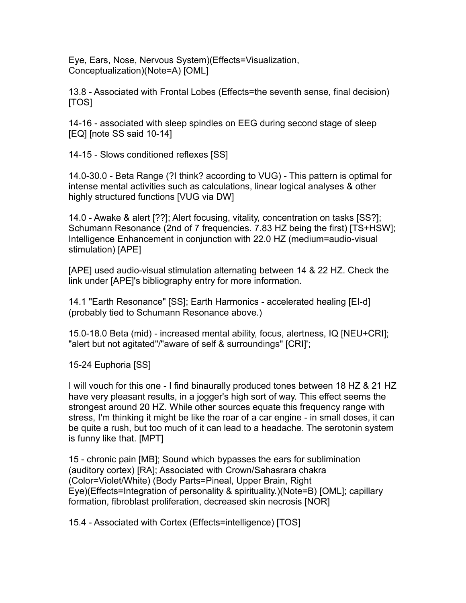Eye, Ears, Nose, Nervous System)(Effects=Visualization, Conceptualization)(Note=A) [OML]

13.8 - Associated with Frontal Lobes (Effects=the seventh sense, final decision) [TOS]

14-16 - associated with sleep spindles on EEG during second stage of sleep [EQ] [note SS said 10-14]

14-15 - Slows conditioned reflexes [SS]

14.0-30.0 - Beta Range (?I think? according to VUG) - This pattern is optimal for intense mental activities such as calculations, linear logical analyses & other highly structured functions [VUG via DW]

14.0 - Awake & alert [??]; Alert focusing, vitality, concentration on tasks [SS?]; Schumann Resonance (2nd of 7 frequencies. 7.83 HZ being the first) [TS+HSW]; Intelligence Enhancement in conjunction with 22.0 HZ (medium=audio-visual stimulation) [APE]

[APE] used audio-visual stimulation alternating between 14 & 22 HZ. Check the link under [APE]'s bibliography entry for more information.

14.1 "Earth Resonance" [SS]; Earth Harmonics - accelerated healing [EI-d] (probably tied to Schumann Resonance above.)

15.0-18.0 Beta (mid) - increased mental ability, focus, alertness, IQ [NEU+CRI]; "alert but not agitated"/"aware of self & surroundings" [CRI]';

15-24 Euphoria [SS]

I will vouch for this one - I find binaurally produced tones between 18 HZ & 21 HZ have very pleasant results, in a jogger's high sort of way. This effect seems the strongest around 20 HZ. While other sources equate this frequency range with stress, I'm thinking it might be like the roar of a car engine - in small doses, it can be quite a rush, but too much of it can lead to a headache. The serotonin system is funny like that. [MPT]

15 - chronic pain [MB]; Sound which bypasses the ears for sublimination (auditory cortex) [RA]; Associated with Crown/Sahasrara chakra (Color=Violet/White) (Body Parts=Pineal, Upper Brain, Right Eye)(Effects=Integration of personality & spirituality.)(Note=B) [OML]; capillary formation, fibroblast proliferation, decreased skin necrosis [NOR]

15.4 - Associated with Cortex (Effects=intelligence) [TOS]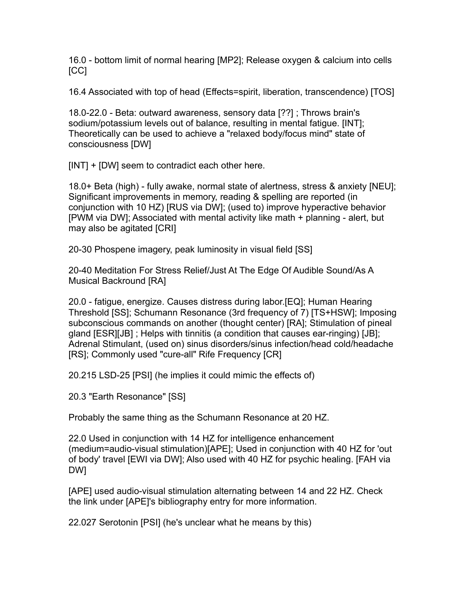16.0 - bottom limit of normal hearing [MP2]; Release oxygen & calcium into cells [CC]

16.4 Associated with top of head (Effects=spirit, liberation, transcendence) [TOS]

18.0-22.0 - Beta: outward awareness, sensory data [??] ; Throws brain's sodium/potassium levels out of balance, resulting in mental fatigue. [INT]; Theoretically can be used to achieve a "relaxed body/focus mind" state of consciousness [DW]

[INT] + [DW] seem to contradict each other here.

18.0+ Beta (high) - fully awake, normal state of alertness, stress & anxiety [NEU]; Significant improvements in memory, reading & spelling are reported (in conjunction with 10 HZ) [RUS via DW]; (used to) improve hyperactive behavior [PWM via DW]; Associated with mental activity like math + planning - alert, but may also be agitated [CRI]

20-30 Phospene imagery, peak luminosity in visual field [SS]

20-40 Meditation For Stress Relief/Just At The Edge Of Audible Sound/As A Musical Backround [RA]

20.0 - fatigue, energize. Causes distress during labor.[EQ]; Human Hearing Threshold [SS]; Schumann Resonance (3rd frequency of 7) [TS+HSW]; Imposing subconscious commands on another (thought center) [RA]; Stimulation of pineal gland [ESR][JB] ; Helps with tinnitis (a condition that causes ear-ringing) [JB]; Adrenal Stimulant, (used on) sinus disorders/sinus infection/head cold/headache [RS]; Commonly used "cure-all" Rife Frequency [CR]

20.215 LSD-25 [PSI] (he implies it could mimic the effects of)

20.3 "Earth Resonance" [SS]

Probably the same thing as the Schumann Resonance at 20 HZ.

22.0 Used in conjunction with 14 HZ for intelligence enhancement (medium=audio-visual stimulation)[APE]; Used in conjunction with 40 HZ for 'out of body' travel [EWI via DW]; Also used with 40 HZ for psychic healing. [FAH via DW]

[APE] used audio-visual stimulation alternating between 14 and 22 HZ. Check the link under [APE]'s bibliography entry for more information.

22.027 Serotonin [PSI] (he's unclear what he means by this)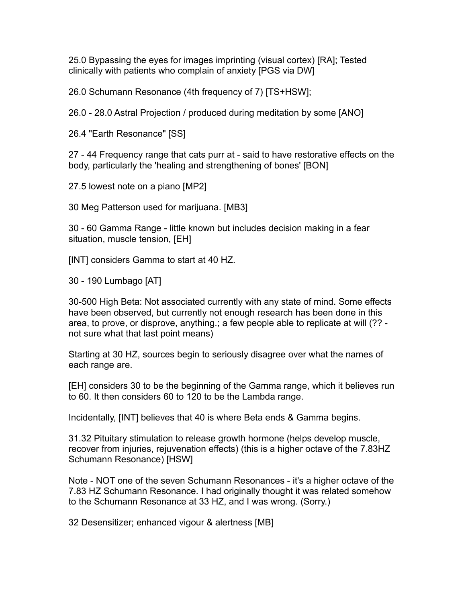25.0 Bypassing the eyes for images imprinting (visual cortex) [RA]; Tested clinically with patients who complain of anxiety [PGS via DW]

26.0 Schumann Resonance (4th frequency of 7) [TS+HSW];

26.0 - 28.0 Astral Projection / produced during meditation by some [ANO]

26.4 "Earth Resonance" [SS]

27 - 44 Frequency range that cats purr at - said to have restorative effects on the body, particularly the 'healing and strengthening of bones' [BON]

27.5 lowest note on a piano [MP2]

30 Meg Patterson used for marijuana. [MB3]

30 - 60 Gamma Range - little known but includes decision making in a fear situation, muscle tension, [EH]

[INT] considers Gamma to start at 40 HZ.

30 - 190 Lumbago [AT]

30-500 High Beta: Not associated currently with any state of mind. Some effects have been observed, but currently not enough research has been done in this area, to prove, or disprove, anything.; a few people able to replicate at will (?? not sure what that last point means)

Starting at 30 HZ, sources begin to seriously disagree over what the names of each range are.

[EH] considers 30 to be the beginning of the Gamma range, which it believes run to 60. It then considers 60 to 120 to be the Lambda range.

Incidentally, [INT] believes that 40 is where Beta ends & Gamma begins.

31.32 Pituitary stimulation to release growth hormone (helps develop muscle, recover from injuries, rejuvenation effects) (this is a higher octave of the 7.83HZ Schumann Resonance) [HSW]

Note - NOT one of the seven Schumann Resonances - it's a higher octave of the 7.83 HZ Schumann Resonance. I had originally thought it was related somehow to the Schumann Resonance at 33 HZ, and I was wrong. (Sorry.)

32 Desensitizer; enhanced vigour & alertness [MB]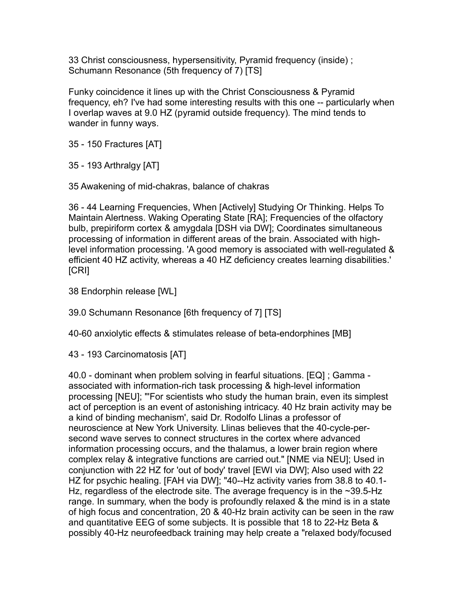33 Christ consciousness, hypersensitivity, Pyramid frequency (inside) ; Schumann Resonance (5th frequency of 7) [TS]

Funky coincidence it lines up with the Christ Consciousness & Pyramid frequency, eh? I've had some interesting results with this one -- particularly when I overlap waves at 9.0 HZ (pyramid outside frequency). The mind tends to wander in funny ways.

35 - 150 Fractures [AT]

35 - 193 Arthralgy [AT]

35 Awakening of mid-chakras, balance of chakras

36 - 44 Learning Frequencies, When [Actively] Studying Or Thinking. Helps To Maintain Alertness. Waking Operating State [RA]; Frequencies of the olfactory bulb, prepiriform cortex & amygdala [DSH via DW]; Coordinates simultaneous processing of information in different areas of the brain. Associated with highlevel information processing. 'A good memory is associated with well-regulated & efficient 40 HZ activity, whereas a 40 HZ deficiency creates learning disabilities.' [CRI]

38 Endorphin release [WL]

39.0 Schumann Resonance [6th frequency of 7] [TS]

40-60 anxiolytic effects & stimulates release of beta-endorphines [MB]

43 - 193 Carcinomatosis [AT]

40.0 - dominant when problem solving in fearful situations. [EQ] ; Gamma associated with information-rich task processing & high-level information processing [NEU]; "'For scientists who study the human brain, even its simplest act of perception is an event of astonishing intricacy. 40 Hz brain activity may be a kind of binding mechanism', said Dr. Rodolfo Llinas a professor of neuroscience at New York University. Llinas believes that the 40-cycle-persecond wave serves to connect structures in the cortex where advanced information processing occurs, and the thalamus, a lower brain region where complex relay & integrative functions are carried out." [NME via NEU]; Used in conjunction with 22 HZ for 'out of body' travel [EWI via DW]; Also used with 22 HZ for psychic healing. [FAH via DW]; "40--Hz activity varies from 38.8 to 40.1- Hz, regardless of the electrode site. The average frequency is in the ~39.5-Hz range. In summary, when the body is profoundly relaxed & the mind is in a state of high focus and concentration, 20 & 40-Hz brain activity can be seen in the raw and quantitative EEG of some subjects. It is possible that 18 to 22-Hz Beta & possibly 40-Hz neurofeedback training may help create a "relaxed body/focused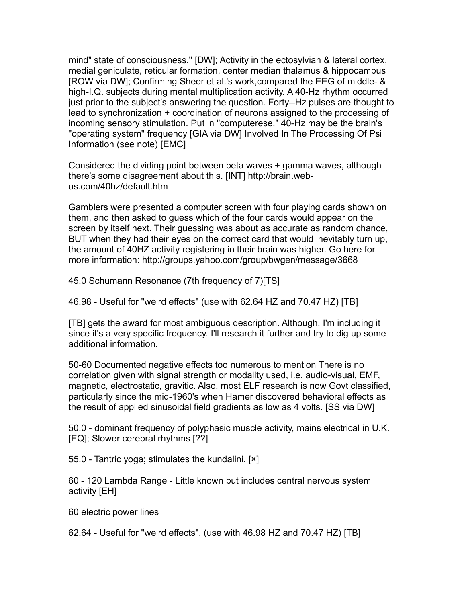mind" state of consciousness." [DW]; Activity in the ectosylvian & lateral cortex, medial geniculate, reticular formation, center median thalamus & hippocampus [ROW via DW]; Confirming Sheer et al.'s work,compared the EEG of middle- & high-I.Q. subjects during mental multiplication activity. A 40-Hz rhythm occurred just prior to the subject's answering the question. Forty--Hz pulses are thought to lead to synchronization + coordination of neurons assigned to the processing of incoming sensory stimulation. Put in "computerese," 40-Hz may be the brain's "operating system" frequency [GIA via DW] Involved In The Processing Of Psi Information (see note) [EMC]

Considered the dividing point between beta waves + gamma waves, although there's some disagreement about this. [INT] http://brain.webus.com/40hz/default.htm

Gamblers were presented a computer screen with four playing cards shown on them, and then asked to guess which of the four cards would appear on the screen by itself next. Their guessing was about as accurate as random chance, BUT when they had their eyes on the correct card that would inevitably turn up, the amount of 40HZ activity registering in their brain was higher. Go here for more information: http://groups.yahoo.com/group/bwgen/message/3668

45.0 Schumann Resonance (7th frequency of 7)[TS]

46.98 - Useful for "weird effects" (use with 62.64 HZ and 70.47 HZ) [TB]

[TB] gets the award for most ambiguous description. Although, I'm including it since it's a very specific frequency. I'll research it further and try to dig up some additional information.

50-60 Documented negative effects too numerous to mention There is no correlation given with signal strength or modality used, i.e. audio-visual, EMF, magnetic, electrostatic, gravitic. Also, most ELF research is now Govt classified, particularly since the mid-1960's when Hamer discovered behavioral effects as the result of applied sinusoidal field gradients as low as 4 volts. [SS via DW]

50.0 - dominant frequency of polyphasic muscle activity, mains electrical in U.K. [EQ]; Slower cerebral rhythms [??]

55.0 - Tantric yoga; stimulates the kundalini. [×]

60 - 120 Lambda Range - Little known but includes central nervous system activity [EH]

60 electric power lines

62.64 - Useful for "weird effects". (use with 46.98 HZ and 70.47 HZ) [TB]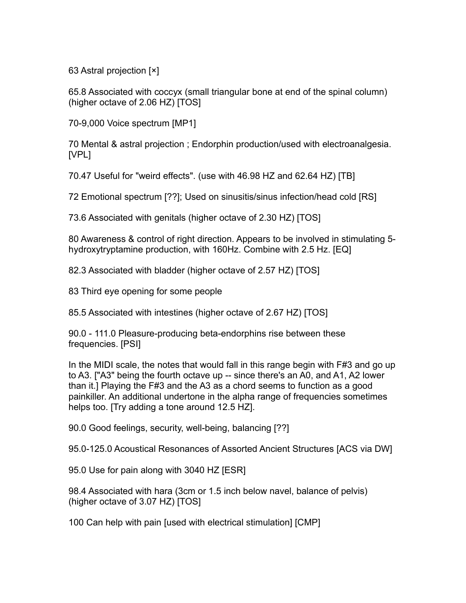63 Astral projection [×]

65.8 Associated with coccyx (small triangular bone at end of the spinal column) (higher octave of 2.06 HZ) [TOS]

70-9,000 Voice spectrum [MP1]

70 Mental & astral projection ; Endorphin production/used with electroanalgesia. [VPL]

70.47 Useful for "weird effects". (use with 46.98 HZ and 62.64 HZ) [TB]

72 Emotional spectrum [??]; Used on sinusitis/sinus infection/head cold [RS]

73.6 Associated with genitals (higher octave of 2.30 HZ) [TOS]

80 Awareness & control of right direction. Appears to be involved in stimulating 5 hydroxytryptamine production, with 160Hz. Combine with 2.5 Hz. [EQ]

82.3 Associated with bladder (higher octave of 2.57 HZ) [TOS]

83 Third eye opening for some people

85.5 Associated with intestines (higher octave of 2.67 HZ) [TOS]

90.0 - 111.0 Pleasure-producing beta-endorphins rise between these frequencies. [PSI]

In the MIDI scale, the notes that would fall in this range begin with F#3 and go up to A3. ["A3" being the fourth octave up -- since there's an A0, and A1, A2 lower than it.] Playing the F#3 and the A3 as a chord seems to function as a good painkiller. An additional undertone in the alpha range of frequencies sometimes helps too. [Try adding a tone around 12.5 HZ].

90.0 Good feelings, security, well-being, balancing [??]

95.0-125.0 Acoustical Resonances of Assorted Ancient Structures [ACS via DW]

95.0 Use for pain along with 3040 HZ [ESR]

98.4 Associated with hara (3cm or 1.5 inch below navel, balance of pelvis) (higher octave of 3.07 HZ) [TOS]

100 Can help with pain [used with electrical stimulation] [CMP]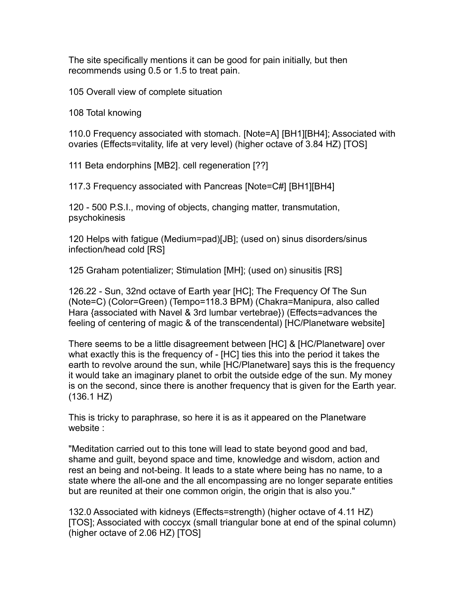The site specifically mentions it can be good for pain initially, but then recommends using 0.5 or 1.5 to treat pain.

105 Overall view of complete situation

108 Total knowing

110.0 Frequency associated with stomach. [Note=A] [BH1][BH4]; Associated with ovaries (Effects=vitality, life at very level) (higher octave of 3.84 HZ) [TOS]

111 Beta endorphins [MB2]. cell regeneration [??]

117.3 Frequency associated with Pancreas [Note=C#] [BH1][BH4]

120 - 500 P.S.I., moving of objects, changing matter, transmutation, psychokinesis

120 Helps with fatigue (Medium=pad)[JB]; (used on) sinus disorders/sinus infection/head cold [RS]

125 Graham potentializer; Stimulation [MH]; (used on) sinusitis [RS]

126.22 - Sun, 32nd octave of Earth year [HC]; The Frequency Of The Sun (Note=C) (Color=Green) (Tempo=118.3 BPM) (Chakra=Manipura, also called Hara {associated with Navel & 3rd lumbar vertebrae}) (Effects=advances the feeling of centering of magic & of the transcendental) [HC/Planetware website]

There seems to be a little disagreement between [HC] & [HC/Planetware] over what exactly this is the frequency of - [HC] ties this into the period it takes the earth to revolve around the sun, while [HC/Planetware] says this is the frequency it would take an imaginary planet to orbit the outside edge of the sun. My money is on the second, since there is another frequency that is given for the Earth year. (136.1 HZ)

This is tricky to paraphrase, so here it is as it appeared on the Planetware website :

"Meditation carried out to this tone will lead to state beyond good and bad, shame and guilt, beyond space and time, knowledge and wisdom, action and rest an being and not-being. It leads to a state where being has no name, to a state where the all-one and the all encompassing are no longer separate entities but are reunited at their one common origin, the origin that is also you."

132.0 Associated with kidneys (Effects=strength) (higher octave of 4.11 HZ) [TOS]; Associated with coccyx (small triangular bone at end of the spinal column) (higher octave of 2.06 HZ) [TOS]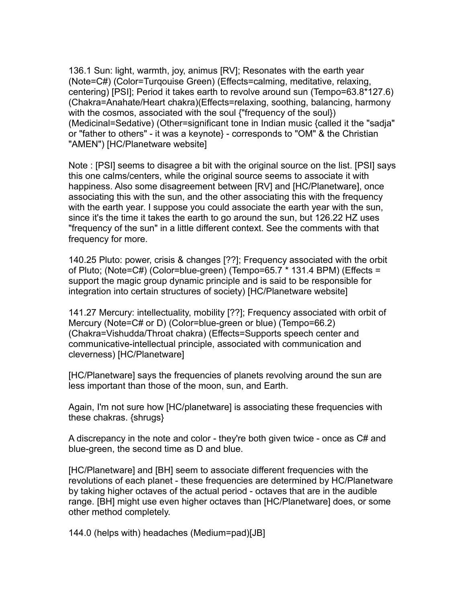136.1 Sun: light, warmth, joy, animus [RV]; Resonates with the earth year (Note=C#) (Color=Turqouise Green) (Effects=calming, meditative, relaxing, centering) [PSI]; Period it takes earth to revolve around sun (Tempo=63.8\*127.6) (Chakra=Anahate/Heart chakra)(Effects=relaxing, soothing, balancing, harmony with the cosmos, associated with the soul {"frequency of the soul}) (Medicinal=Sedative) (Other=significant tone in Indian music {called it the "sadja" or "father to others" - it was a keynote} - corresponds to "OM" & the Christian "AMEN") [HC/Planetware website]

Note : [PSI] seems to disagree a bit with the original source on the list. [PSI] says this one calms/centers, while the original source seems to associate it with happiness. Also some disagreement between [RV] and [HC/Planetware], once associating this with the sun, and the other associating this with the frequency with the earth year. I suppose you could associate the earth year with the sun, since it's the time it takes the earth to go around the sun, but 126.22 HZ uses "frequency of the sun" in a little different context. See the comments with that frequency for more.

140.25 Pluto: power, crisis & changes [??]; Frequency associated with the orbit of Pluto; (Note=C#) (Color=blue-green) (Tempo=65.7 \* 131.4 BPM) (Effects = support the magic group dynamic principle and is said to be responsible for integration into certain structures of society) [HC/Planetware website]

141.27 Mercury: intellectuality, mobility [??]; Frequency associated with orbit of Mercury (Note=C# or D) (Color=blue-green or blue) (Tempo=66.2) (Chakra=Vishudda/Throat chakra) (Effects=Supports speech center and communicative-intellectual principle, associated with communication and cleverness) [HC/Planetware]

[HC/Planetware] says the frequencies of planets revolving around the sun are less important than those of the moon, sun, and Earth.

Again, I'm not sure how [HC/planetware] is associating these frequencies with these chakras. {shrugs}

A discrepancy in the note and color - they're both given twice - once as C# and blue-green, the second time as D and blue.

[HC/Planetware] and [BH] seem to associate different frequencies with the revolutions of each planet - these frequencies are determined by HC/Planetware by taking higher octaves of the actual period - octaves that are in the audible range. [BH] might use even higher octaves than [HC/Planetware] does, or some other method completely.

144.0 (helps with) headaches (Medium=pad)[JB]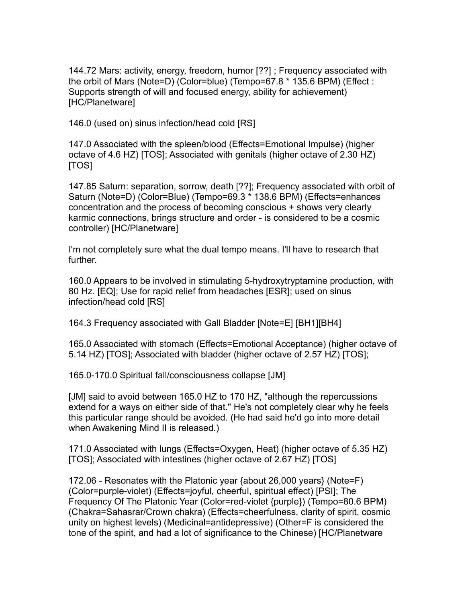144.72 Mars: activity, energy, freedom, humor [??] ; Frequency associated with the orbit of Mars (Note=D) (Color=blue) (Tempo=67.8 \* 135.6 BPM) (Effect : Supports strength of will and focused energy, ability for achievement) [HC/Planetware]

146.0 (used on) sinus infection/head cold [RS]

147.0 Associated with the spleen/blood (Effects=Emotional Impulse) (higher octave of 4.6 HZ) [TOS]; Associated with genitals (higher octave of 2.30 HZ) [TOS]

147.85 Saturn: separation, sorrow, death [??]; Frequency associated with orbit of Saturn (Note=D) (Color=Blue) (Tempo=69.3 \* 138.6 BPM) (Effects=enhances concentration and the process of becoming conscious + shows very clearly karmic connections, brings structure and order - is considered to be a cosmic controller) [HC/Planetware]

I'm not completely sure what the dual tempo means. I'll have to research that further.

160.0 Appears to be involved in stimulating 5-hydroxytryptamine production, with 80 Hz. [EQ]; Use for rapid relief from headaches [ESR]; used on sinus infection/head cold [RS]

164.3 Frequency associated with Gall Bladder [Note=E] [BH1][BH4]

165.0 Associated with stomach (Effects=Emotional Acceptance) (higher octave of 5.14 HZ) [TOS]; Associated with bladder (higher octave of 2.57 HZ) [TOS];

165.0-170.0 Spiritual fall/consciousness collapse [JM]

[JM] said to avoid between 165.0 HZ to 170 HZ, "although the repercussions extend for a ways on either side of that." He's not completely clear why he feels this particular range should be avoided. (He had said he'd go into more detail when Awakening Mind II is released.)

171.0 Associated with lungs (Effects=Oxygen, Heat) (higher octave of 5.35 HZ) [TOS]; Associated with intestines (higher octave of 2.67 HZ) [TOS]

172.06 - Resonates with the Platonic year {about 26,000 years} (Note=F) (Color=purple-violet) (Effects=joyful, cheerful, spiritual effect) [PSI]; The Frequency Of The Platonic Year (Color=red-violet {purple}) (Tempo=80.6 BPM) (Chakra=Sahasrar/Crown chakra) (Effects=cheerfulness, clarity of spirit, cosmic unity on highest levels) (Medicinal=antidepressive) (Other=F is considered the tone of the spirit, and had a lot of significance to the Chinese) [HC/Planetware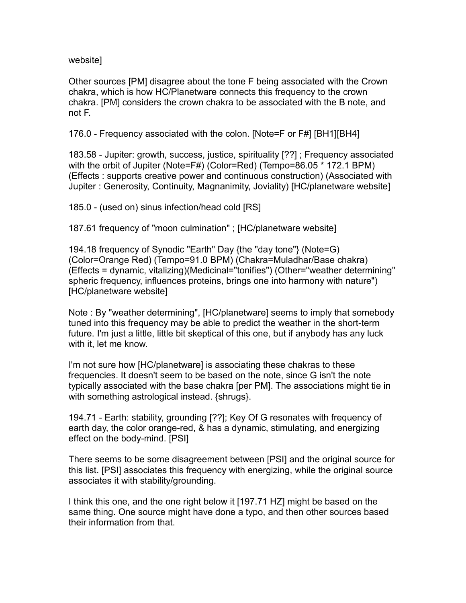website]

Other sources [PM] disagree about the tone F being associated with the Crown chakra, which is how HC/Planetware connects this frequency to the crown chakra. [PM] considers the crown chakra to be associated with the B note, and not F.

176.0 - Frequency associated with the colon. [Note=F or F#] [BH1][BH4]

183.58 - Jupiter: growth, success, justice, spirituality [??] ; Frequency associated with the orbit of Jupiter (Note=F#) (Color=Red) (Tempo=86.05 \* 172.1 BPM) (Effects : supports creative power and continuous construction) (Associated with Jupiter : Generosity, Continuity, Magnanimity, Joviality) [HC/planetware website]

185.0 - (used on) sinus infection/head cold [RS]

187.61 frequency of "moon culmination" ; [HC/planetware website]

194.18 frequency of Synodic "Earth" Day {the "day tone"} (Note=G) (Color=Orange Red) (Tempo=91.0 BPM) (Chakra=Muladhar/Base chakra) (Effects = dynamic, vitalizing)(Medicinal="tonifies") (Other="weather determining" spheric frequency, influences proteins, brings one into harmony with nature") [HC/planetware website]

Note : By "weather determining", [HC/planetware] seems to imply that somebody tuned into this frequency may be able to predict the weather in the short-term future. I'm just a little, little bit skeptical of this one, but if anybody has any luck with it, let me know.

I'm not sure how [HC/planetware] is associating these chakras to these frequencies. It doesn't seem to be based on the note, since G isn't the note typically associated with the base chakra [per PM]. The associations might tie in with something astrological instead. {shrugs}.

194.71 - Earth: stability, grounding [??]; Key Of G resonates with frequency of earth day, the color orange-red, & has a dynamic, stimulating, and energizing effect on the body-mind. [PSI]

There seems to be some disagreement between [PSI] and the original source for this list. [PSI] associates this frequency with energizing, while the original source associates it with stability/grounding.

I think this one, and the one right below it [197.71 HZ] might be based on the same thing. One source might have done a typo, and then other sources based their information from that.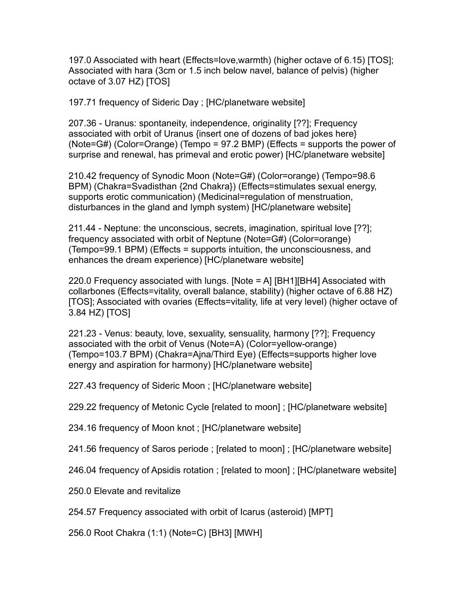197.0 Associated with heart (Effects=love,warmth) (higher octave of 6.15) [TOS]; Associated with hara (3cm or 1.5 inch below navel, balance of pelvis) (higher octave of 3.07 HZ) [TOS]

197.71 frequency of Sideric Day ; [HC/planetware website]

207.36 - Uranus: spontaneity, independence, originality [??]; Frequency associated with orbit of Uranus {insert one of dozens of bad jokes here} (Note=G#) (Color=Orange) (Tempo = 97.2 BMP) (Effects = supports the power of surprise and renewal, has primeval and erotic power) [HC/planetware website]

210.42 frequency of Synodic Moon (Note=G#) (Color=orange) (Tempo=98.6 BPM) (Chakra=Svadisthan {2nd Chakra}) (Effects=stimulates sexual energy, supports erotic communication) (Medicinal=regulation of menstruation, disturbances in the gland and lymph system) [HC/planetware website]

211.44 - Neptune: the unconscious, secrets, imagination, spiritual love [??]; frequency associated with orbit of Neptune (Note=G#) (Color=orange) (Tempo=99.1 BPM) (Effects = supports intuition, the unconsciousness, and enhances the dream experience) [HC/planetware website]

220.0 Frequency associated with lungs. [Note = A] [BH1][BH4] Associated with collarbones (Effects=vitality, overall balance, stability) (higher octave of 6.88 HZ) [TOS]; Associated with ovaries (Effects=vitality, life at very level) (higher octave of 3.84 HZ) [TOS]

221.23 - Venus: beauty, love, sexuality, sensuality, harmony [??]; Frequency associated with the orbit of Venus (Note=A) (Color=yellow-orange) (Tempo=103.7 BPM) (Chakra=Ajna/Third Eye) (Effects=supports higher love energy and aspiration for harmony) [HC/planetware website]

227.43 frequency of Sideric Moon ; [HC/planetware website]

229.22 frequency of Metonic Cycle [related to moon] ; [HC/planetware website]

234.16 frequency of Moon knot ; [HC/planetware website]

241.56 frequency of Saros periode ; [related to moon] ; [HC/planetware website]

246.04 frequency of Apsidis rotation ; [related to moon] ; [HC/planetware website]

250.0 Elevate and revitalize

254.57 Frequency associated with orbit of Icarus (asteroid) [MPT]

256.0 Root Chakra (1:1) (Note=C) [BH3] [MWH]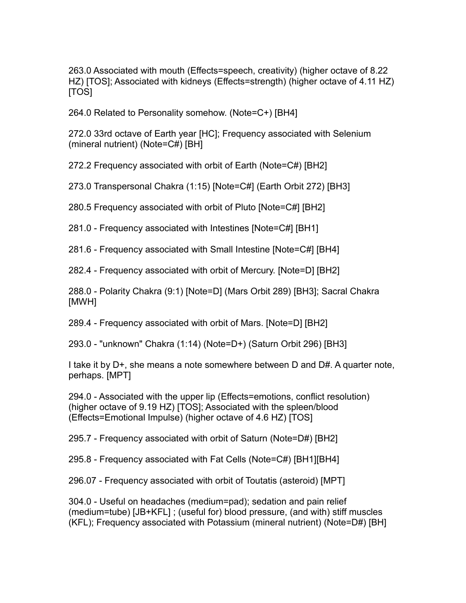263.0 Associated with mouth (Effects=speech, creativity) (higher octave of 8.22 HZ) [TOS]; Associated with kidneys (Effects=strength) (higher octave of 4.11 HZ) [TOS]

264.0 Related to Personality somehow. (Note=C+) [BH4]

272.0 33rd octave of Earth year [HC]; Frequency associated with Selenium (mineral nutrient) (Note=C#) [BH]

272.2 Frequency associated with orbit of Earth (Note=C#) [BH2]

273.0 Transpersonal Chakra (1:15) [Note=C#] (Earth Orbit 272) [BH3]

280.5 Frequency associated with orbit of Pluto [Note=C#] [BH2]

281.0 - Frequency associated with Intestines [Note=C#] [BH1]

281.6 - Frequency associated with Small Intestine [Note=C#] [BH4]

282.4 - Frequency associated with orbit of Mercury. [Note=D] [BH2]

288.0 - Polarity Chakra (9:1) [Note=D] (Mars Orbit 289) [BH3]; Sacral Chakra [MWH]

289.4 - Frequency associated with orbit of Mars. [Note=D] [BH2]

293.0 - "unknown" Chakra (1:14) (Note=D+) (Saturn Orbit 296) [BH3]

I take it by D+, she means a note somewhere between D and D#. A quarter note, perhaps. [MPT]

294.0 - Associated with the upper lip (Effects=emotions, conflict resolution) (higher octave of 9.19 HZ) [TOS]; Associated with the spleen/blood (Effects=Emotional Impulse) (higher octave of 4.6 HZ) [TOS]

295.7 - Frequency associated with orbit of Saturn (Note=D#) [BH2]

295.8 - Frequency associated with Fat Cells (Note=C#) [BH1][BH4]

296.07 - Frequency associated with orbit of Toutatis (asteroid) [MPT]

304.0 - Useful on headaches (medium=pad); sedation and pain relief (medium=tube) [JB+KFL] ; (useful for) blood pressure, (and with) stiff muscles (KFL); Frequency associated with Potassium (mineral nutrient) (Note=D#) [BH]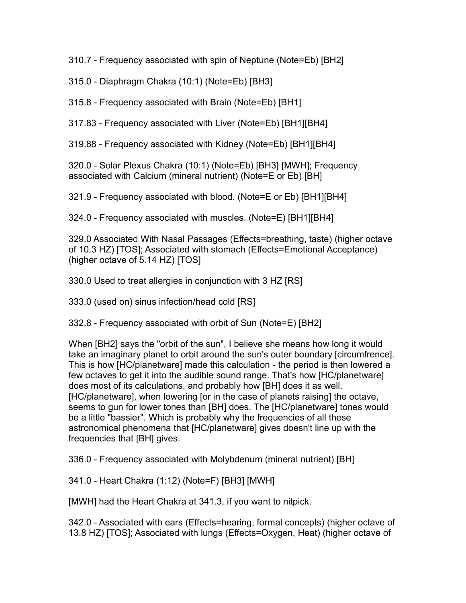310.7 - Frequency associated with spin of Neptune (Note=Eb) [BH2]

315.0 - Diaphragm Chakra (10:1) (Note=Eb) [BH3]

315.8 - Frequency associated with Brain (Note=Eb) [BH1]

317.83 - Frequency associated with Liver (Note=Eb) [BH1][BH4]

319.88 - Frequency associated with Kidney (Note=Eb) [BH1][BH4]

320.0 - Solar Plexus Chakra (10:1) (Note=Eb) [BH3] [MWH]; Frequency associated with Calcium (mineral nutrient) (Note=E or Eb) [BH]

321.9 - Frequency associated with blood. (Note=E or Eb) [BH1][BH4]

324.0 - Frequency associated with muscles. (Note=E) [BH1][BH4]

329.0 Associated With Nasal Passages (Effects=breathing, taste) (higher octave of 10.3 HZ) [TOS]; Associated with stomach (Effects=Emotional Acceptance) (higher octave of 5.14 HZ) [TOS]

330.0 Used to treat allergies in conjunction with 3 HZ [RS]

333.0 (used on) sinus infection/head cold [RS]

332.8 - Frequency associated with orbit of Sun (Note=E) [BH2]

When [BH2] says the "orbit of the sun", I believe she means how long it would take an imaginary planet to orbit around the sun's outer boundary [circumfrence]. This is how [HC/planetware] made this calculation - the period is then lowered a few octaves to get it into the audible sound range. That's how [HC/planetware] does most of its calculations, and probably how [BH] does it as well. [HC/planetware], when lowering [or in the case of planets raising] the octave, seems to gun for lower tones than [BH] does. The [HC/planetware] tones would be a little "bassier". Which is probably why the frequencies of all these astronomical phenomena that [HC/planetware] gives doesn't line up with the frequencies that [BH] gives.

336.0 - Frequency associated with Molybdenum (mineral nutrient) [BH]

341.0 - Heart Chakra (1:12) (Note=F) [BH3] [MWH]

[MWH] had the Heart Chakra at 341.3, if you want to nitpick.

342.0 - Associated with ears (Effects=hearing, formal concepts) (higher octave of 13.8 HZ) [TOS]; Associated with lungs (Effects=Oxygen, Heat) (higher octave of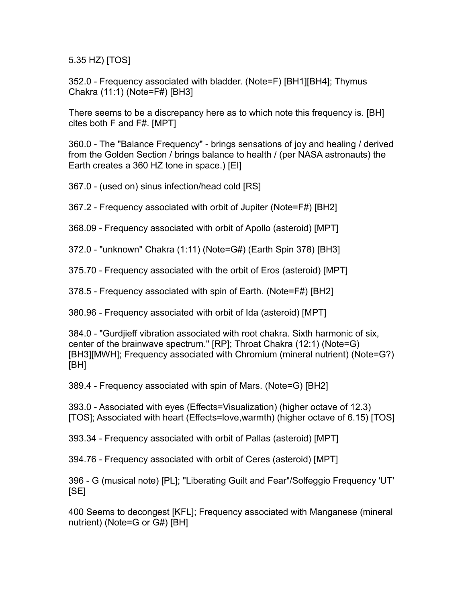5.35 HZ) [TOS]

352.0 - Frequency associated with bladder. (Note=F) [BH1][BH4]; Thymus Chakra (11:1) (Note=F#) [BH3]

There seems to be a discrepancy here as to which note this frequency is. [BH] cites both F and F#. [MPT]

360.0 - The "Balance Frequency" - brings sensations of joy and healing / derived from the Golden Section / brings balance to health / (per NASA astronauts) the Earth creates a 360 HZ tone in space.) [EI]

367.0 - (used on) sinus infection/head cold [RS]

367.2 - Frequency associated with orbit of Jupiter (Note=F#) [BH2]

368.09 - Frequency associated with orbit of Apollo (asteroid) [MPT]

372.0 - "unknown" Chakra (1:11) (Note=G#) (Earth Spin 378) [BH3]

375.70 - Frequency associated with the orbit of Eros (asteroid) [MPT]

378.5 - Frequency associated with spin of Earth. (Note=F#) [BH2]

380.96 - Frequency associated with orbit of Ida (asteroid) [MPT]

384.0 - "Gurdjieff vibration associated with root chakra. Sixth harmonic of six, center of the brainwave spectrum." [RP]; Throat Chakra (12:1) (Note=G) [BH3][MWH]; Frequency associated with Chromium (mineral nutrient) (Note=G?) [BH]

389.4 - Frequency associated with spin of Mars. (Note=G) [BH2]

393.0 - Associated with eyes (Effects=Visualization) (higher octave of 12.3) [TOS]; Associated with heart (Effects=love,warmth) (higher octave of 6.15) [TOS]

393.34 - Frequency associated with orbit of Pallas (asteroid) [MPT]

394.76 - Frequency associated with orbit of Ceres (asteroid) [MPT]

396 - G (musical note) [PL]; "Liberating Guilt and Fear"/Solfeggio Frequency 'UT' [SE]

400 Seems to decongest [KFL]; Frequency associated with Manganese (mineral nutrient) (Note=G or G#) [BH]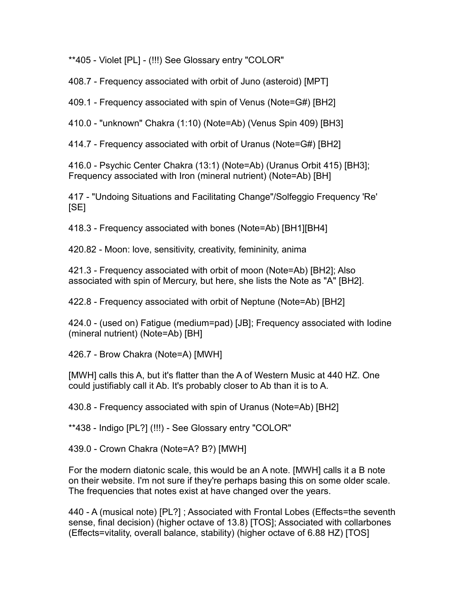\*\*405 - Violet [PL] - (!!!) See Glossary entry "COLOR"

408.7 - Frequency associated with orbit of Juno (asteroid) [MPT]

409.1 - Frequency associated with spin of Venus (Note=G#) [BH2]

410.0 - "unknown" Chakra (1:10) (Note=Ab) (Venus Spin 409) [BH3]

414.7 - Frequency associated with orbit of Uranus (Note=G#) [BH2]

416.0 - Psychic Center Chakra (13:1) (Note=Ab) (Uranus Orbit 415) [BH3]; Frequency associated with Iron (mineral nutrient) (Note=Ab) [BH]

417 - "Undoing Situations and Facilitating Change"/Solfeggio Frequency 'Re' [SE]

418.3 - Frequency associated with bones (Note=Ab) [BH1][BH4]

420.82 - Moon: love, sensitivity, creativity, femininity, anima

421.3 - Frequency associated with orbit of moon (Note=Ab) [BH2]; Also associated with spin of Mercury, but here, she lists the Note as "A" [BH2].

422.8 - Frequency associated with orbit of Neptune (Note=Ab) [BH2]

424.0 - (used on) Fatigue (medium=pad) [JB]; Frequency associated with Iodine (mineral nutrient) (Note=Ab) [BH]

426.7 - Brow Chakra (Note=A) [MWH]

[MWH] calls this A, but it's flatter than the A of Western Music at 440 HZ. One could justifiably call it Ab. It's probably closer to Ab than it is to A.

430.8 - Frequency associated with spin of Uranus (Note=Ab) [BH2]

\*\*438 - Indigo [PL?] (!!!) - See Glossary entry "COLOR"

439.0 - Crown Chakra (Note=A? B?) [MWH]

For the modern diatonic scale, this would be an A note. [MWH] calls it a B note on their website. I'm not sure if they're perhaps basing this on some older scale. The frequencies that notes exist at have changed over the years.

440 - A (musical note) [PL?] ; Associated with Frontal Lobes (Effects=the seventh sense, final decision) (higher octave of 13.8) [TOS]; Associated with collarbones (Effects=vitality, overall balance, stability) (higher octave of 6.88 HZ) [TOS]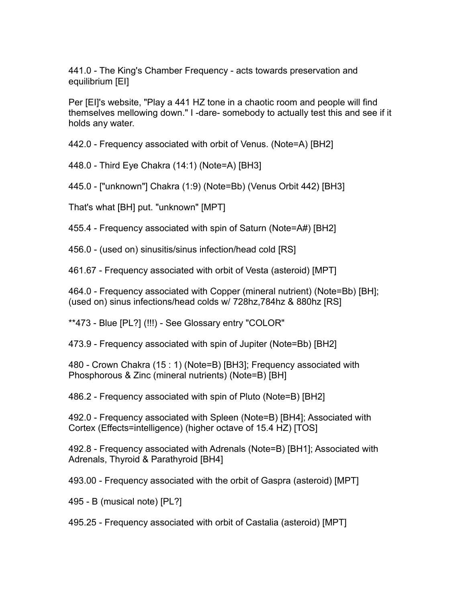441.0 - The King's Chamber Frequency - acts towards preservation and equilibrium [EI]

Per [EI]'s website, "Play a 441 HZ tone in a chaotic room and people will find themselves mellowing down." I -dare- somebody to actually test this and see if it holds any water.

442.0 - Frequency associated with orbit of Venus. (Note=A) [BH2]

448.0 - Third Eye Chakra (14:1) (Note=A) [BH3]

445.0 - ["unknown"] Chakra (1:9) (Note=Bb) (Venus Orbit 442) [BH3]

That's what [BH] put. "unknown" [MPT]

455.4 - Frequency associated with spin of Saturn (Note=A#) [BH2]

456.0 - (used on) sinusitis/sinus infection/head cold [RS]

461.67 - Frequency associated with orbit of Vesta (asteroid) [MPT]

464.0 - Frequency associated with Copper (mineral nutrient) (Note=Bb) [BH]; (used on) sinus infections/head colds w/ 728hz,784hz & 880hz [RS]

\*\*473 - Blue [PL?] (!!!) - See Glossary entry "COLOR"

473.9 - Frequency associated with spin of Jupiter (Note=Bb) [BH2]

480 - Crown Chakra (15 : 1) (Note=B) [BH3]; Frequency associated with Phosphorous & Zinc (mineral nutrients) (Note=B) [BH]

486.2 - Frequency associated with spin of Pluto (Note=B) [BH2]

492.0 - Frequency associated with Spleen (Note=B) [BH4]; Associated with Cortex (Effects=intelligence) (higher octave of 15.4 HZ) [TOS]

492.8 - Frequency associated with Adrenals (Note=B) [BH1]; Associated with Adrenals, Thyroid & Parathyroid [BH4]

493.00 - Frequency associated with the orbit of Gaspra (asteroid) [MPT]

495 - B (musical note) [PL?]

495.25 - Frequency associated with orbit of Castalia (asteroid) [MPT]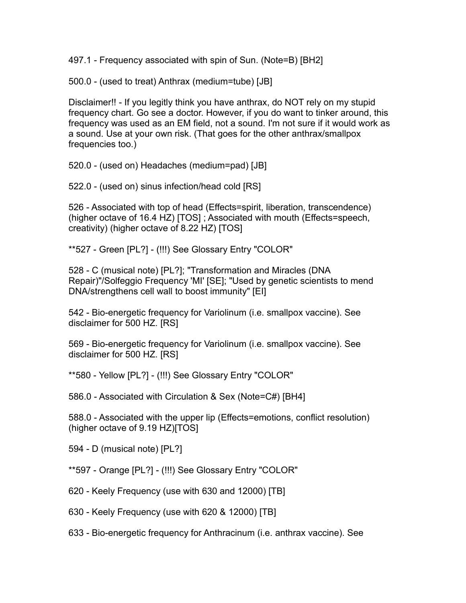497.1 - Frequency associated with spin of Sun. (Note=B) [BH2]

500.0 - (used to treat) Anthrax (medium=tube) [JB]

Disclaimer!! - If you legitly think you have anthrax, do NOT rely on my stupid frequency chart. Go see a doctor. However, if you do want to tinker around, this frequency was used as an EM field, not a sound. I'm not sure if it would work as a sound. Use at your own risk. (That goes for the other anthrax/smallpox frequencies too.)

520.0 - (used on) Headaches (medium=pad) [JB]

522.0 - (used on) sinus infection/head cold [RS]

526 - Associated with top of head (Effects=spirit, liberation, transcendence) (higher octave of 16.4 HZ) [TOS] ; Associated with mouth (Effects=speech, creativity) (higher octave of 8.22 HZ) [TOS]

\*\*527 - Green [PL?] - (!!!) See Glossary Entry "COLOR"

528 - C (musical note) [PL?]; "Transformation and Miracles (DNA Repair)"/Solfeggio Frequency 'MI' [SE]; "Used by genetic scientists to mend DNA/strengthens cell wall to boost immunity" [EI]

542 - Bio-energetic frequency for Variolinum (i.e. smallpox vaccine). See disclaimer for 500 HZ. [RS]

569 - Bio-energetic frequency for Variolinum (i.e. smallpox vaccine). See disclaimer for 500 HZ. [RS]

\*\*580 - Yellow [PL?] - (!!!) See Glossary Entry "COLOR"

586.0 - Associated with Circulation & Sex (Note=C#) [BH4]

588.0 - Associated with the upper lip (Effects=emotions, conflict resolution) (higher octave of 9.19 HZ)[TOS]

594 - D (musical note) [PL?]

\*\*597 - Orange [PL?] - (!!!) See Glossary Entry "COLOR"

620 - Keely Frequency (use with 630 and 12000) [TB]

630 - Keely Frequency (use with 620 & 12000) [TB]

633 - Bio-energetic frequency for Anthracinum (i.e. anthrax vaccine). See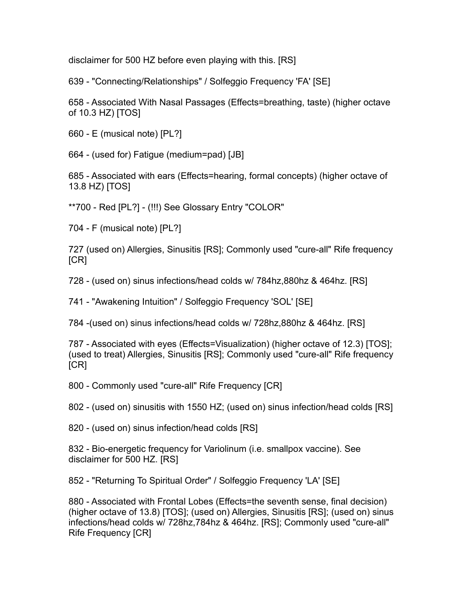disclaimer for 500 HZ before even playing with this. [RS]

639 - "Connecting/Relationships" / Solfeggio Frequency 'FA' [SE]

658 - Associated With Nasal Passages (Effects=breathing, taste) (higher octave of 10.3 HZ) [TOS]

660 - E (musical note) [PL?]

664 - (used for) Fatigue (medium=pad) [JB]

685 - Associated with ears (Effects=hearing, formal concepts) (higher octave of 13.8 HZ) [TOS]

\*\*700 - Red [PL?] - (!!!) See Glossary Entry "COLOR"

704 - F (musical note) [PL?]

727 (used on) Allergies, Sinusitis [RS]; Commonly used "cure-all" Rife frequency [CR]

728 - (used on) sinus infections/head colds w/ 784hz,880hz & 464hz. [RS]

741 - "Awakening Intuition" / Solfeggio Frequency 'SOL' [SE]

784 -(used on) sinus infections/head colds w/ 728hz,880hz & 464hz. [RS]

787 - Associated with eyes (Effects=Visualization) (higher octave of 12.3) [TOS]; (used to treat) Allergies, Sinusitis [RS]; Commonly used "cure-all" Rife frequency [CR]

800 - Commonly used "cure-all" Rife Frequency [CR]

802 - (used on) sinusitis with 1550 HZ; (used on) sinus infection/head colds [RS]

820 - (used on) sinus infection/head colds [RS]

832 - Bio-energetic frequency for Variolinum (i.e. smallpox vaccine). See disclaimer for 500 HZ. [RS]

852 - "Returning To Spiritual Order" / Solfeggio Frequency 'LA' [SE]

880 - Associated with Frontal Lobes (Effects=the seventh sense, final decision) (higher octave of 13.8) [TOS]; (used on) Allergies, Sinusitis [RS]; (used on) sinus infections/head colds w/ 728hz,784hz & 464hz. [RS]; Commonly used "cure-all" Rife Frequency [CR]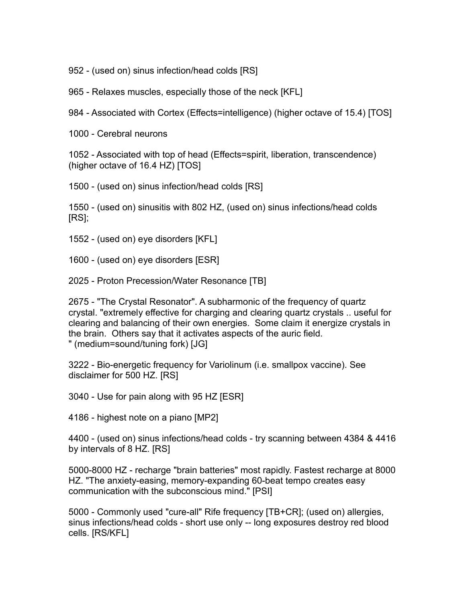952 - (used on) sinus infection/head colds [RS]

965 - Relaxes muscles, especially those of the neck [KFL]

984 - Associated with Cortex (Effects=intelligence) (higher octave of 15.4) [TOS]

1000 - Cerebral neurons

1052 - Associated with top of head (Effects=spirit, liberation, transcendence) (higher octave of 16.4 HZ) [TOS]

1500 - (used on) sinus infection/head colds [RS]

1550 - (used on) sinusitis with 802 HZ, (used on) sinus infections/head colds [RS];

1552 - (used on) eye disorders [KFL]

1600 - (used on) eye disorders [ESR]

2025 - Proton Precession/Water Resonance [TB]

2675 - "The Crystal Resonator". A subharmonic of the frequency of quartz crystal. "extremely effective for charging and clearing quartz crystals .. useful for clearing and balancing of their own energies. Some claim it energize crystals in the brain. Others say that it activates aspects of the auric field.

" (medium=sound/tuning fork) [JG]

3222 - Bio-energetic frequency for Variolinum (i.e. smallpox vaccine). See disclaimer for 500 HZ. [RS]

3040 - Use for pain along with 95 HZ [ESR]

4186 - highest note on a piano [MP2]

4400 - (used on) sinus infections/head colds - try scanning between 4384 & 4416 by intervals of 8 HZ. [RS]

5000-8000 HZ - recharge "brain batteries" most rapidly. Fastest recharge at 8000 HZ. "The anxiety-easing, memory-expanding 60-beat tempo creates easy communication with the subconscious mind." [PSI]

5000 - Commonly used "cure-all" Rife frequency [TB+CR]; (used on) allergies, sinus infections/head colds - short use only -- long exposures destroy red blood cells. [RS/KFL]